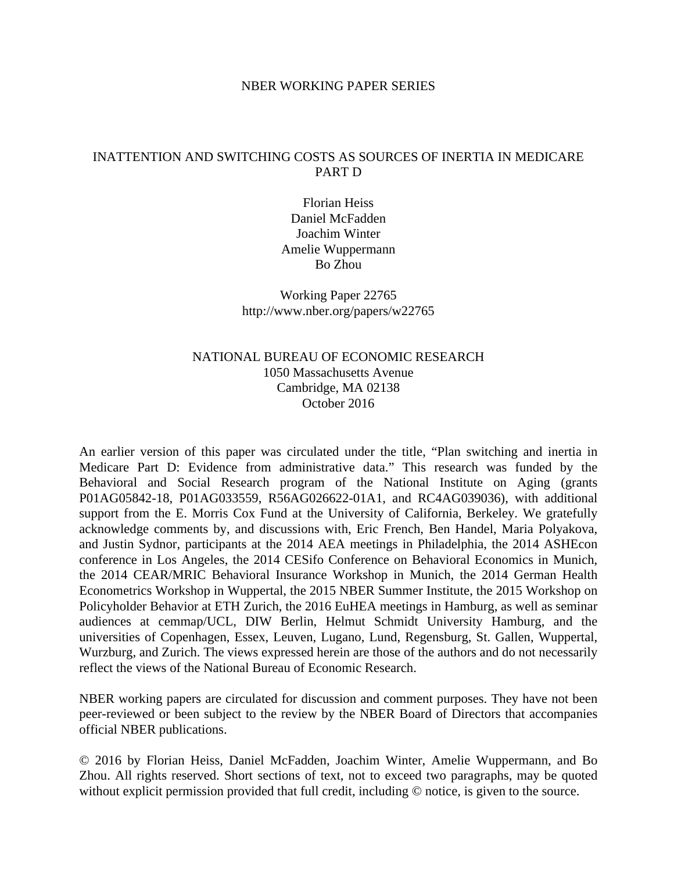#### NBER WORKING PAPER SERIES

## INATTENTION AND SWITCHING COSTS AS SOURCES OF INERTIA IN MEDICARE PART D

Florian Heiss Daniel McFadden Joachim Winter Amelie Wuppermann Bo Zhou

Working Paper 22765 http://www.nber.org/papers/w22765

## NATIONAL BUREAU OF ECONOMIC RESEARCH 1050 Massachusetts Avenue Cambridge, MA 02138 October 2016

An earlier version of this paper was circulated under the title, "Plan switching and inertia in Medicare Part D: Evidence from administrative data." This research was funded by the Behavioral and Social Research program of the National Institute on Aging (grants P01AG05842-18, P01AG033559, R56AG026622-01A1, and RC4AG039036), with additional support from the E. Morris Cox Fund at the University of California, Berkeley. We gratefully acknowledge comments by, and discussions with, Eric French, Ben Handel, Maria Polyakova, and Justin Sydnor, participants at the 2014 AEA meetings in Philadelphia, the 2014 ASHEcon conference in Los Angeles, the 2014 CESifo Conference on Behavioral Economics in Munich, the 2014 CEAR/MRIC Behavioral Insurance Workshop in Munich, the 2014 German Health Econometrics Workshop in Wuppertal, the 2015 NBER Summer Institute, the 2015 Workshop on Policyholder Behavior at ETH Zurich, the 2016 EuHEA meetings in Hamburg, as well as seminar audiences at cemmap/UCL, DIW Berlin, Helmut Schmidt University Hamburg, and the universities of Copenhagen, Essex, Leuven, Lugano, Lund, Regensburg, St. Gallen, Wuppertal, Wurzburg, and Zurich. The views expressed herein are those of the authors and do not necessarily reflect the views of the National Bureau of Economic Research.

NBER working papers are circulated for discussion and comment purposes. They have not been peer-reviewed or been subject to the review by the NBER Board of Directors that accompanies official NBER publications.

© 2016 by Florian Heiss, Daniel McFadden, Joachim Winter, Amelie Wuppermann, and Bo Zhou. All rights reserved. Short sections of text, not to exceed two paragraphs, may be quoted without explicit permission provided that full credit, including  $\odot$  notice, is given to the source.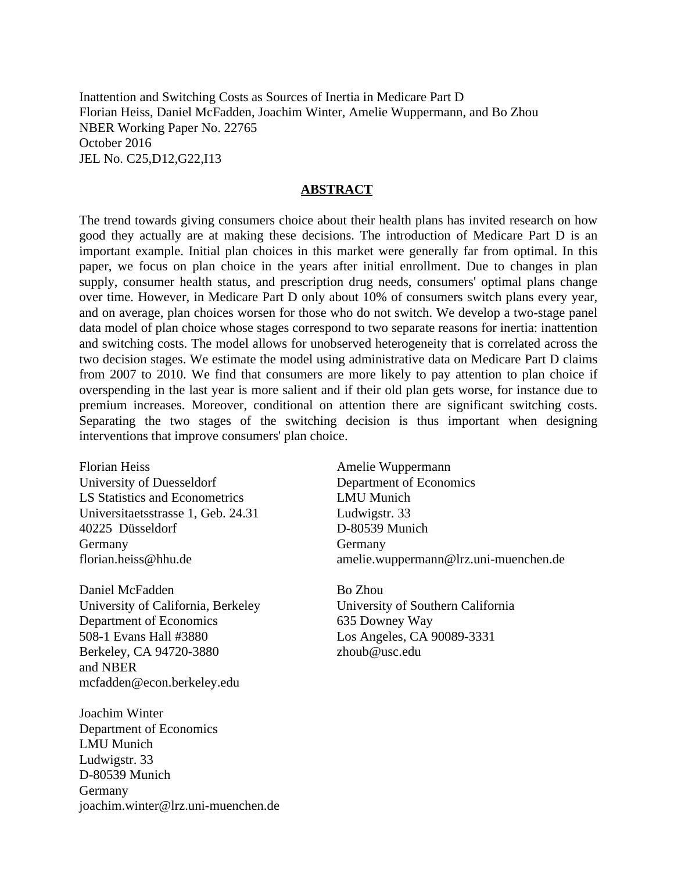Inattention and Switching Costs as Sources of Inertia in Medicare Part D Florian Heiss, Daniel McFadden, Joachim Winter, Amelie Wuppermann, and Bo Zhou NBER Working Paper No. 22765 October 2016 JEL No. C25,D12,G22,I13

#### **ABSTRACT**

The trend towards giving consumers choice about their health plans has invited research on how good they actually are at making these decisions. The introduction of Medicare Part D is an important example. Initial plan choices in this market were generally far from optimal. In this paper, we focus on plan choice in the years after initial enrollment. Due to changes in plan supply, consumer health status, and prescription drug needs, consumers' optimal plans change over time. However, in Medicare Part D only about 10% of consumers switch plans every year, and on average, plan choices worsen for those who do not switch. We develop a two-stage panel data model of plan choice whose stages correspond to two separate reasons for inertia: inattention and switching costs. The model allows for unobserved heterogeneity that is correlated across the two decision stages. We estimate the model using administrative data on Medicare Part D claims from 2007 to 2010. We find that consumers are more likely to pay attention to plan choice if overspending in the last year is more salient and if their old plan gets worse, for instance due to premium increases. Moreover, conditional on attention there are significant switching costs. Separating the two stages of the switching decision is thus important when designing interventions that improve consumers' plan choice.

Florian Heiss University of Duesseldorf LS Statistics and Econometrics Universitaetsstrasse 1, Geb. 24.31 40225 Düsseldorf Germany florian.heiss@hhu.de

Daniel McFadden University of California, Berkeley Department of Economics 508-1 Evans Hall #3880 Berkeley, CA 94720-3880 and NBER mcfadden@econ.berkeley.edu

Joachim Winter Department of Economics LMU Munich Ludwigstr. 33 D-80539 Munich Germany joachim.winter@lrz.uni-muenchen.de

Amelie Wuppermann Department of Economics LMU Munich Ludwigstr. 33 D-80539 Munich Germany amelie.wuppermann@lrz.uni-muenchen.de

Bo Zhou University of Southern California 635 Downey Way Los Angeles, CA 90089-3331 zhoub@usc.edu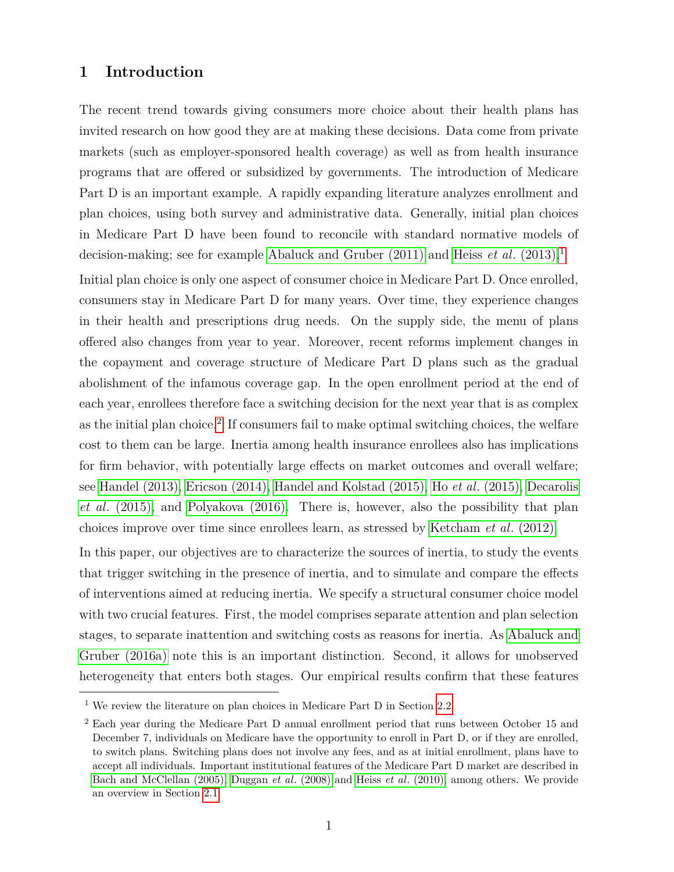## **1 Introduction**

The recent trend towards giving consumers more choice about their health plans has invited research on how good they are at making these decisions. Data come from private markets (such as employer-sponsored health coverage) as well as from health insurance programs that are offered or subsidized by governments. The introduction of Medicare Part D is an important example. A rapidly expanding literature analyzes enrollment and plan choices, using both survey and administrative data. Generally, initial plan choices in Medicare Part D have been found to reconcile with standard normative models of decision-making; see for example [Abaluck and Gruber \(2011\)](#page-38-0) and Heiss *et al*[. \(2013\).](#page-39-0)[1](#page-2-0)

Initial plan choice is only one aspect of consumer choice in Medicare Part D. Once enrolled, consumers stay in Medicare Part D for many years. Over time, they experience changes in their health and prescriptions drug needs. On the supply side, the menu of plans offered also changes from year to year. Moreover, recent reforms implement changes in the copayment and coverage structure of Medicare Part D plans such as the gradual abolishment of the infamous coverage gap. In the open enrollment period at the end of each year, enrollees therefore face a switching decision for the next year that is as complex as the initial plan choice.<sup>[2](#page-2-1)</sup> If consumers fail to make optimal switching choices, the welfare cost to them can be large. Inertia among health insurance enrollees also has implications for firm behavior, with potentially large effects on market outcomes and overall welfare; see [Handel \(2013\),](#page-39-1) [Ericson \(2014\),](#page-38-1) [Handel and Kolstad \(2015\),](#page-39-2) Ho *et al*[. \(2015\),](#page-39-3) [Decarolis](#page-38-2) *et al*[. \(2015\),](#page-38-2) and [Polyakova \(2016\).](#page-40-0) There is, however, also the possibility that plan choices improve over time since enrollees learn, as stressed by [Ketcham](#page-40-1) *et al*. (2012).

In this paper, our objectives are to characterize the sources of inertia, to study the events that trigger switching in the presence of inertia, and to simulate and compare the effects of interventions aimed at reducing inertia. We specify a structural consumer choice model with two crucial features. First, the model comprises separate attention and plan selection stages, to separate inattention and switching costs as reasons for inertia. As [Abaluck and](#page-38-3) [Gruber \(2016a\)](#page-38-3) note this is an important distinction. Second, it allows for unobserved heterogeneity that enters both stages. Our empirical results confirm that these features

<span id="page-2-0"></span> $^{\rm 1}$  We review the literature on plan choices in Medicare Part D in Section [2.2.](#page-9-0)

<span id="page-2-1"></span><sup>2</sup> Each year during the Medicare Part D annual enrollment period that runs between October 15 and December 7, individuals on Medicare have the opportunity to enroll in Part D, or if they are enrolled, to switch plans. Switching plans does not involve any fees, and as at initial enrollment, plans have to accept all individuals. Important institutional features of the Medicare Part D market are described in [Bach and McClellan \(2005\),](#page-38-4) Duggan *et al*[. \(2008\)](#page-38-5) and Heiss *et al*[. \(2010\),](#page-39-4) among others. We provide an overview in Section [2.1.](#page-7-0)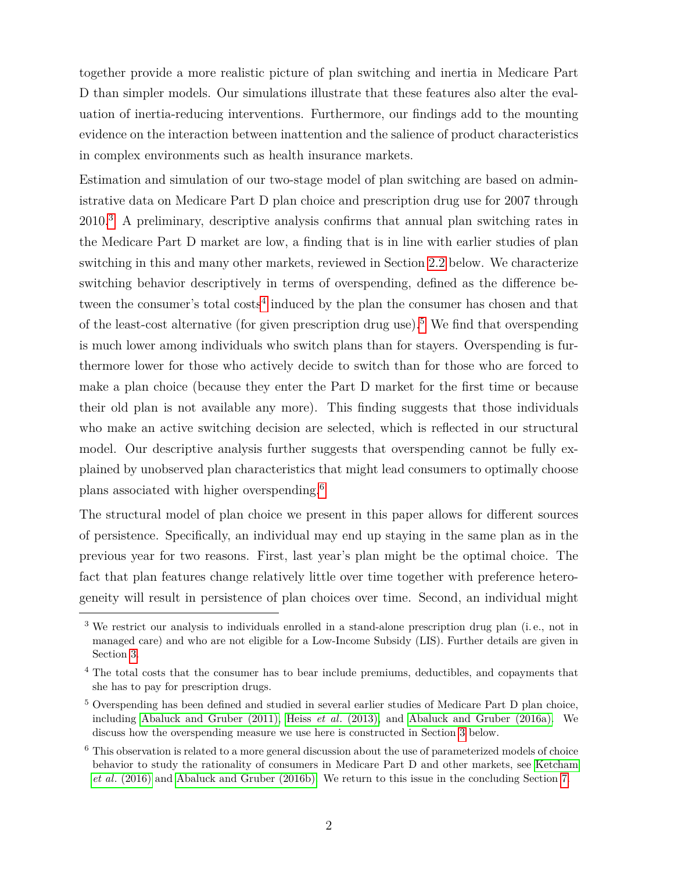together provide a more realistic picture of plan switching and inertia in Medicare Part D than simpler models. Our simulations illustrate that these features also alter the evaluation of inertia-reducing interventions. Furthermore, our findings add to the mounting evidence on the interaction between inattention and the salience of product characteristics in complex environments such as health insurance markets.

Estimation and simulation of our two-stage model of plan switching are based on administrative data on Medicare Part D plan choice and prescription drug use for 2007 through 2010.[3](#page-3-0) A preliminary, descriptive analysis confirms that annual plan switching rates in the Medicare Part D market are low, a finding that is in line with earlier studies of plan switching in this and many other markets, reviewed in Section [2.2](#page-9-0) below. We characterize switching behavior descriptively in terms of overspending, defined as the difference be-tween the consumer's total costs<sup>[4](#page-3-1)</sup> induced by the plan the consumer has chosen and that of the least-cost alternative (for given prescription drug use).<sup>[5](#page-3-2)</sup> We find that overspending is much lower among individuals who switch plans than for stayers. Overspending is furthermore lower for those who actively decide to switch than for those who are forced to make a plan choice (because they enter the Part D market for the first time or because their old plan is not available any more). This finding suggests that those individuals who make an active switching decision are selected, which is reflected in our structural model. Our descriptive analysis further suggests that overspending cannot be fully explained by unobserved plan characteristics that might lead consumers to optimally choose plans associated with higher overspending.[6](#page-3-3)

The structural model of plan choice we present in this paper allows for different sources of persistence. Specifically, an individual may end up staying in the same plan as in the previous year for two reasons. First, last year's plan might be the optimal choice. The fact that plan features change relatively little over time together with preference heterogeneity will result in persistence of plan choices over time. Second, an individual might

<span id="page-3-0"></span><sup>3</sup> We restrict our analysis to individuals enrolled in a stand-alone prescription drug plan (i. e., not in managed care) and who are not eligible for a Low-Income Subsidy (LIS). Further details are given in Section [3.](#page-11-0)

<span id="page-3-1"></span><sup>&</sup>lt;sup>4</sup> The total costs that the consumer has to bear include premiums, deductibles, and copayments that she has to pay for prescription drugs.

<span id="page-3-2"></span><sup>5</sup> Overspending has been defined and studied in several earlier studies of Medicare Part D plan choice, including [Abaluck and Gruber \(2011\),](#page-38-0) Heiss *et al*[. \(2013\),](#page-39-0) and [Abaluck and Gruber \(2016a\).](#page-38-3) We discuss how the overspending measure we use here is constructed in Section [3](#page-11-0) below.

<span id="page-3-3"></span><sup>&</sup>lt;sup>6</sup> This observation is related to a more general discussion about the use of parameterized models of choice behavior to study the rationality of consumers in Medicare Part D and other markets, see [Ketcham](#page-39-5) *et al*[. \(2016\)](#page-39-5) and [Abaluck and Gruber \(2016b\).](#page-38-6) We return to this issue in the concluding Section [7.](#page-35-0)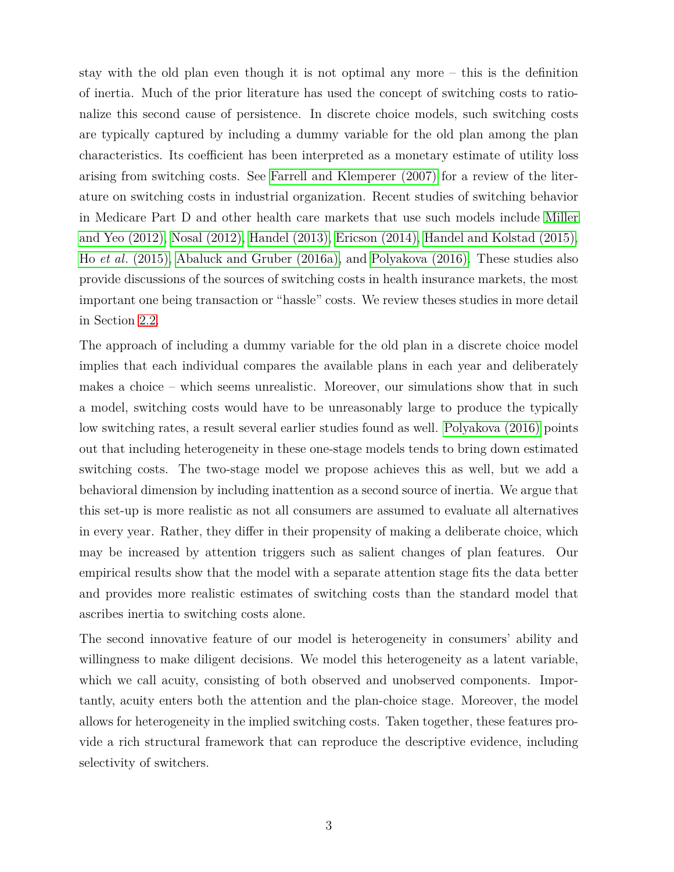stay with the old plan even though it is not optimal any more – this is the definition of inertia. Much of the prior literature has used the concept of switching costs to rationalize this second cause of persistence. In discrete choice models, such switching costs are typically captured by including a dummy variable for the old plan among the plan characteristics. Its coefficient has been interpreted as a monetary estimate of utility loss arising from switching costs. See [Farrell and Klemperer \(2007\)](#page-38-7) for a review of the literature on switching costs in industrial organization. Recent studies of switching behavior in Medicare Part D and other health care markets that use such models include [Miller](#page-40-2) [and Yeo \(2012\),](#page-40-2) [Nosal \(2012\),](#page-40-3) [Handel \(2013\),](#page-39-1) [Ericson \(2014\),](#page-38-1) [Handel and Kolstad \(2015\),](#page-39-2) Ho *et al*[. \(2015\),](#page-39-3) [Abaluck and Gruber \(2016a\),](#page-38-3) and [Polyakova \(2016\).](#page-40-0) These studies also provide discussions of the sources of switching costs in health insurance markets, the most important one being transaction or "hassle" costs. We review theses studies in more detail in Section [2.2.](#page-9-0)

The approach of including a dummy variable for the old plan in a discrete choice model implies that each individual compares the available plans in each year and deliberately makes a choice – which seems unrealistic. Moreover, our simulations show that in such a model, switching costs would have to be unreasonably large to produce the typically low switching rates, a result several earlier studies found as well. [Polyakova \(2016\)](#page-40-0) points out that including heterogeneity in these one-stage models tends to bring down estimated switching costs. The two-stage model we propose achieves this as well, but we add a behavioral dimension by including inattention as a second source of inertia. We argue that this set-up is more realistic as not all consumers are assumed to evaluate all alternatives in every year. Rather, they differ in their propensity of making a deliberate choice, which may be increased by attention triggers such as salient changes of plan features. Our empirical results show that the model with a separate attention stage fits the data better and provides more realistic estimates of switching costs than the standard model that ascribes inertia to switching costs alone.

The second innovative feature of our model is heterogeneity in consumers' ability and willingness to make diligent decisions. We model this heterogeneity as a latent variable, which we call acuity, consisting of both observed and unobserved components. Importantly, acuity enters both the attention and the plan-choice stage. Moreover, the model allows for heterogeneity in the implied switching costs. Taken together, these features provide a rich structural framework that can reproduce the descriptive evidence, including selectivity of switchers.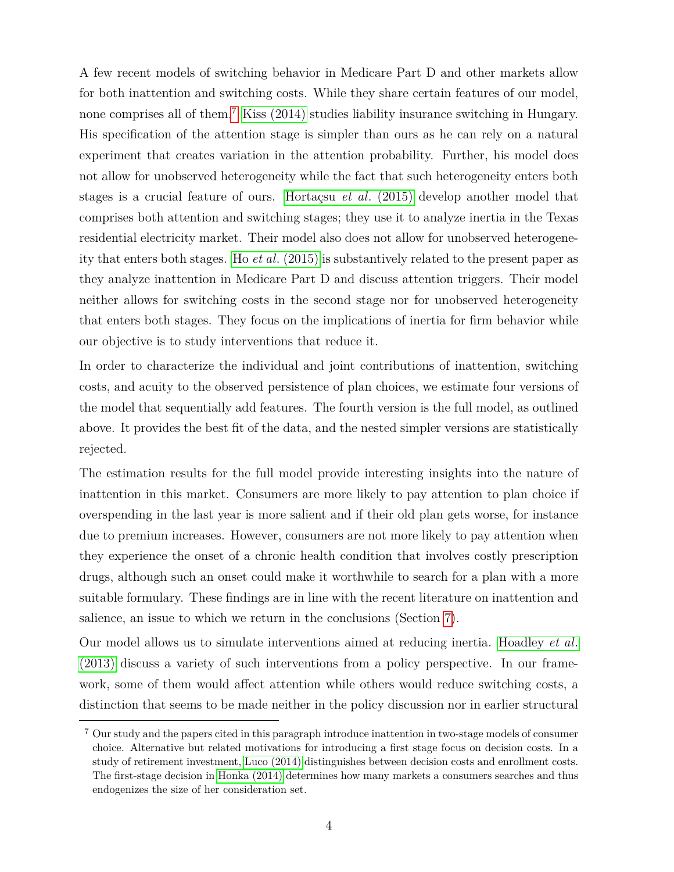A few recent models of switching behavior in Medicare Part D and other markets allow for both inattention and switching costs. While they share certain features of our model, none comprises all of them.[7](#page-5-0) [Kiss \(2014\)](#page-40-4) studies liability insurance switching in Hungary. His specification of the attention stage is simpler than ours as he can rely on a natural experiment that creates variation in the attention probability. Further, his model does not allow for unobserved heterogeneity while the fact that such heterogeneity enters both stages is a crucial feature of ours. [Hortaçsu](#page-39-6) *et al*. (2015) develop another model that comprises both attention and switching stages; they use it to analyze inertia in the Texas residential electricity market. Their model also does not allow for unobserved heterogeneity that enters both stages. Ho *et al*[. \(2015\)](#page-39-3) is substantively related to the present paper as they analyze inattention in Medicare Part D and discuss attention triggers. Their model neither allows for switching costs in the second stage nor for unobserved heterogeneity that enters both stages. They focus on the implications of inertia for firm behavior while our objective is to study interventions that reduce it.

In order to characterize the individual and joint contributions of inattention, switching costs, and acuity to the observed persistence of plan choices, we estimate four versions of the model that sequentially add features. The fourth version is the full model, as outlined above. It provides the best fit of the data, and the nested simpler versions are statistically rejected.

The estimation results for the full model provide interesting insights into the nature of inattention in this market. Consumers are more likely to pay attention to plan choice if overspending in the last year is more salient and if their old plan gets worse, for instance due to premium increases. However, consumers are not more likely to pay attention when they experience the onset of a chronic health condition that involves costly prescription drugs, although such an onset could make it worthwhile to search for a plan with a more suitable formulary. These findings are in line with the recent literature on inattention and salience, an issue to which we return in the conclusions (Section [7\)](#page-35-0).

Our model allows us to simulate interventions aimed at reducing inertia. [Hoadley](#page-39-7) *et al*. [\(2013\)](#page-39-7) discuss a variety of such interventions from a policy perspective. In our framework, some of them would affect attention while others would reduce switching costs, a distinction that seems to be made neither in the policy discussion nor in earlier structural

<span id="page-5-0"></span><sup>7</sup> Our study and the papers cited in this paragraph introduce inattention in two-stage models of consumer choice. Alternative but related motivations for introducing a first stage focus on decision costs. In a study of retirement investment, [Luco \(2014\)](#page-40-5) distinguishes between decision costs and enrollment costs. The first-stage decision in [Honka \(2014\)](#page-39-8) determines how many markets a consumers searches and thus endogenizes the size of her consideration set.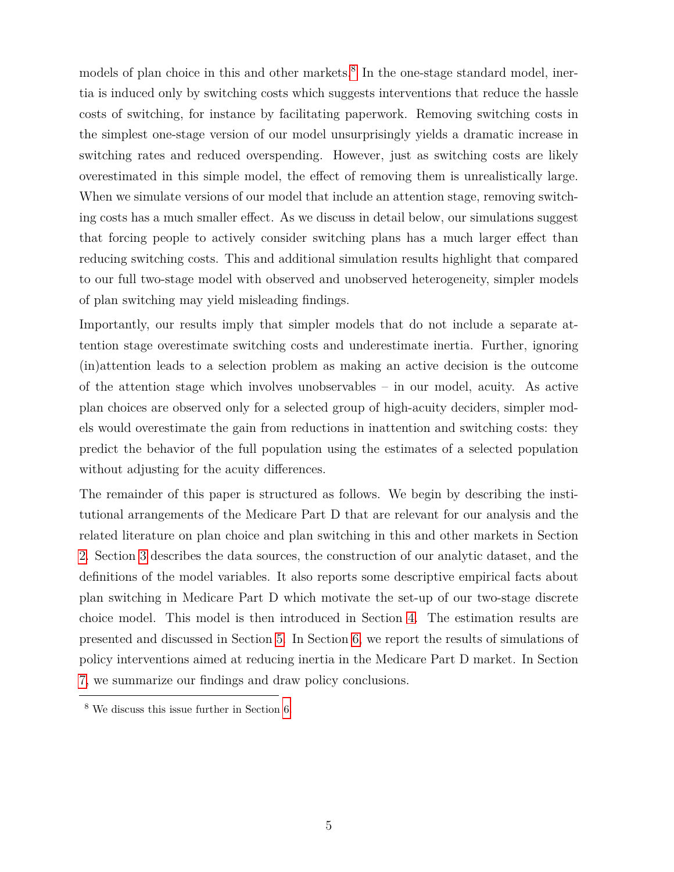models of plan choice in this and other markets.<sup>[8](#page-6-0)</sup> In the one-stage standard model, inertia is induced only by switching costs which suggests interventions that reduce the hassle costs of switching, for instance by facilitating paperwork. Removing switching costs in the simplest one-stage version of our model unsurprisingly yields a dramatic increase in switching rates and reduced overspending. However, just as switching costs are likely overestimated in this simple model, the effect of removing them is unrealistically large. When we simulate versions of our model that include an attention stage, removing switching costs has a much smaller effect. As we discuss in detail below, our simulations suggest that forcing people to actively consider switching plans has a much larger effect than reducing switching costs. This and additional simulation results highlight that compared to our full two-stage model with observed and unobserved heterogeneity, simpler models of plan switching may yield misleading findings.

Importantly, our results imply that simpler models that do not include a separate attention stage overestimate switching costs and underestimate inertia. Further, ignoring (in)attention leads to a selection problem as making an active decision is the outcome of the attention stage which involves unobservables – in our model, acuity. As active plan choices are observed only for a selected group of high-acuity deciders, simpler models would overestimate the gain from reductions in inattention and switching costs: they predict the behavior of the full population using the estimates of a selected population without adjusting for the acuity differences.

The remainder of this paper is structured as follows. We begin by describing the institutional arrangements of the Medicare Part D that are relevant for our analysis and the related literature on plan choice and plan switching in this and other markets in Section [2.](#page-7-1) Section [3](#page-11-0) describes the data sources, the construction of our analytic dataset, and the definitions of the model variables. It also reports some descriptive empirical facts about plan switching in Medicare Part D which motivate the set-up of our two-stage discrete choice model. This model is then introduced in Section [4.](#page-16-0) The estimation results are presented and discussed in Section [5.](#page-23-0) In Section [6,](#page-33-0) we report the results of simulations of policy interventions aimed at reducing inertia in the Medicare Part D market. In Section [7,](#page-35-0) we summarize our findings and draw policy conclusions.

<span id="page-6-0"></span><sup>8</sup> We discuss this issue further in Section [6.](#page-33-0)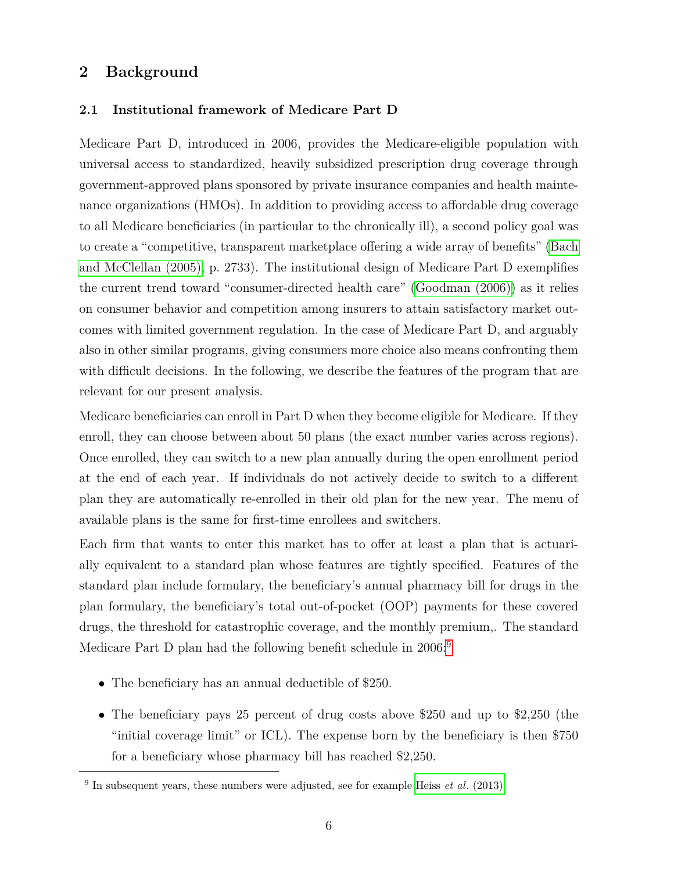## <span id="page-7-1"></span>**2 Background**

### <span id="page-7-0"></span>**2.1 Institutional framework of Medicare Part D**

Medicare Part D, introduced in 2006, provides the Medicare-eligible population with universal access to standardized, heavily subsidized prescription drug coverage through government-approved plans sponsored by private insurance companies and health maintenance organizations (HMOs). In addition to providing access to affordable drug coverage to all Medicare beneficiaries (in particular to the chronically ill), a second policy goal was to create a "competitive, transparent marketplace offering a wide array of benefits" [\(Bach](#page-38-4) [and McClellan \(2005\),](#page-38-4) p. 2733). The institutional design of Medicare Part D exemplifies the current trend toward "consumer-directed health care" [\(Goodman \(2006\)\)](#page-39-9) as it relies on consumer behavior and competition among insurers to attain satisfactory market outcomes with limited government regulation. In the case of Medicare Part D, and arguably also in other similar programs, giving consumers more choice also means confronting them with difficult decisions. In the following, we describe the features of the program that are relevant for our present analysis.

Medicare beneficiaries can enroll in Part D when they become eligible for Medicare. If they enroll, they can choose between about 50 plans (the exact number varies across regions). Once enrolled, they can switch to a new plan annually during the open enrollment period at the end of each year. If individuals do not actively decide to switch to a different plan they are automatically re-enrolled in their old plan for the new year. The menu of available plans is the same for first-time enrollees and switchers.

Each firm that wants to enter this market has to offer at least a plan that is actuarially equivalent to a standard plan whose features are tightly specified. Features of the standard plan include formulary, the beneficiary's annual pharmacy bill for drugs in the plan formulary, the beneficiary's total out-of-pocket (OOP) payments for these covered drugs, the threshold for catastrophic coverage, and the monthly premium,. The standard Medicare Part D plan had the following benefit schedule in 2006:<sup>[9](#page-7-2)</sup>

- The beneficiary has an annual deductible of \$250.
- The beneficiary pays 25 percent of drug costs above \$250 and up to \$2,250 (the "initial coverage limit" or ICL). The expense born by the beneficiary is then \$750 for a beneficiary whose pharmacy bill has reached \$2,250.

<span id="page-7-2"></span><sup>9</sup> In subsequent years, these numbers were adjusted, see for example Heiss *et al*[. \(2013\).](#page-39-0)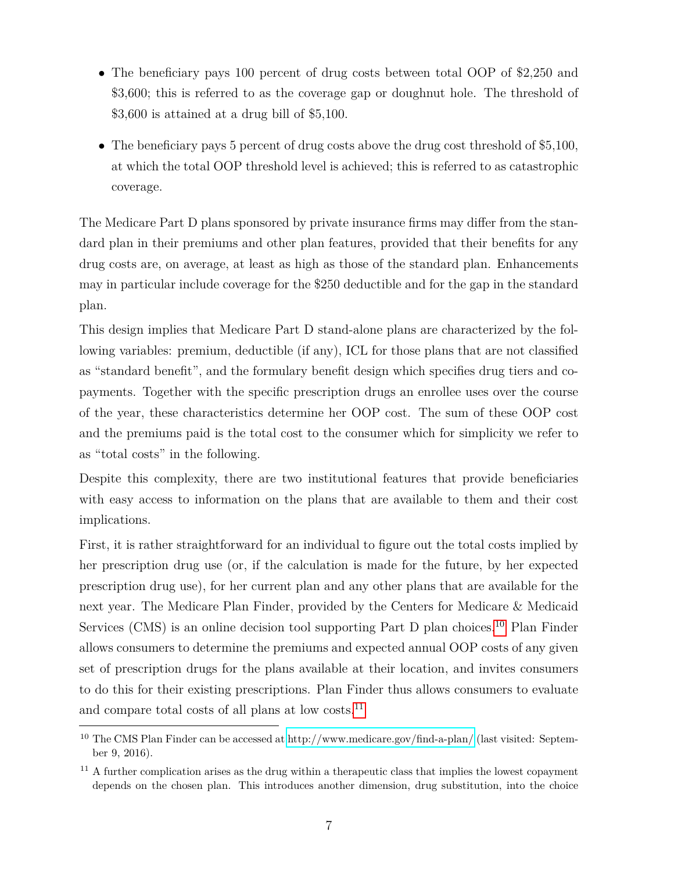- The beneficiary pays 100 percent of drug costs between total OOP of \$2,250 and \$3,600; this is referred to as the coverage gap or doughnut hole. The threshold of \$3,600 is attained at a drug bill of \$5,100.
- The beneficiary pays 5 percent of drug costs above the drug cost threshold of \$5,100, at which the total OOP threshold level is achieved; this is referred to as catastrophic coverage.

The Medicare Part D plans sponsored by private insurance firms may differ from the standard plan in their premiums and other plan features, provided that their benefits for any drug costs are, on average, at least as high as those of the standard plan. Enhancements may in particular include coverage for the \$250 deductible and for the gap in the standard plan.

This design implies that Medicare Part D stand-alone plans are characterized by the following variables: premium, deductible (if any), ICL for those plans that are not classified as "standard benefit", and the formulary benefit design which specifies drug tiers and copayments. Together with the specific prescription drugs an enrollee uses over the course of the year, these characteristics determine her OOP cost. The sum of these OOP cost and the premiums paid is the total cost to the consumer which for simplicity we refer to as "total costs" in the following.

Despite this complexity, there are two institutional features that provide beneficiaries with easy access to information on the plans that are available to them and their cost implications.

First, it is rather straightforward for an individual to figure out the total costs implied by her prescription drug use (or, if the calculation is made for the future, by her expected prescription drug use), for her current plan and any other plans that are available for the next year. The Medicare Plan Finder, provided by the Centers for Medicare & Medicaid Services (CMS) is an online decision tool supporting Part  $D$  plan choices.<sup>[10](#page-8-0)</sup> Plan Finder allows consumers to determine the premiums and expected annual OOP costs of any given set of prescription drugs for the plans available at their location, and invites consumers to do this for their existing prescriptions. Plan Finder thus allows consumers to evaluate and compare total costs of all plans at low costs.<sup>[11](#page-8-1)</sup>

<span id="page-8-0"></span><sup>10</sup> The CMS Plan Finder can be accessed at<http://www.medicare.gov/find-a-plan/> (last visited: September 9, 2016).

<span id="page-8-1"></span><sup>&</sup>lt;sup>11</sup> A further complication arises as the drug within a therapeutic class that implies the lowest copayment depends on the chosen plan. This introduces another dimension, drug substitution, into the choice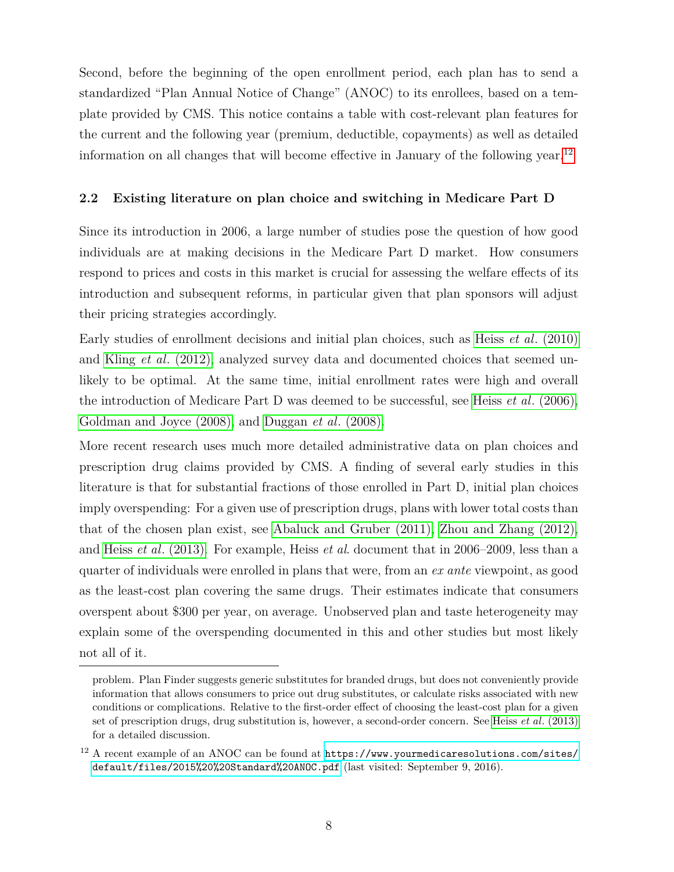Second, before the beginning of the open enrollment period, each plan has to send a standardized "Plan Annual Notice of Change" (ANOC) to its enrollees, based on a template provided by CMS. This notice contains a table with cost-relevant plan features for the current and the following year (premium, deductible, copayments) as well as detailed information on all changes that will become effective in January of the following year.<sup>[12](#page-9-1)</sup>

### <span id="page-9-0"></span>**2.2 Existing literature on plan choice and switching in Medicare Part D**

Since its introduction in 2006, a large number of studies pose the question of how good individuals are at making decisions in the Medicare Part D market. How consumers respond to prices and costs in this market is crucial for assessing the welfare effects of its introduction and subsequent reforms, in particular given that plan sponsors will adjust their pricing strategies accordingly.

Early studies of enrollment decisions and initial plan choices, such as Heiss *et al*[. \(2010\)](#page-39-4) and Kling *et al*[. \(2012\),](#page-40-6) analyzed survey data and documented choices that seemed unlikely to be optimal. At the same time, initial enrollment rates were high and overall the introduction of Medicare Part D was deemed to be successful, see Heiss *et al*[. \(2006\),](#page-39-10) [Goldman and Joyce \(2008\),](#page-39-11) and [Duggan](#page-38-5) *et al*. (2008).

More recent research uses much more detailed administrative data on plan choices and prescription drug claims provided by CMS. A finding of several early studies in this literature is that for substantial fractions of those enrolled in Part D, initial plan choices imply overspending: For a given use of prescription drugs, plans with lower total costs than that of the chosen plan exist, see [Abaluck and Gruber \(2011\),](#page-38-0) [Zhou and Zhang \(2012\),](#page-40-7) and Heiss *et al*[. \(2013\).](#page-39-0) For example, Heiss *et al*. document that in 2006–2009, less than a quarter of individuals were enrolled in plans that were, from an *ex ante* viewpoint, as good as the least-cost plan covering the same drugs. Their estimates indicate that consumers overspent about \$300 per year, on average. Unobserved plan and taste heterogeneity may explain some of the overspending documented in this and other studies but most likely not all of it.

problem. Plan Finder suggests generic substitutes for branded drugs, but does not conveniently provide information that allows consumers to price out drug substitutes, or calculate risks associated with new conditions or complications. Relative to the first-order effect of choosing the least-cost plan for a given set of prescription drugs, drug substitution is, however, a second-order concern. See Heiss *et al*[. \(2013\)](#page-39-0) for a detailed discussion.

<span id="page-9-1"></span> $^{12}$  A recent example of an ANOC can be found at  $\mathtt{https://www.yourmedicaresolutions.com/sites/}$  $\mathtt{https://www.yourmedicaresolutions.com/sites/}$  $\mathtt{https://www.yourmedicaresolutions.com/sites/}$ [default/files/2015%20%20Standard%20ANOC.pdf](https://www.yourmedicaresolutions.com/sites/default/files/2015%20%20Standard%20ANOC.pdf) (last visited: September 9, 2016).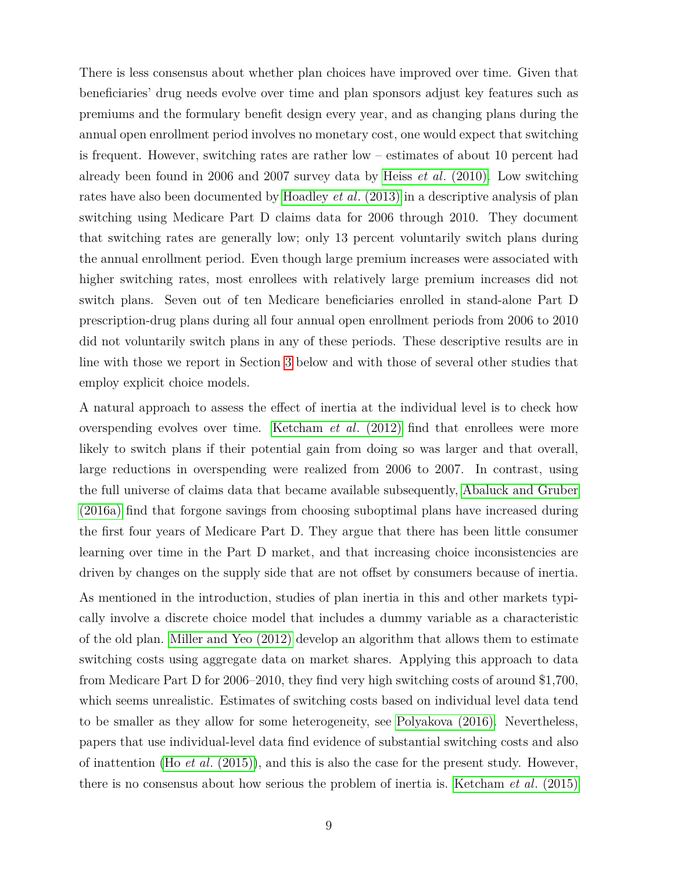There is less consensus about whether plan choices have improved over time. Given that beneficiaries' drug needs evolve over time and plan sponsors adjust key features such as premiums and the formulary benefit design every year, and as changing plans during the annual open enrollment period involves no monetary cost, one would expect that switching is frequent. However, switching rates are rather low – estimates of about 10 percent had already been found in 2006 and 2007 survey data by Heiss *et al*[. \(2010\).](#page-39-4) Low switching rates have also been documented by [Hoadley](#page-39-7) *et al*. (2013) in a descriptive analysis of plan switching using Medicare Part D claims data for 2006 through 2010. They document that switching rates are generally low; only 13 percent voluntarily switch plans during the annual enrollment period. Even though large premium increases were associated with higher switching rates, most enrollees with relatively large premium increases did not switch plans. Seven out of ten Medicare beneficiaries enrolled in stand-alone Part D prescription-drug plans during all four annual open enrollment periods from 2006 to 2010 did not voluntarily switch plans in any of these periods. These descriptive results are in line with those we report in Section [3](#page-11-0) below and with those of several other studies that employ explicit choice models.

A natural approach to assess the effect of inertia at the individual level is to check how overspending evolves over time. [Ketcham](#page-40-1) *et al*. (2012) find that enrollees were more likely to switch plans if their potential gain from doing so was larger and that overall, large reductions in overspending were realized from 2006 to 2007. In contrast, using the full universe of claims data that became available subsequently, [Abaluck and Gruber](#page-38-3) [\(2016a\)](#page-38-3) find that forgone savings from choosing suboptimal plans have increased during the first four years of Medicare Part D. They argue that there has been little consumer learning over time in the Part D market, and that increasing choice inconsistencies are driven by changes on the supply side that are not offset by consumers because of inertia. As mentioned in the introduction, studies of plan inertia in this and other markets typically involve a discrete choice model that includes a dummy variable as a characteristic of the old plan. [Miller and Yeo \(2012\)](#page-40-2) develop an algorithm that allows them to estimate switching costs using aggregate data on market shares. Applying this approach to data from Medicare Part D for 2006–2010, they find very high switching costs of around \$1,700, which seems unrealistic. Estimates of switching costs based on individual level data tend to be smaller as they allow for some heterogeneity, see [Polyakova \(2016\).](#page-40-0) Nevertheless, papers that use individual-level data find evidence of substantial switching costs and also of inattention (Ho *et al*[. \(2015\)\)](#page-39-3), and this is also the case for the present study. However, there is no consensus about how serious the problem of inertia is. [Ketcham](#page-40-8) *et al*. (2015)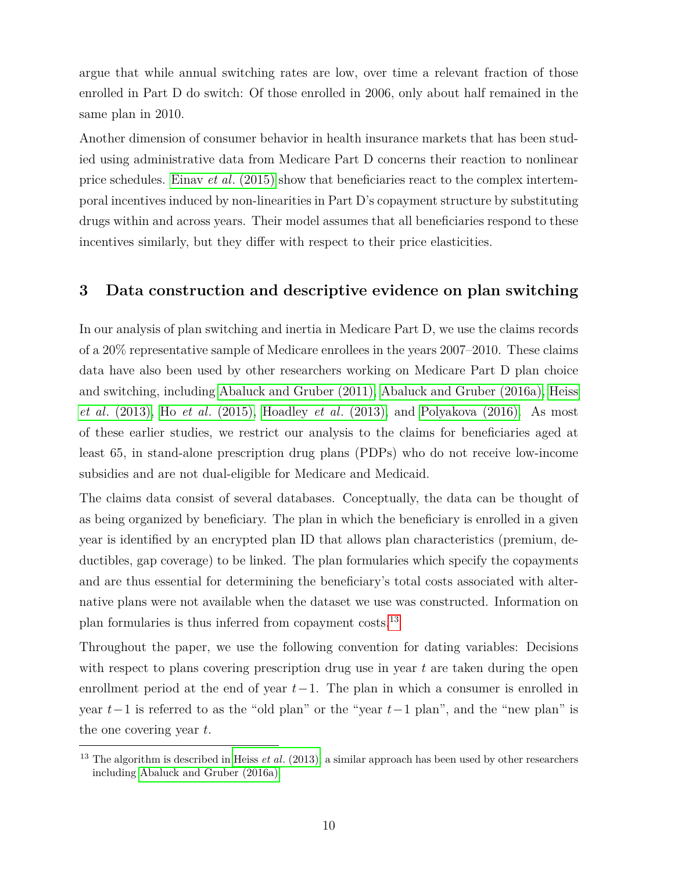argue that while annual switching rates are low, over time a relevant fraction of those enrolled in Part D do switch: Of those enrolled in 2006, only about half remained in the same plan in 2010.

Another dimension of consumer behavior in health insurance markets that has been studied using administrative data from Medicare Part D concerns their reaction to nonlinear price schedules. Einav *et al*[. \(2015\)](#page-38-8) show that beneficiaries react to the complex intertemporal incentives induced by non-linearities in Part D's copayment structure by substituting drugs within and across years. Their model assumes that all beneficiaries respond to these incentives similarly, but they differ with respect to their price elasticities.

## <span id="page-11-0"></span>**3 Data construction and descriptive evidence on plan switching**

In our analysis of plan switching and inertia in Medicare Part D, we use the claims records of a 20% representative sample of Medicare enrollees in the years 2007–2010. These claims data have also been used by other researchers working on Medicare Part D plan choice and switching, including [Abaluck and Gruber \(2011\),](#page-38-0) [Abaluck and Gruber \(2016a\),](#page-38-3) [Heiss](#page-39-0) *et al*[. \(2013\),](#page-39-0) Ho *et al*[. \(2015\),](#page-39-3) [Hoadley](#page-39-7) *et al*. (2013), and [Polyakova \(2016\).](#page-40-0) As most of these earlier studies, we restrict our analysis to the claims for beneficiaries aged at least 65, in stand-alone prescription drug plans (PDPs) who do not receive low-income subsidies and are not dual-eligible for Medicare and Medicaid.

The claims data consist of several databases. Conceptually, the data can be thought of as being organized by beneficiary. The plan in which the beneficiary is enrolled in a given year is identified by an encrypted plan ID that allows plan characteristics (premium, deductibles, gap coverage) to be linked. The plan formularies which specify the copayments and are thus essential for determining the beneficiary's total costs associated with alternative plans were not available when the dataset we use was constructed. Information on plan formularies is thus inferred from copayment costs.[13](#page-11-1)

Throughout the paper, we use the following convention for dating variables: Decisions with respect to plans covering prescription drug use in year *t* are taken during the open enrollment period at the end of year *t*−1. The plan in which a consumer is enrolled in year *t*−1 is referred to as the "old plan" or the "year *t*−1 plan", and the "new plan" is the one covering year *t*.

<span id="page-11-1"></span><sup>13</sup> The algorithm is described in Heiss *et al*[. \(2013\);](#page-39-0) a similar approach has been used by other researchers including [Abaluck and Gruber \(2016a\).](#page-38-3)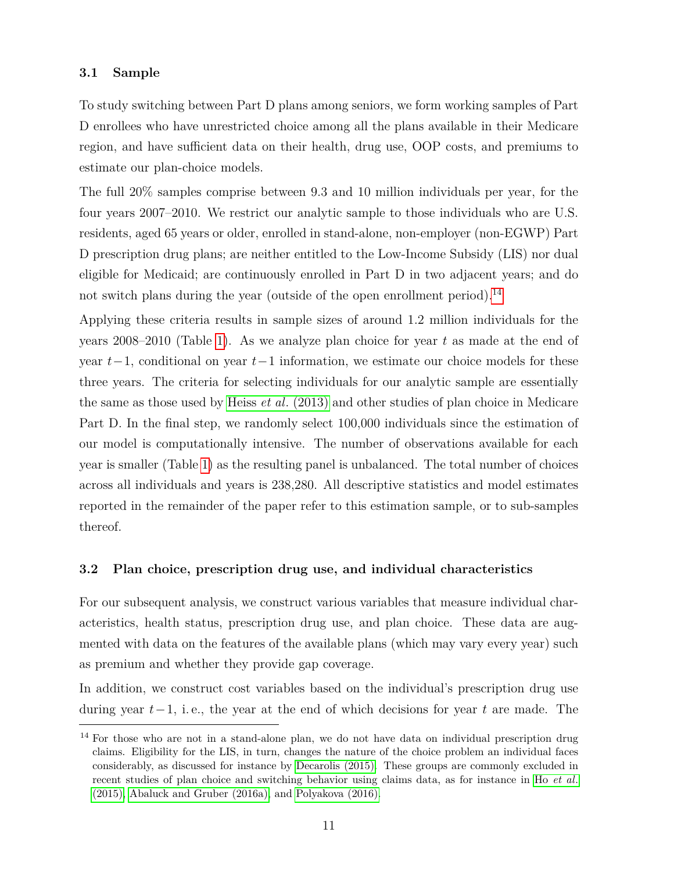#### <span id="page-12-1"></span>**3.1 Sample**

To study switching between Part D plans among seniors, we form working samples of Part D enrollees who have unrestricted choice among all the plans available in their Medicare region, and have sufficient data on their health, drug use, OOP costs, and premiums to estimate our plan-choice models.

The full 20% samples comprise between 9.3 and 10 million individuals per year, for the four years 2007–2010. We restrict our analytic sample to those individuals who are U.S. residents, aged 65 years or older, enrolled in stand-alone, non-employer (non-EGWP) Part D prescription drug plans; are neither entitled to the Low-Income Subsidy (LIS) nor dual eligible for Medicaid; are continuously enrolled in Part D in two adjacent years; and do not switch plans during the year (outside of the open enrollment period).<sup>[14](#page-12-0)</sup>

Applying these criteria results in sample sizes of around 1.2 million individuals for the years 2008–2010 (Table [1\)](#page-41-0). As we analyze plan choice for year *t* as made at the end of year *t*−1, conditional on year *t*−1 information, we estimate our choice models for these three years. The criteria for selecting individuals for our analytic sample are essentially the same as those used by Heiss *et al*[. \(2013\)](#page-39-0) and other studies of plan choice in Medicare Part D. In the final step, we randomly select 100,000 individuals since the estimation of our model is computationally intensive. The number of observations available for each year is smaller (Table [1\)](#page-41-0) as the resulting panel is unbalanced. The total number of choices across all individuals and years is 238,280. All descriptive statistics and model estimates reported in the remainder of the paper refer to this estimation sample, or to sub-samples thereof.

### **3.2 Plan choice, prescription drug use, and individual characteristics**

For our subsequent analysis, we construct various variables that measure individual characteristics, health status, prescription drug use, and plan choice. These data are augmented with data on the features of the available plans (which may vary every year) such as premium and whether they provide gap coverage.

In addition, we construct cost variables based on the individual's prescription drug use during year *t*−1, i. e., the year at the end of which decisions for year *t* are made. The

<span id="page-12-0"></span><sup>&</sup>lt;sup>14</sup> For those who are not in a stand-alone plan, we do not have data on individual prescription drug claims. Eligibility for the LIS, in turn, changes the nature of the choice problem an individual faces considerably, as discussed for instance by [Decarolis \(2015\).](#page-38-9) These groups are commonly excluded in recent studies of plan choice and switching behavior using claims data, as for instance in Ho *[et al](#page-39-3)*. [\(2015\),](#page-39-3) [Abaluck and Gruber \(2016a\),](#page-38-3) and [Polyakova \(2016\).](#page-40-0)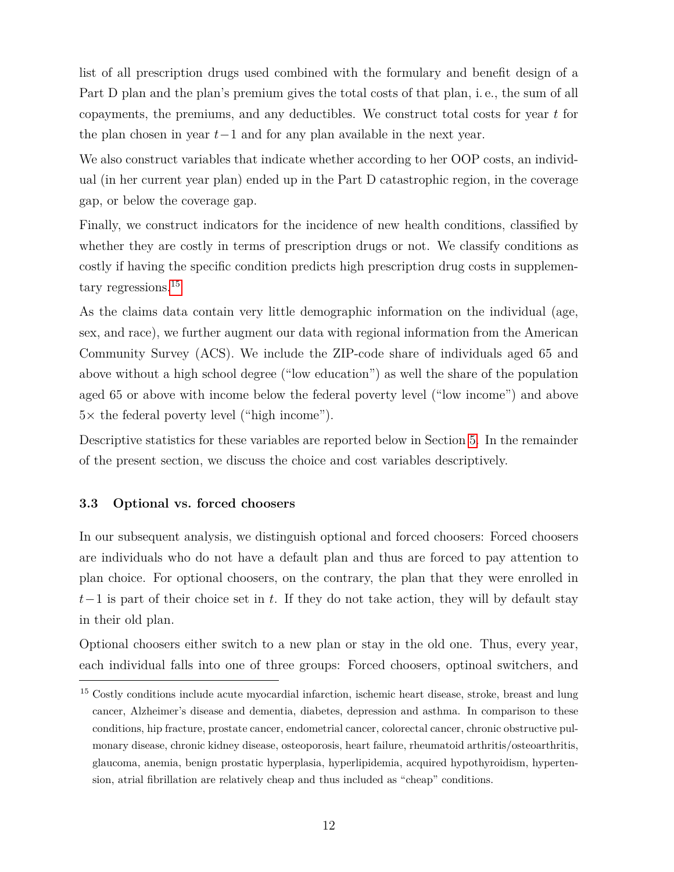list of all prescription drugs used combined with the formulary and benefit design of a Part D plan and the plan's premium gives the total costs of that plan, i. e., the sum of all copayments, the premiums, and any deductibles. We construct total costs for year *t* for the plan chosen in year *t*−1 and for any plan available in the next year.

We also construct variables that indicate whether according to her OOP costs, an individual (in her current year plan) ended up in the Part D catastrophic region, in the coverage gap, or below the coverage gap.

Finally, we construct indicators for the incidence of new health conditions, classified by whether they are costly in terms of prescription drugs or not. We classify conditions as costly if having the specific condition predicts high prescription drug costs in supplemen-tary regressions.<sup>[15](#page-13-0)</sup>

As the claims data contain very little demographic information on the individual (age, sex, and race), we further augment our data with regional information from the American Community Survey (ACS). We include the ZIP-code share of individuals aged 65 and above without a high school degree ("low education") as well the share of the population aged 65 or above with income below the federal poverty level ("low income") and above  $5\times$  the federal poverty level ("high income").

Descriptive statistics for these variables are reported below in Section [5.](#page-23-0) In the remainder of the present section, we discuss the choice and cost variables descriptively.

#### **3.3 Optional vs. forced choosers**

In our subsequent analysis, we distinguish optional and forced choosers: Forced choosers are individuals who do not have a default plan and thus are forced to pay attention to plan choice. For optional choosers, on the contrary, the plan that they were enrolled in *t*−1 is part of their choice set in *t*. If they do not take action, they will by default stay in their old plan.

Optional choosers either switch to a new plan or stay in the old one. Thus, every year, each individual falls into one of three groups: Forced choosers, optinoal switchers, and

<span id="page-13-0"></span><sup>&</sup>lt;sup>15</sup> Costly conditions include acute myocardial infarction, ischemic heart disease, stroke, breast and lung cancer, Alzheimer's disease and dementia, diabetes, depression and asthma. In comparison to these conditions, hip fracture, prostate cancer, endometrial cancer, colorectal cancer, chronic obstructive pulmonary disease, chronic kidney disease, osteoporosis, heart failure, rheumatoid arthritis/osteoarthritis, glaucoma, anemia, benign prostatic hyperplasia, hyperlipidemia, acquired hypothyroidism, hypertension, atrial fibrillation are relatively cheap and thus included as "cheap" conditions.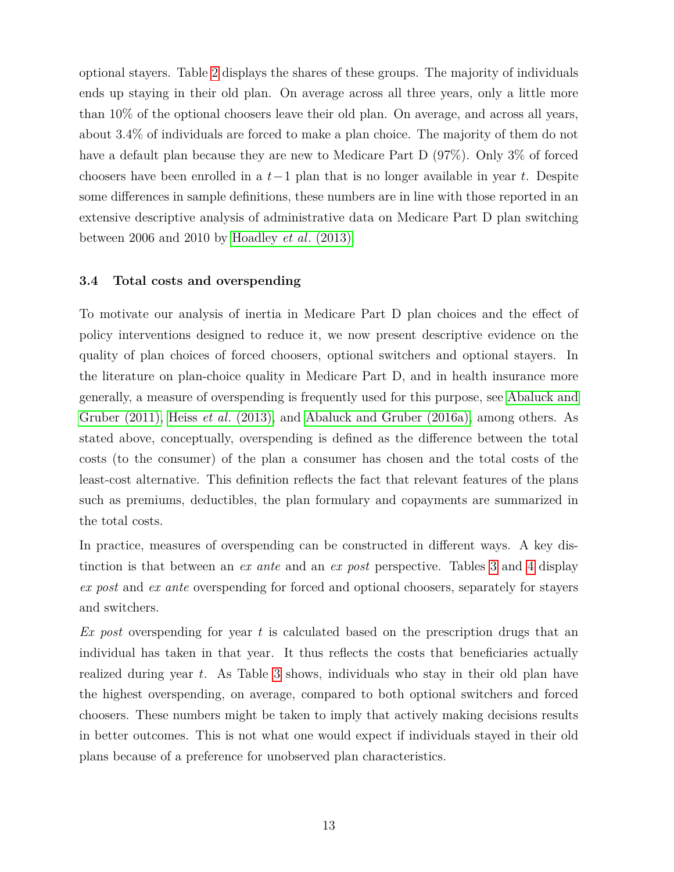optional stayers. Table [2](#page-42-0) displays the shares of these groups. The majority of individuals ends up staying in their old plan. On average across all three years, only a little more than 10% of the optional choosers leave their old plan. On average, and across all years, about 3.4% of individuals are forced to make a plan choice. The majority of them do not have a default plan because they are new to Medicare Part D (97%). Only 3% of forced choosers have been enrolled in a *t*−1 plan that is no longer available in year *t*. Despite some differences in sample definitions, these numbers are in line with those reported in an extensive descriptive analysis of administrative data on Medicare Part D plan switching between 2006 and 2010 by [Hoadley](#page-39-7) *et al*. (2013).

### <span id="page-14-0"></span>**3.4 Total costs and overspending**

To motivate our analysis of inertia in Medicare Part D plan choices and the effect of policy interventions designed to reduce it, we now present descriptive evidence on the quality of plan choices of forced choosers, optional switchers and optional stayers. In the literature on plan-choice quality in Medicare Part D, and in health insurance more generally, a measure of overspending is frequently used for this purpose, see [Abaluck and](#page-38-0) [Gruber \(2011\),](#page-38-0) Heiss *et al*[. \(2013\),](#page-39-0) and [Abaluck and Gruber \(2016a\),](#page-38-3) among others. As stated above, conceptually, overspending is defined as the difference between the total costs (to the consumer) of the plan a consumer has chosen and the total costs of the least-cost alternative. This definition reflects the fact that relevant features of the plans such as premiums, deductibles, the plan formulary and copayments are summarized in the total costs.

In practice, measures of overspending can be constructed in different ways. A key distinction is that between an *ex ante* and an *ex post* perspective. Tables [3](#page-43-0) and [4](#page-44-0) display *ex post* and *ex ante* overspending for forced and optional choosers, separately for stayers and switchers.

*Ex post* overspending for year *t* is calculated based on the prescription drugs that an individual has taken in that year. It thus reflects the costs that beneficiaries actually realized during year *t*. As Table [3](#page-43-0) shows, individuals who stay in their old plan have the highest overspending, on average, compared to both optional switchers and forced choosers. These numbers might be taken to imply that actively making decisions results in better outcomes. This is not what one would expect if individuals stayed in their old plans because of a preference for unobserved plan characteristics.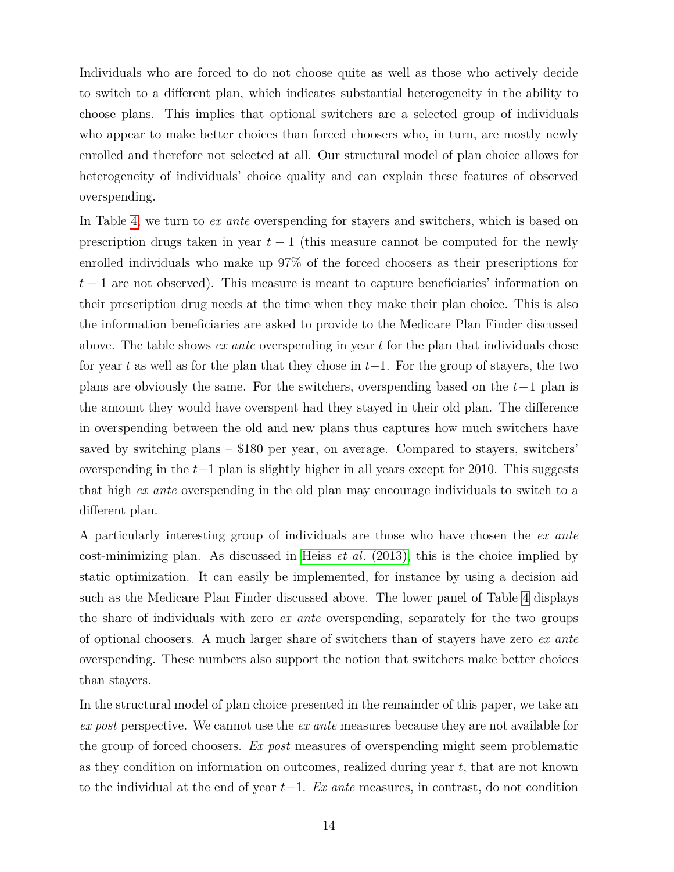Individuals who are forced to do not choose quite as well as those who actively decide to switch to a different plan, which indicates substantial heterogeneity in the ability to choose plans. This implies that optional switchers are a selected group of individuals who appear to make better choices than forced choosers who, in turn, are mostly newly enrolled and therefore not selected at all. Our structural model of plan choice allows for heterogeneity of individuals' choice quality and can explain these features of observed overspending.

In Table [4,](#page-44-0) we turn to *ex ante* overspending for stayers and switchers, which is based on prescription drugs taken in year  $t-1$  (this measure cannot be computed for the newly enrolled individuals who make up 97% of the forced choosers as their prescriptions for *t* − 1 are not observed). This measure is meant to capture beneficiaries' information on their prescription drug needs at the time when they make their plan choice. This is also the information beneficiaries are asked to provide to the Medicare Plan Finder discussed above. The table shows *ex ante* overspending in year *t* for the plan that individuals chose for year *t* as well as for the plan that they chose in *t*−1. For the group of stayers, the two plans are obviously the same. For the switchers, overspending based on the *t*−1 plan is the amount they would have overspent had they stayed in their old plan. The difference in overspending between the old and new plans thus captures how much switchers have saved by switching plans  $-$  \$180 per year, on average. Compared to stayers, switchers' overspending in the *t*−1 plan is slightly higher in all years except for 2010. This suggests that high *ex ante* overspending in the old plan may encourage individuals to switch to a different plan.

A particularly interesting group of individuals are those who have chosen the *ex ante* cost-minimizing plan. As discussed in Heiss *et al*[. \(2013\),](#page-39-0) this is the choice implied by static optimization. It can easily be implemented, for instance by using a decision aid such as the Medicare Plan Finder discussed above. The lower panel of Table [4](#page-44-0) displays the share of individuals with zero *ex ante* overspending, separately for the two groups of optional choosers. A much larger share of switchers than of stayers have zero *ex ante* overspending. These numbers also support the notion that switchers make better choices than stayers.

In the structural model of plan choice presented in the remainder of this paper, we take an *ex post* perspective. We cannot use the *ex ante* measures because they are not available for the group of forced choosers. *Ex post* measures of overspending might seem problematic as they condition on information on outcomes, realized during year *t*, that are not known to the individual at the end of year *t*−1. *Ex ante* measures, in contrast, do not condition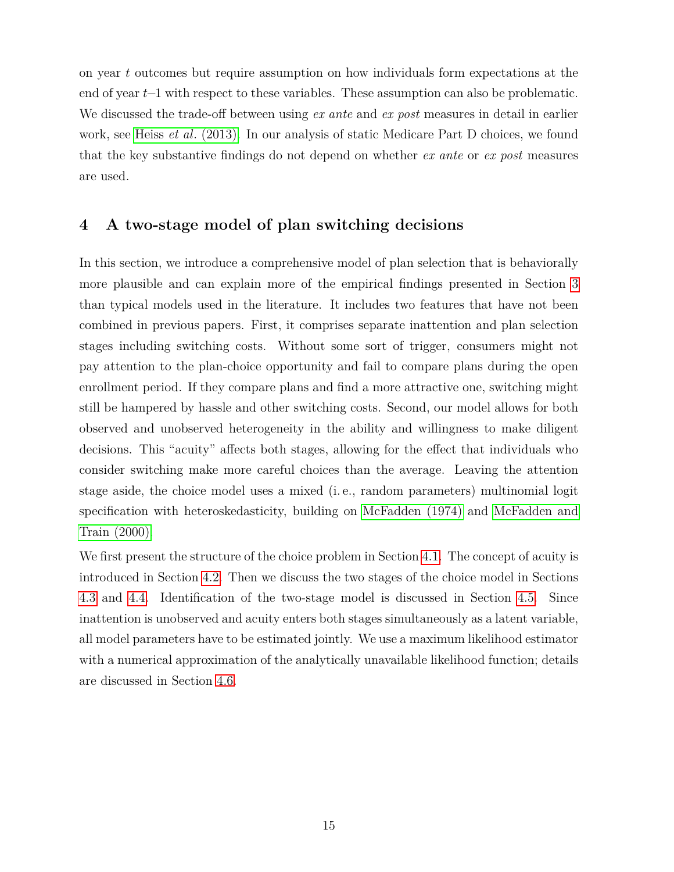on year *t* outcomes but require assumption on how individuals form expectations at the end of year *t*−1 with respect to these variables. These assumption can also be problematic. We discussed the trade-off between using *ex ante* and *ex post* measures in detail in earlier work, see Heiss *et al*[. \(2013\).](#page-39-0) In our analysis of static Medicare Part D choices, we found that the key substantive findings do not depend on whether *ex ante* or *ex post* measures are used.

## <span id="page-16-0"></span>**4 A two-stage model of plan switching decisions**

In this section, we introduce a comprehensive model of plan selection that is behaviorally more plausible and can explain more of the empirical findings presented in Section [3](#page-11-0) than typical models used in the literature. It includes two features that have not been combined in previous papers. First, it comprises separate inattention and plan selection stages including switching costs. Without some sort of trigger, consumers might not pay attention to the plan-choice opportunity and fail to compare plans during the open enrollment period. If they compare plans and find a more attractive one, switching might still be hampered by hassle and other switching costs. Second, our model allows for both observed and unobserved heterogeneity in the ability and willingness to make diligent decisions. This "acuity" affects both stages, allowing for the effect that individuals who consider switching make more careful choices than the average. Leaving the attention stage aside, the choice model uses a mixed (i. e., random parameters) multinomial logit specification with heteroskedasticity, building on [McFadden \(1974\)](#page-40-9) and [McFadden and](#page-40-10) [Train \(2000\).](#page-40-10)

We first present the structure of the choice problem in Section [4.1.](#page-17-0) The concept of acuity is introduced in Section [4.2.](#page-17-1) Then we discuss the two stages of the choice model in Sections [4.3](#page-18-0) and [4.4.](#page-18-1) Identification of the two-stage model is discussed in Section [4.5.](#page-20-0) Since inattention is unobserved and acuity enters both stages simultaneously as a latent variable, all model parameters have to be estimated jointly. We use a maximum likelihood estimator with a numerical approximation of the analytically unavailable likelihood function; details are discussed in Section [4.6.](#page-21-0)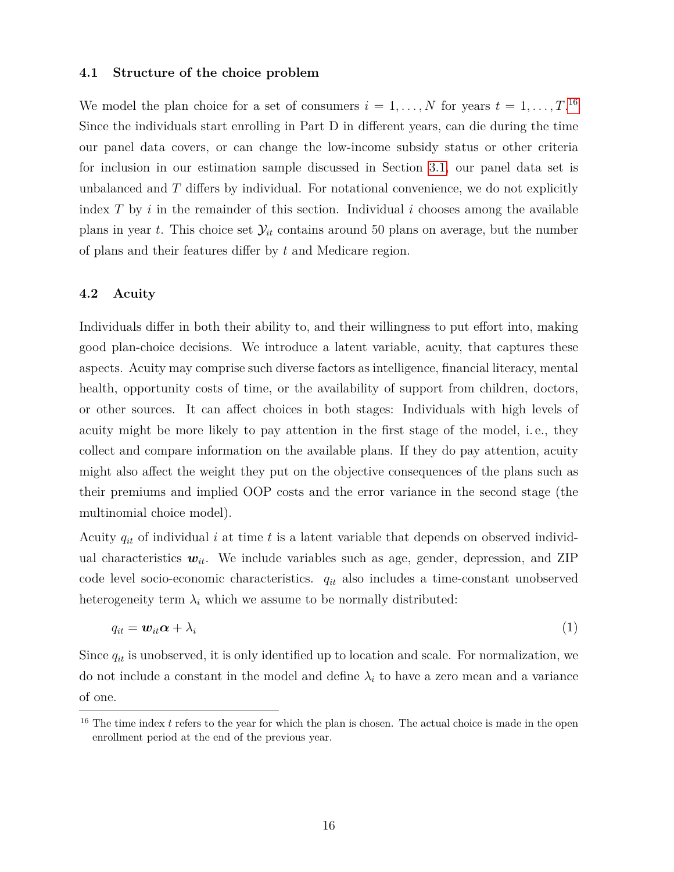#### <span id="page-17-0"></span>**4.1 Structure of the choice problem**

We model the plan choice for a set of consumers  $i = 1, \ldots, N$  for years  $t = 1, \ldots, T$ .<sup>[16](#page-17-2)</sup> Since the individuals start enrolling in Part D in different years, can die during the time our panel data covers, or can change the low-income subsidy status or other criteria for inclusion in our estimation sample discussed in Section [3.1,](#page-12-1) our panel data set is unbalanced and *T* differs by individual. For notational convenience, we do not explicitly index  $T$  by  $i$  in the remainder of this section. Individual  $i$  chooses among the available plans in year *t*. This choice set  $\mathcal{Y}_{it}$  contains around 50 plans on average, but the number of plans and their features differ by *t* and Medicare region.

#### <span id="page-17-1"></span>**4.2 Acuity**

Individuals differ in both their ability to, and their willingness to put effort into, making good plan-choice decisions. We introduce a latent variable, acuity, that captures these aspects. Acuity may comprise such diverse factors as intelligence, financial literacy, mental health, opportunity costs of time, or the availability of support from children, doctors, or other sources. It can affect choices in both stages: Individuals with high levels of acuity might be more likely to pay attention in the first stage of the model, i. e., they collect and compare information on the available plans. If they do pay attention, acuity might also affect the weight they put on the objective consequences of the plans such as their premiums and implied OOP costs and the error variance in the second stage (the multinomial choice model).

Acuity *qit* of individual *i* at time *t* is a latent variable that depends on observed individual characteristics  $w_{it}$ . We include variables such as age, gender, depression, and ZIP code level socio-economic characteristics. *qit* also includes a time-constant unobserved heterogeneity term  $\lambda_i$  which we assume to be normally distributed:

<span id="page-17-3"></span>
$$
q_{it} = \mathbf{w}_{it} \boldsymbol{\alpha} + \lambda_i
$$
 (1)

Since  $q_{it}$  is unobserved, it is only identified up to location and scale. For normalization, we do not include a constant in the model and define  $\lambda_i$  to have a zero mean and a variance of one.

<span id="page-17-2"></span><sup>&</sup>lt;sup>16</sup> The time index *t* refers to the year for which the plan is chosen. The actual choice is made in the open enrollment period at the end of the previous year.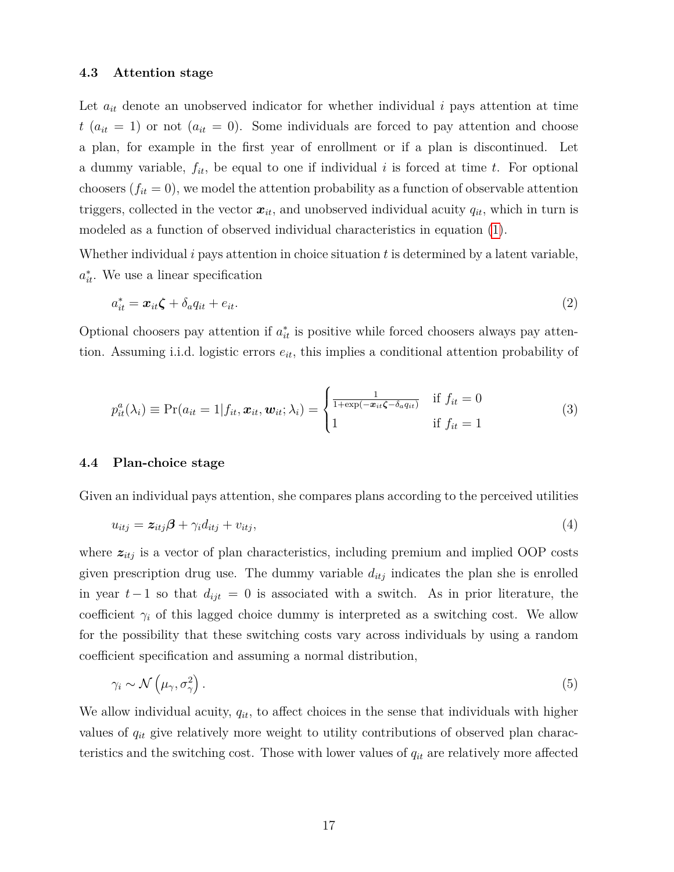#### <span id="page-18-0"></span>**4.3 Attention stage**

Let  $a_{it}$  denote an unobserved indicator for whether individual  $i$  pays attention at time  $t$  ( $a_{it} = 1$ ) or not ( $a_{it} = 0$ ). Some individuals are forced to pay attention and choose a plan, for example in the first year of enrollment or if a plan is discontinued. Let a dummy variable, *fit*, be equal to one if individual *i* is forced at time *t*. For optional choosers  $(f_{it} = 0)$ , we model the attention probability as a function of observable attention triggers, collected in the vector  $x_{it}$ , and unobserved individual acuity  $q_{it}$ , which in turn is modeled as a function of observed individual characteristics in equation [\(1\)](#page-17-3).

Whether individual *i* pays attention in choice situation *t* is determined by a latent variable,  $a_{it}^*$ . We use a linear specification

$$
a_{it}^* = \boldsymbol{x}_{it}\boldsymbol{\zeta} + \delta_a q_{it} + e_{it}.
$$
\n<sup>(2)</sup>

<span id="page-18-2"></span>Optional choosers pay attention if  $a_{it}^*$  is positive while forced choosers always pay attention. Assuming i.i.d. logistic errors *eit*, this implies a conditional attention probability of

$$
p_{it}^{a}(\lambda_{i}) \equiv \Pr(a_{it} = 1 | f_{it}, \boldsymbol{x}_{it}, \boldsymbol{w}_{it}; \lambda_{i}) = \begin{cases} \frac{1}{1 + \exp(-\boldsymbol{x}_{it}\boldsymbol{\zeta} - \delta_{a}q_{it})} & \text{if } f_{it} = 0\\ 1 & \text{if } f_{it} = 1 \end{cases}
$$
(3)

#### <span id="page-18-1"></span>**4.4 Plan-choice stage**

Given an individual pays attention, she compares plans according to the perceived utilities

<span id="page-18-3"></span>
$$
u_{itj} = z_{itj}\beta + \gamma_i d_{itj} + v_{itj},\tag{4}
$$

where  $z_{itj}$  is a vector of plan characteristics, including premium and implied OOP costs given prescription drug use. The dummy variable  $d_{itj}$  indicates the plan she is enrolled in year  $t-1$  so that  $d_{ijt} = 0$  is associated with a switch. As in prior literature, the coefficient  $\gamma_i$  of this lagged choice dummy is interpreted as a switching cost. We allow for the possibility that these switching costs vary across individuals by using a random coefficient specification and assuming a normal distribution,

$$
\gamma_i \sim \mathcal{N}\left(\mu_\gamma, \sigma_\gamma^2\right). \tag{5}
$$

We allow individual acuity,  $q_{it}$ , to affect choices in the sense that individuals with higher values of *qit* give relatively more weight to utility contributions of observed plan characteristics and the switching cost. Those with lower values of *qit* are relatively more affected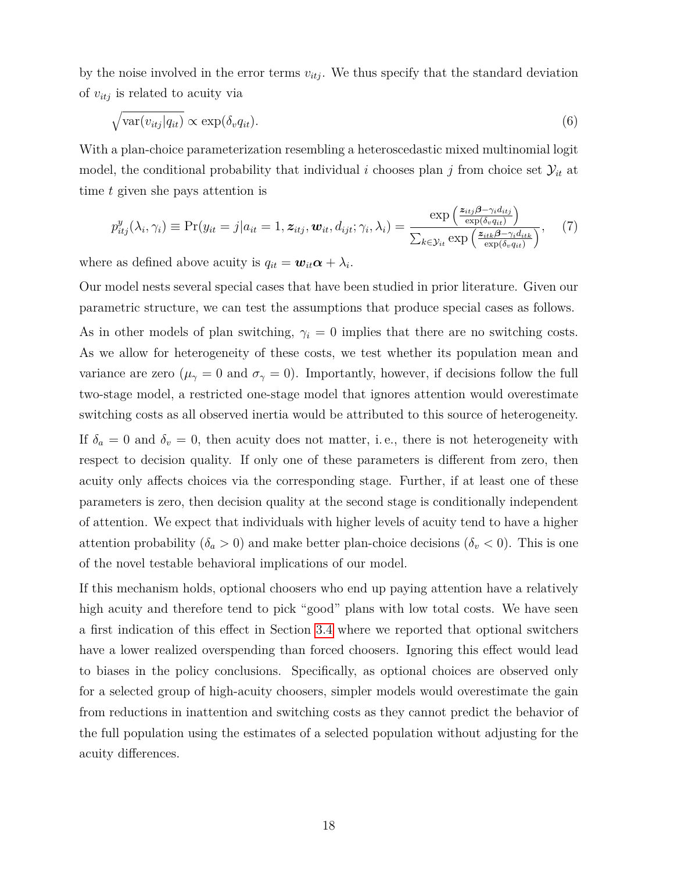by the noise involved in the error terms  $v_{itj}$ . We thus specify that the standard deviation of *vitj* is related to acuity via

$$
\sqrt{\text{var}(v_{itj}|q_{it})} \propto \text{exp}(\delta_v q_{it}).\tag{6}
$$

With a plan-choice parameterization resembling a heteroscedastic mixed multinomial logit model, the conditional probability that individual *i* chooses plan *j* from choice set  $\mathcal{Y}_{it}$  at time *t* given she pays attention is

<span id="page-19-0"></span>
$$
p_{itj}^{y}(\lambda_i, \gamma_i) \equiv \Pr(y_{it} = j | a_{it} = 1, \mathbf{z}_{itj}, \mathbf{w}_{it}, d_{ijt}; \gamma_i, \lambda_i) = \frac{\exp\left(\frac{\mathbf{z}_{itj}\boldsymbol{\beta} - \gamma_i d_{itj}}{\exp(\delta_v q_{it})}\right)}{\sum_{k \in \mathcal{Y}_{it}} \exp\left(\frac{\mathbf{z}_{itk}\boldsymbol{\beta} - \gamma_i d_{itk}}{\exp(\delta_v q_{it})}\right)},
$$
(7)

where as defined above acuity is  $q_{it} = \boldsymbol{w}_{it} \boldsymbol{\alpha} + \lambda_i$ .

Our model nests several special cases that have been studied in prior literature. Given our parametric structure, we can test the assumptions that produce special cases as follows. As in other models of plan switching,  $\gamma_i = 0$  implies that there are no switching costs. As we allow for heterogeneity of these costs, we test whether its population mean and variance are zero ( $\mu_{\gamma} = 0$  and  $\sigma_{\gamma} = 0$ ). Importantly, however, if decisions follow the full two-stage model, a restricted one-stage model that ignores attention would overestimate switching costs as all observed inertia would be attributed to this source of heterogeneity. If  $\delta_a = 0$  and  $\delta_v = 0$ , then acuity does not matter, i.e., there is not heterogeneity with respect to decision quality. If only one of these parameters is different from zero, then acuity only affects choices via the corresponding stage. Further, if at least one of these parameters is zero, then decision quality at the second stage is conditionally independent of attention. We expect that individuals with higher levels of acuity tend to have a higher attention probability  $(\delta_a > 0)$  and make better plan-choice decisions  $(\delta_v < 0)$ . This is one of the novel testable behavioral implications of our model.

If this mechanism holds, optional choosers who end up paying attention have a relatively high acuity and therefore tend to pick "good" plans with low total costs. We have seen a first indication of this effect in Section [3.4](#page-14-0) where we reported that optional switchers have a lower realized overspending than forced choosers. Ignoring this effect would lead to biases in the policy conclusions. Specifically, as optional choices are observed only for a selected group of high-acuity choosers, simpler models would overestimate the gain from reductions in inattention and switching costs as they cannot predict the behavior of the full population using the estimates of a selected population without adjusting for the acuity differences.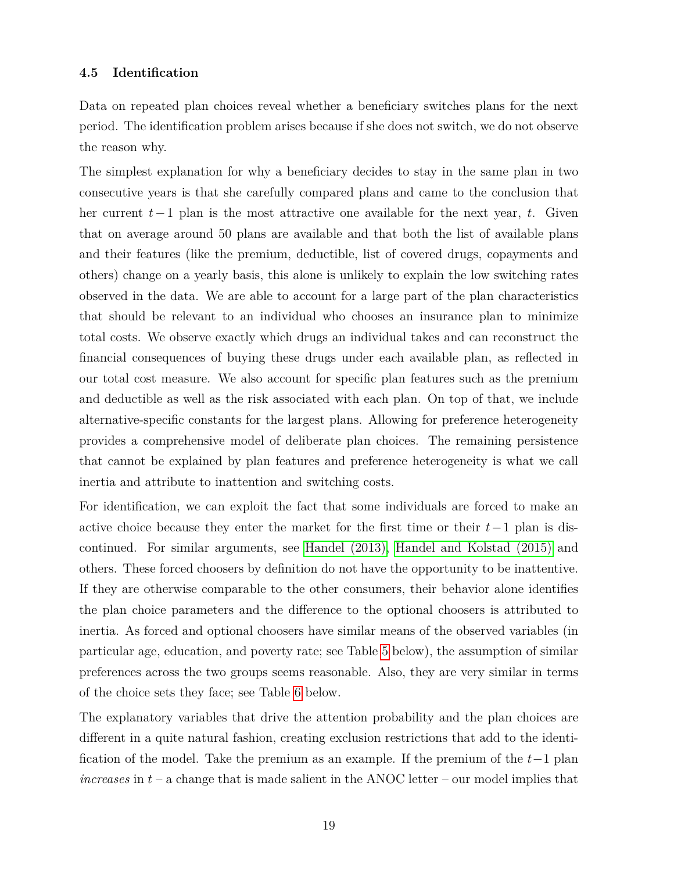#### <span id="page-20-0"></span>**4.5 Identification**

Data on repeated plan choices reveal whether a beneficiary switches plans for the next period. The identification problem arises because if she does not switch, we do not observe the reason why.

The simplest explanation for why a beneficiary decides to stay in the same plan in two consecutive years is that she carefully compared plans and came to the conclusion that her current *t*−1 plan is the most attractive one available for the next year, *t*. Given that on average around 50 plans are available and that both the list of available plans and their features (like the premium, deductible, list of covered drugs, copayments and others) change on a yearly basis, this alone is unlikely to explain the low switching rates observed in the data. We are able to account for a large part of the plan characteristics that should be relevant to an individual who chooses an insurance plan to minimize total costs. We observe exactly which drugs an individual takes and can reconstruct the financial consequences of buying these drugs under each available plan, as reflected in our total cost measure. We also account for specific plan features such as the premium and deductible as well as the risk associated with each plan. On top of that, we include alternative-specific constants for the largest plans. Allowing for preference heterogeneity provides a comprehensive model of deliberate plan choices. The remaining persistence that cannot be explained by plan features and preference heterogeneity is what we call inertia and attribute to inattention and switching costs.

For identification, we can exploit the fact that some individuals are forced to make an active choice because they enter the market for the first time or their *t*−1 plan is discontinued. For similar arguments, see [Handel \(2013\),](#page-39-1) [Handel and Kolstad \(2015\)](#page-39-2) and others. These forced choosers by definition do not have the opportunity to be inattentive. If they are otherwise comparable to the other consumers, their behavior alone identifies the plan choice parameters and the difference to the optional choosers is attributed to inertia. As forced and optional choosers have similar means of the observed variables (in particular age, education, and poverty rate; see Table [5](#page-45-0) below), the assumption of similar preferences across the two groups seems reasonable. Also, they are very similar in terms of the choice sets they face; see Table [6](#page-46-0) below.

The explanatory variables that drive the attention probability and the plan choices are different in a quite natural fashion, creating exclusion restrictions that add to the identification of the model. Take the premium as an example. If the premium of the *t*−1 plan *increases* in *t* – a change that is made salient in the ANOC letter – our model implies that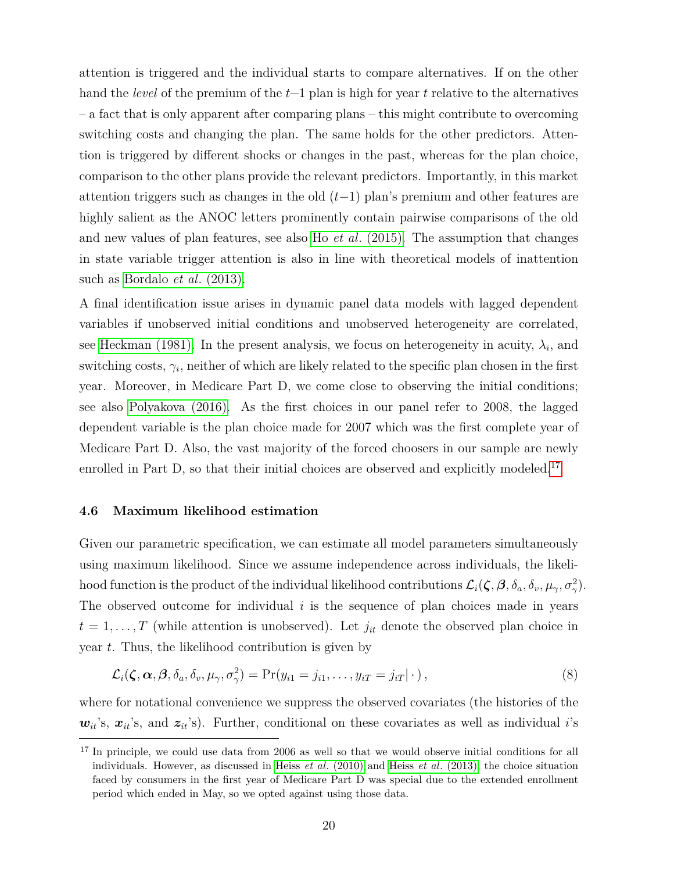attention is triggered and the individual starts to compare alternatives. If on the other hand the *level* of the premium of the *t*−1 plan is high for year *t* relative to the alternatives – a fact that is only apparent after comparing plans – this might contribute to overcoming switching costs and changing the plan. The same holds for the other predictors. Attention is triggered by different shocks or changes in the past, whereas for the plan choice, comparison to the other plans provide the relevant predictors. Importantly, in this market attention triggers such as changes in the old (*t*−1) plan's premium and other features are highly salient as the ANOC letters prominently contain pairwise comparisons of the old and new values of plan features, see also Ho *et al*[. \(2015\).](#page-39-3) The assumption that changes in state variable trigger attention is also in line with theoretical models of inattention such as [Bordalo](#page-38-10) *et al*. (2013).

A final identification issue arises in dynamic panel data models with lagged dependent variables if unobserved initial conditions and unobserved heterogeneity are correlated, see [Heckman \(1981\).](#page-39-12) In the present analysis, we focus on heterogeneity in acuity,  $\lambda_i$ , and switching costs,  $\gamma_i$ , neither of which are likely related to the specific plan chosen in the first year. Moreover, in Medicare Part D, we come close to observing the initial conditions; see also [Polyakova \(2016\).](#page-40-0) As the first choices in our panel refer to 2008, the lagged dependent variable is the plan choice made for 2007 which was the first complete year of Medicare Part D. Also, the vast majority of the forced choosers in our sample are newly enrolled in Part D, so that their initial choices are observed and explicitly modeled.<sup>[17](#page-21-1)</sup>

#### <span id="page-21-0"></span>**4.6 Maximum likelihood estimation**

Given our parametric specification, we can estimate all model parameters simultaneously using maximum likelihood. Since we assume independence across individuals, the likelihood function is the product of the individual likelihood contributions  $\mathcal{L}_i(\zeta, \beta, \delta_a, \delta_v, \mu_\gamma, \sigma_\gamma^2)$ . The observed outcome for individual *i* is the sequence of plan choices made in years  $t = 1, \ldots, T$  (while attention is unobserved). Let  $j_{it}$  denote the observed plan choice in year *t*. Thus, the likelihood contribution is given by

$$
\mathcal{L}_i(\zeta,\boldsymbol{\alpha},\boldsymbol{\beta},\delta_a,\delta_v,\mu_\gamma,\sigma_\gamma^2) = \Pr(y_{i1} = j_{i1},\ldots,y_{iT} = j_{iT}|\cdot),\tag{8}
$$

where for notational convenience we suppress the observed covariates (the histories of the  $w_{it}$ 's,  $x_{it}$ 's, and  $z_{it}$ 's). Further, conditional on these covariates as well as individual *i*'s

<span id="page-21-1"></span><sup>&</sup>lt;sup>17</sup> In principle, we could use data from 2006 as well so that we would observe initial conditions for all individuals. However, as discussed in Heiss *et al*[. \(2010\)](#page-39-4) and Heiss *et al*[. \(2013\),](#page-39-0) the choice situation faced by consumers in the first year of Medicare Part D was special due to the extended enrollment period which ended in May, so we opted against using those data.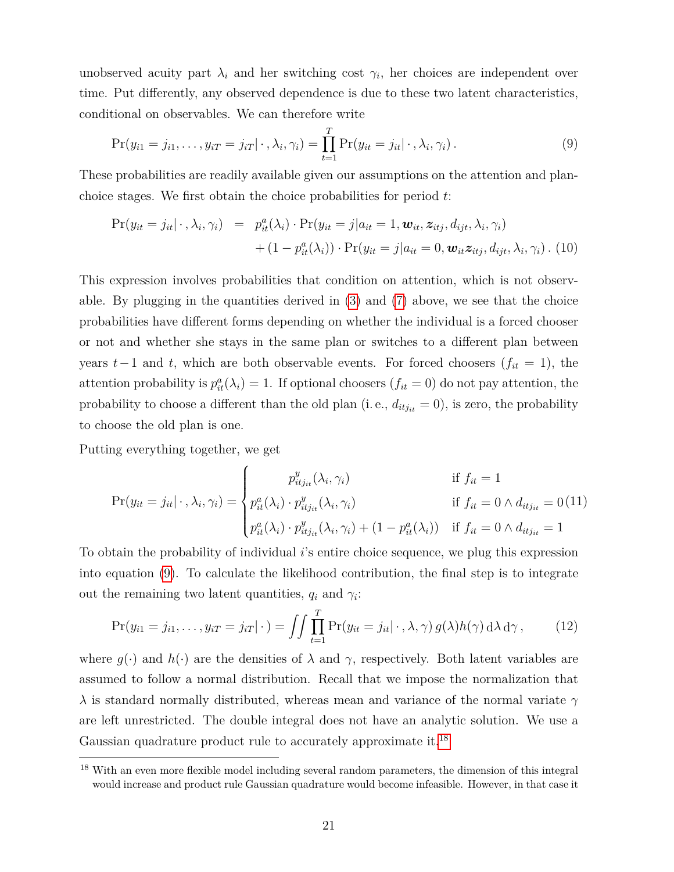unobserved acuity part  $\lambda_i$  and her switching cost  $\gamma_i$ , her choices are independent over time. Put differently, any observed dependence is due to these two latent characteristics, conditional on observables. We can therefore write

<span id="page-22-0"></span>
$$
\Pr(y_{i1} = j_{i1}, \dots, y_{iT} = j_{iT} | \cdot, \lambda_i, \gamma_i) = \prod_{t=1}^T \Pr(y_{it} = j_{it} | \cdot, \lambda_i, \gamma_i).
$$
\n(9)

These probabilities are readily available given our assumptions on the attention and planchoice stages. We first obtain the choice probabilities for period *t*:

$$
\Pr(y_{it} = j_{it} | \cdot, \lambda_i, \gamma_i) = p_{it}^a(\lambda_i) \cdot \Pr(y_{it} = j | a_{it} = 1, \mathbf{w}_{it}, \mathbf{z}_{itj}, d_{ijt}, \lambda_i, \gamma_i) + (1 - p_{it}^a(\lambda_i)) \cdot \Pr(y_{it} = j | a_{it} = 0, \mathbf{w}_{it} \mathbf{z}_{itj}, d_{ijt}, \lambda_i, \gamma_i) .
$$
 (10)

This expression involves probabilities that condition on attention, which is not observable. By plugging in the quantities derived in  $(3)$  and  $(7)$  above, we see that the choice probabilities have different forms depending on whether the individual is a forced chooser or not and whether she stays in the same plan or switches to a different plan between years  $t-1$  and  $t$ , which are both observable events. For forced choosers ( $f_{it} = 1$ ), the attention probability is  $p_{it}^a(\lambda_i) = 1$ . If optional choosers  $(f_{it} = 0)$  do not pay attention, the probability to choose a different than the old plan (i. e.,  $d_{itjit} = 0$ ), is zero, the probability to choose the old plan is one.

Putting everything together, we get

$$
\Pr(y_{it} = j_{it} | \cdot, \lambda_i, \gamma_i) = \begin{cases} p_{itj_{it}}^y(\lambda_i, \gamma_i) & \text{if } f_{it} = 1 \\ p_{it}^a(\lambda_i) \cdot p_{itj_{it}}^y(\lambda_i, \gamma_i) & \text{if } f_{it} = 0 \land d_{itj_{it}} = 0 \ (11) \\ p_{it}^a(\lambda_i) \cdot p_{itj_{it}}^y(\lambda_i, \gamma_i) + (1 - p_{it}^a(\lambda_i)) & \text{if } f_{it} = 0 \land d_{itj_{it}} = 1 \end{cases}
$$

To obtain the probability of individual *i*'s entire choice sequence, we plug this expression into equation [\(9\)](#page-22-0). To calculate the likelihood contribution, the final step is to integrate out the remaining two latent quantities,  $q_i$  and  $\gamma_i$ :

$$
\Pr(y_{i1} = j_{i1}, \dots, y_{iT} = j_{iT} | \cdot) = \iint \prod_{t=1}^T \Pr(y_{it} = j_{it} | \cdot, \lambda, \gamma) g(\lambda) h(\gamma) d\lambda d\gamma, \tag{12}
$$

where  $g(\cdot)$  and  $h(\cdot)$  are the densities of  $\lambda$  and  $\gamma$ , respectively. Both latent variables are assumed to follow a normal distribution. Recall that we impose the normalization that *λ* is standard normally distributed, whereas mean and variance of the normal variate *γ* are left unrestricted. The double integral does not have an analytic solution. We use a Gaussian quadrature product rule to accurately approximate it.[18](#page-22-1)

<span id="page-22-1"></span><sup>18</sup> With an even more flexible model including several random parameters, the dimension of this integral would increase and product rule Gaussian quadrature would become infeasible. However, in that case it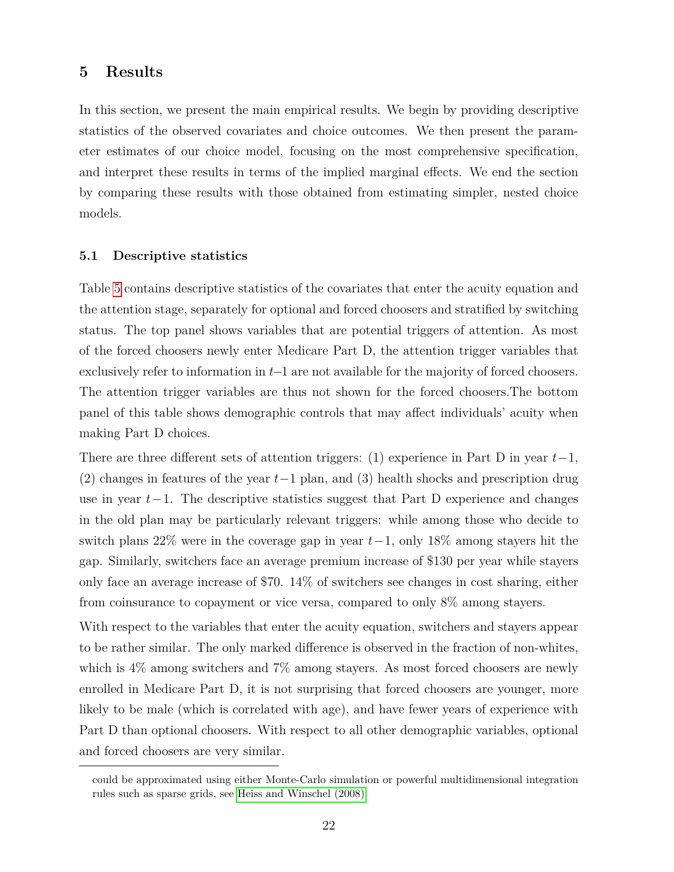## <span id="page-23-0"></span>**5 Results**

In this section, we present the main empirical results. We begin by providing descriptive statistics of the observed covariates and choice outcomes. We then present the parameter estimates of our choice model, focusing on the most comprehensive specification, and interpret these results in terms of the implied marginal effects. We end the section by comparing these results with those obtained from estimating simpler, nested choice models.

#### **5.1 Descriptive statistics**

Table [5](#page-45-0) contains descriptive statistics of the covariates that enter the acuity equation and the attention stage, separately for optional and forced choosers and stratified by switching status. The top panel shows variables that are potential triggers of attention. As most of the forced choosers newly enter Medicare Part D, the attention trigger variables that exclusively refer to information in *t*−1 are not available for the majority of forced choosers. The attention trigger variables are thus not shown for the forced choosers.The bottom panel of this table shows demographic controls that may affect individuals' acuity when making Part D choices.

There are three different sets of attention triggers: (1) experience in Part D in year *t*−1, (2) changes in features of the year *t*−1 plan, and (3) health shocks and prescription drug use in year *t*−1. The descriptive statistics suggest that Part D experience and changes in the old plan may be particularly relevant triggers: while among those who decide to switch plans 22% were in the coverage gap in year *t*−1, only 18% among stayers hit the gap. Similarly, switchers face an average premium increase of \$130 per year while stayers only face an average increase of \$70. 14% of switchers see changes in cost sharing, either from coinsurance to copayment or vice versa, compared to only 8% among stayers.

With respect to the variables that enter the acuity equation, switchers and stayers appear to be rather similar. The only marked difference is observed in the fraction of non-whites, which is  $4\%$  among switchers and  $7\%$  among stayers. As most forced choosers are newly enrolled in Medicare Part D, it is not surprising that forced choosers are younger, more likely to be male (which is correlated with age), and have fewer years of experience with Part D than optional choosers. With respect to all other demographic variables, optional and forced choosers are very similar.

could be approximated using either Monte-Carlo simulation or powerful multidimensional integration rules such as sparse grids, see [Heiss and Winschel \(2008\).](#page-39-13)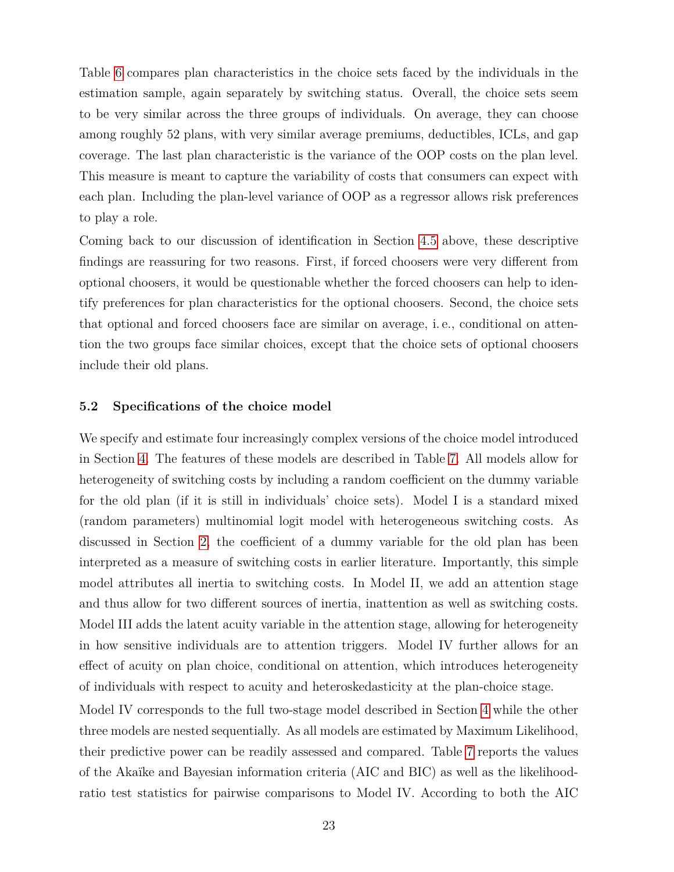Table [6](#page-46-0) compares plan characteristics in the choice sets faced by the individuals in the estimation sample, again separately by switching status. Overall, the choice sets seem to be very similar across the three groups of individuals. On average, they can choose among roughly 52 plans, with very similar average premiums, deductibles, ICLs, and gap coverage. The last plan characteristic is the variance of the OOP costs on the plan level. This measure is meant to capture the variability of costs that consumers can expect with each plan. Including the plan-level variance of OOP as a regressor allows risk preferences to play a role.

Coming back to our discussion of identification in Section [4.5](#page-20-0) above, these descriptive findings are reassuring for two reasons. First, if forced choosers were very different from optional choosers, it would be questionable whether the forced choosers can help to identify preferences for plan characteristics for the optional choosers. Second, the choice sets that optional and forced choosers face are similar on average, i. e., conditional on attention the two groups face similar choices, except that the choice sets of optional choosers include their old plans.

### **5.2 Specifications of the choice model**

We specify and estimate four increasingly complex versions of the choice model introduced in Section [4.](#page-16-0) The features of these models are described in Table [7.](#page-47-0) All models allow for heterogeneity of switching costs by including a random coefficient on the dummy variable for the old plan (if it is still in individuals' choice sets). Model I is a standard mixed (random parameters) multinomial logit model with heterogeneous switching costs. As discussed in Section [2,](#page-7-1) the coefficient of a dummy variable for the old plan has been interpreted as a measure of switching costs in earlier literature. Importantly, this simple model attributes all inertia to switching costs. In Model II, we add an attention stage and thus allow for two different sources of inertia, inattention as well as switching costs. Model III adds the latent acuity variable in the attention stage, allowing for heterogeneity in how sensitive individuals are to attention triggers. Model IV further allows for an effect of acuity on plan choice, conditional on attention, which introduces heterogeneity of individuals with respect to acuity and heteroskedasticity at the plan-choice stage.

Model IV corresponds to the full two-stage model described in Section [4](#page-16-0) while the other three models are nested sequentially. As all models are estimated by Maximum Likelihood, their predictive power can be readily assessed and compared. Table [7](#page-47-0) reports the values of the Akaïke and Bayesian information criteria (AIC and BIC) as well as the likelihoodratio test statistics for pairwise comparisons to Model IV. According to both the AIC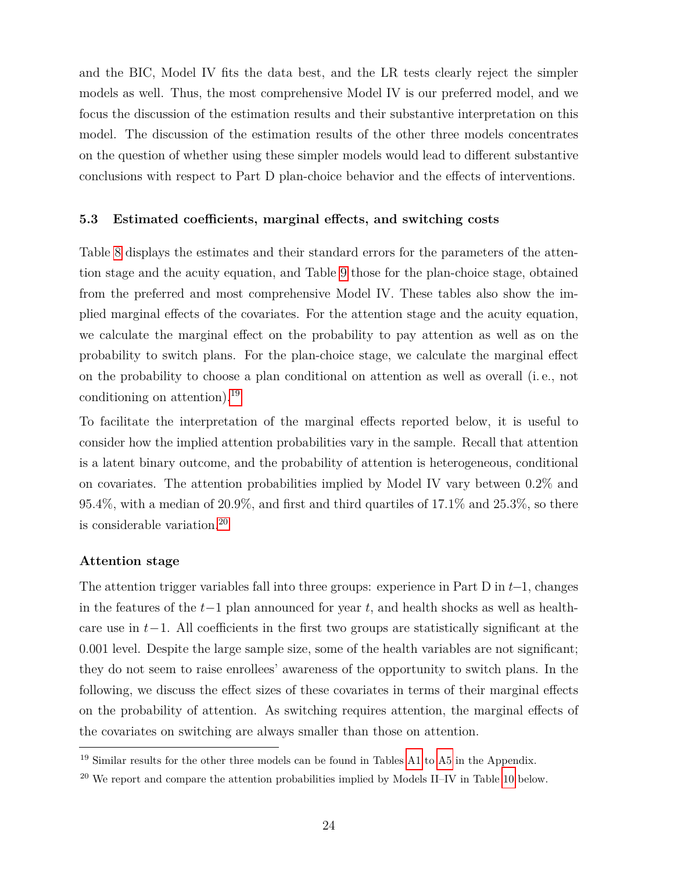and the BIC, Model IV fits the data best, and the LR tests clearly reject the simpler models as well. Thus, the most comprehensive Model IV is our preferred model, and we focus the discussion of the estimation results and their substantive interpretation on this model. The discussion of the estimation results of the other three models concentrates on the question of whether using these simpler models would lead to different substantive conclusions with respect to Part D plan-choice behavior and the effects of interventions.

#### **5.3 Estimated coefficients, marginal effects, and switching costs**

Table [8](#page-48-0) displays the estimates and their standard errors for the parameters of the attention stage and the acuity equation, and Table [9](#page-49-0) those for the plan-choice stage, obtained from the preferred and most comprehensive Model IV. These tables also show the implied marginal effects of the covariates. For the attention stage and the acuity equation, we calculate the marginal effect on the probability to pay attention as well as on the probability to switch plans. For the plan-choice stage, we calculate the marginal effect on the probability to choose a plan conditional on attention as well as overall (i. e., not conditioning on attention).[19](#page-25-0)

To facilitate the interpretation of the marginal effects reported below, it is useful to consider how the implied attention probabilities vary in the sample. Recall that attention is a latent binary outcome, and the probability of attention is heterogeneous, conditional on covariates. The attention probabilities implied by Model IV vary between 0.2% and 95.4%, with a median of 20.9%, and first and third quartiles of 17.1% and 25.3%, so there is considerable variation.[20](#page-25-1)

### **Attention stage**

The attention trigger variables fall into three groups: experience in Part D in *t*−1, changes in the features of the *t*−1 plan announced for year *t*, and health shocks as well as healthcare use in *t*−1. All coefficients in the first two groups are statistically significant at the 0.001 level. Despite the large sample size, some of the health variables are not significant; they do not seem to raise enrollees' awareness of the opportunity to switch plans. In the following, we discuss the effect sizes of these covariates in terms of their marginal effects on the probability of attention. As switching requires attention, the marginal effects of the covariates on switching are always smaller than those on attention.

<span id="page-25-0"></span><sup>19</sup> Similar results for the other three models can be found in Tables [A1](#page-41-0) to [A5](#page-45-0) in the Appendix.

<span id="page-25-1"></span> $^{20}$  We report and compare the attention probabilities implied by Models II–IV in Table [10](#page-50-0) below.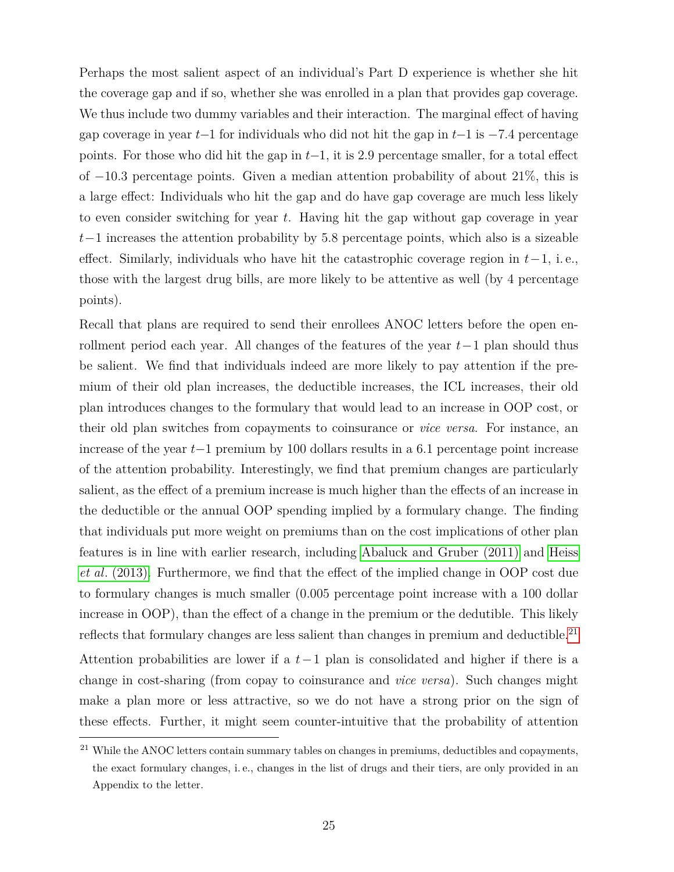Perhaps the most salient aspect of an individual's Part D experience is whether she hit the coverage gap and if so, whether she was enrolled in a plan that provides gap coverage. We thus include two dummy variables and their interaction. The marginal effect of having gap coverage in year *t*−1 for individuals who did not hit the gap in *t*−1 is −7*.*4 percentage points. For those who did hit the gap in *t*−1, it is 2*.*9 percentage smaller, for a total effect of −10*.*3 percentage points. Given a median attention probability of about 21%, this is a large effect: Individuals who hit the gap and do have gap coverage are much less likely to even consider switching for year *t*. Having hit the gap without gap coverage in year *t*−1 increases the attention probability by 5*.*8 percentage points, which also is a sizeable effect. Similarly, individuals who have hit the catastrophic coverage region in *t*−1, i. e., those with the largest drug bills, are more likely to be attentive as well (by 4 percentage points).

Recall that plans are required to send their enrollees ANOC letters before the open enrollment period each year. All changes of the features of the year *t*−1 plan should thus be salient. We find that individuals indeed are more likely to pay attention if the premium of their old plan increases, the deductible increases, the ICL increases, their old plan introduces changes to the formulary that would lead to an increase in OOP cost, or their old plan switches from copayments to coinsurance or *vice versa*. For instance, an increase of the year *t*−1 premium by 100 dollars results in a 6.1 percentage point increase of the attention probability. Interestingly, we find that premium changes are particularly salient, as the effect of a premium increase is much higher than the effects of an increase in the deductible or the annual OOP spending implied by a formulary change. The finding that individuals put more weight on premiums than on the cost implications of other plan features is in line with earlier research, including [Abaluck and Gruber \(2011\)](#page-38-0) and [Heiss](#page-39-0) *et al*[. \(2013\).](#page-39-0) Furthermore, we find that the effect of the implied change in OOP cost due to formulary changes is much smaller (0.005 percentage point increase with a 100 dollar increase in OOP), than the effect of a change in the premium or the dedutible. This likely reflects that formulary changes are less salient than changes in premium and deductible.<sup>[21](#page-26-0)</sup>

Attention probabilities are lower if a *t*−1 plan is consolidated and higher if there is a change in cost-sharing (from copay to coinsurance and *vice versa*). Such changes might make a plan more or less attractive, so we do not have a strong prior on the sign of these effects. Further, it might seem counter-intuitive that the probability of attention

<span id="page-26-0"></span><sup>&</sup>lt;sup>21</sup> While the ANOC letters contain summary tables on changes in premiums, deductibles and copayments, the exact formulary changes, i. e., changes in the list of drugs and their tiers, are only provided in an Appendix to the letter.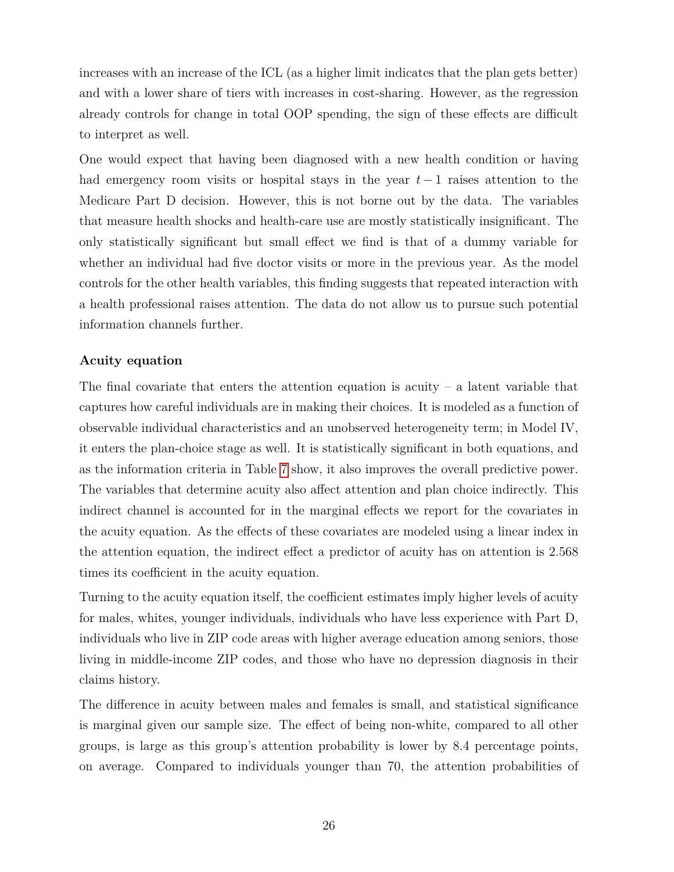increases with an increase of the ICL (as a higher limit indicates that the plan gets better) and with a lower share of tiers with increases in cost-sharing. However, as the regression already controls for change in total OOP spending, the sign of these effects are difficult to interpret as well.

One would expect that having been diagnosed with a new health condition or having had emergency room visits or hospital stays in the year *t* − 1 raises attention to the Medicare Part D decision. However, this is not borne out by the data. The variables that measure health shocks and health-care use are mostly statistically insignificant. The only statistically significant but small effect we find is that of a dummy variable for whether an individual had five doctor visits or more in the previous year. As the model controls for the other health variables, this finding suggests that repeated interaction with a health professional raises attention. The data do not allow us to pursue such potential information channels further.

## **Acuity equation**

The final covariate that enters the attention equation is acuity  $-$  a latent variable that captures how careful individuals are in making their choices. It is modeled as a function of observable individual characteristics and an unobserved heterogeneity term; in Model IV, it enters the plan-choice stage as well. It is statistically significant in both equations, and as the information criteria in Table [7](#page-47-0) show, it also improves the overall predictive power. The variables that determine acuity also affect attention and plan choice indirectly. This indirect channel is accounted for in the marginal effects we report for the covariates in the acuity equation. As the effects of these covariates are modeled using a linear index in the attention equation, the indirect effect a predictor of acuity has on attention is 2.568 times its coefficient in the acuity equation.

Turning to the acuity equation itself, the coefficient estimates imply higher levels of acuity for males, whites, younger individuals, individuals who have less experience with Part D, individuals who live in ZIP code areas with higher average education among seniors, those living in middle-income ZIP codes, and those who have no depression diagnosis in their claims history.

The difference in acuity between males and females is small, and statistical significance is marginal given our sample size. The effect of being non-white, compared to all other groups, is large as this group's attention probability is lower by 8.4 percentage points, on average. Compared to individuals younger than 70, the attention probabilities of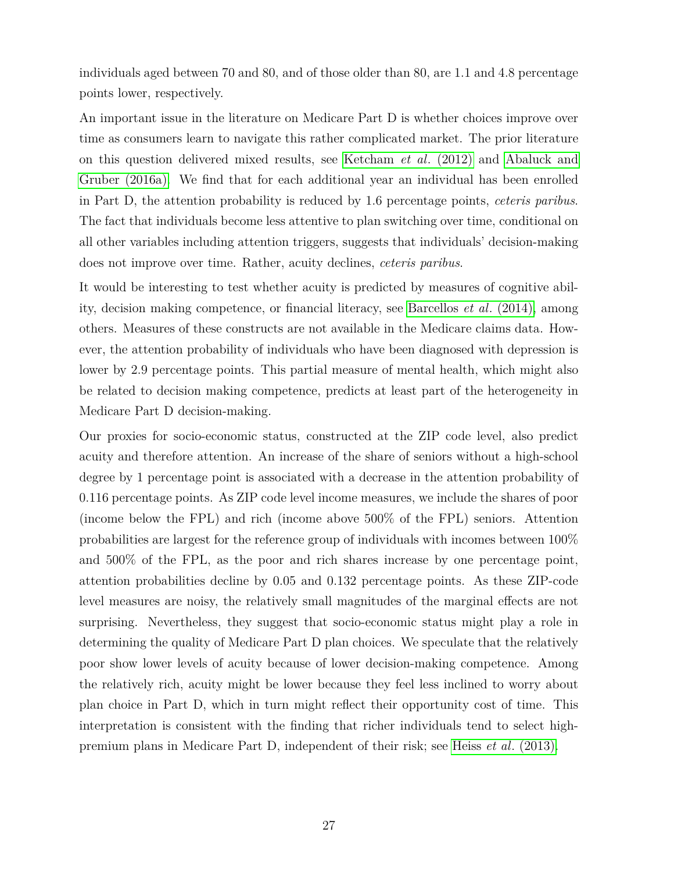individuals aged between 70 and 80, and of those older than 80, are 1.1 and 4.8 percentage points lower, respectively.

An important issue in the literature on Medicare Part D is whether choices improve over time as consumers learn to navigate this rather complicated market. The prior literature on this question delivered mixed results, see [Ketcham](#page-40-1) *et al*. (2012) and [Abaluck and](#page-38-3) [Gruber \(2016a\).](#page-38-3) We find that for each additional year an individual has been enrolled in Part D, the attention probability is reduced by 1.6 percentage points, *ceteris paribus*. The fact that individuals become less attentive to plan switching over time, conditional on all other variables including attention triggers, suggests that individuals' decision-making does not improve over time. Rather, acuity declines, *ceteris paribus*.

It would be interesting to test whether acuity is predicted by measures of cognitive ability, decision making competence, or financial literacy, see [Barcellos](#page-38-11) *et al*. (2014), among others. Measures of these constructs are not available in the Medicare claims data. However, the attention probability of individuals who have been diagnosed with depression is lower by 2.9 percentage points. This partial measure of mental health, which might also be related to decision making competence, predicts at least part of the heterogeneity in Medicare Part D decision-making.

Our proxies for socio-economic status, constructed at the ZIP code level, also predict acuity and therefore attention. An increase of the share of seniors without a high-school degree by 1 percentage point is associated with a decrease in the attention probability of 0.116 percentage points. As ZIP code level income measures, we include the shares of poor (income below the FPL) and rich (income above 500% of the FPL) seniors. Attention probabilities are largest for the reference group of individuals with incomes between 100% and 500% of the FPL, as the poor and rich shares increase by one percentage point, attention probabilities decline by 0.05 and 0.132 percentage points. As these ZIP-code level measures are noisy, the relatively small magnitudes of the marginal effects are not surprising. Nevertheless, they suggest that socio-economic status might play a role in determining the quality of Medicare Part D plan choices. We speculate that the relatively poor show lower levels of acuity because of lower decision-making competence. Among the relatively rich, acuity might be lower because they feel less inclined to worry about plan choice in Part D, which in turn might reflect their opportunity cost of time. This interpretation is consistent with the finding that richer individuals tend to select highpremium plans in Medicare Part D, independent of their risk; see Heiss *et al*[. \(2013\).](#page-39-0)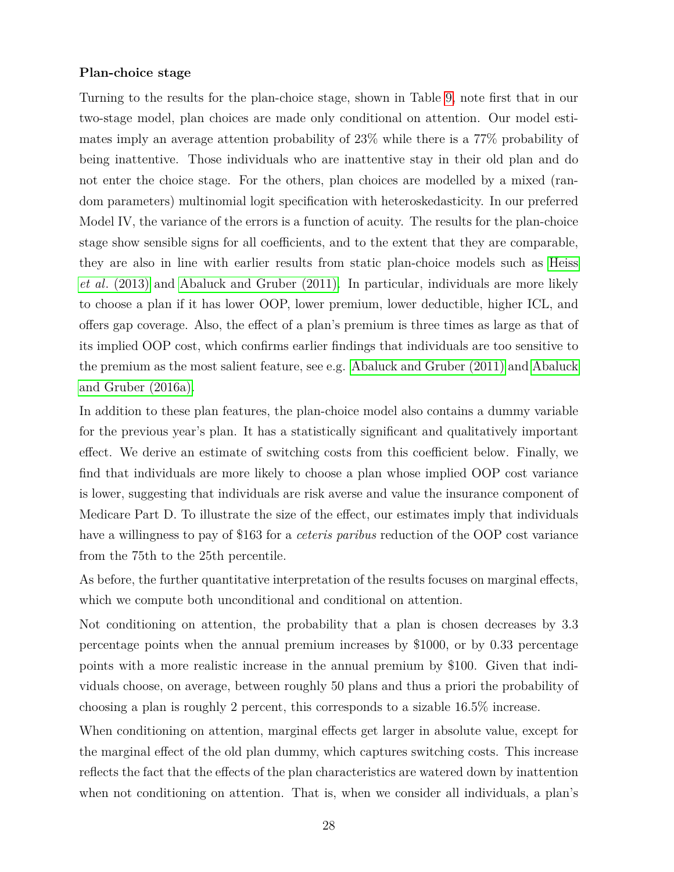#### **Plan-choice stage**

Turning to the results for the plan-choice stage, shown in Table [9,](#page-49-0) note first that in our two-stage model, plan choices are made only conditional on attention. Our model estimates imply an average attention probability of 23% while there is a 77% probability of being inattentive. Those individuals who are inattentive stay in their old plan and do not enter the choice stage. For the others, plan choices are modelled by a mixed (random parameters) multinomial logit specification with heteroskedasticity. In our preferred Model IV, the variance of the errors is a function of acuity. The results for the plan-choice stage show sensible signs for all coefficients, and to the extent that they are comparable, they are also in line with earlier results from static plan-choice models such as [Heiss](#page-39-0) *et al*[. \(2013\)](#page-39-0) and [Abaluck and Gruber \(2011\).](#page-38-0) In particular, individuals are more likely to choose a plan if it has lower OOP, lower premium, lower deductible, higher ICL, and offers gap coverage. Also, the effect of a plan's premium is three times as large as that of its implied OOP cost, which confirms earlier findings that individuals are too sensitive to the premium as the most salient feature, see e.g. [Abaluck and Gruber \(2011\)](#page-38-0) and [Abaluck](#page-38-3) [and Gruber \(2016a\).](#page-38-3)

In addition to these plan features, the plan-choice model also contains a dummy variable for the previous year's plan. It has a statistically significant and qualitatively important effect. We derive an estimate of switching costs from this coefficient below. Finally, we find that individuals are more likely to choose a plan whose implied OOP cost variance is lower, suggesting that individuals are risk averse and value the insurance component of Medicare Part D. To illustrate the size of the effect, our estimates imply that individuals have a willingness to pay of \$163 for a *ceteris paribus* reduction of the OOP cost variance from the 75th to the 25th percentile.

As before, the further quantitative interpretation of the results focuses on marginal effects, which we compute both unconditional and conditional on attention.

Not conditioning on attention, the probability that a plan is chosen decreases by 3.3 percentage points when the annual premium increases by \$1000, or by 0.33 percentage points with a more realistic increase in the annual premium by \$100. Given that individuals choose, on average, between roughly 50 plans and thus a priori the probability of choosing a plan is roughly 2 percent, this corresponds to a sizable 16.5% increase.

When conditioning on attention, marginal effects get larger in absolute value, except for the marginal effect of the old plan dummy, which captures switching costs. This increase reflects the fact that the effects of the plan characteristics are watered down by inattention when not conditioning on attention. That is, when we consider all individuals, a plan's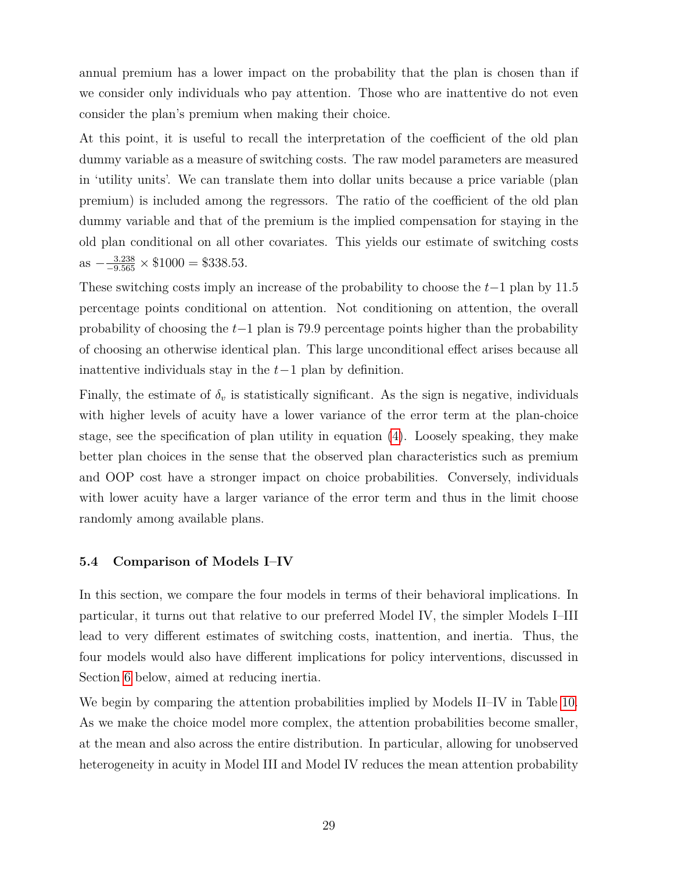annual premium has a lower impact on the probability that the plan is chosen than if we consider only individuals who pay attention. Those who are inattentive do not even consider the plan's premium when making their choice.

At this point, it is useful to recall the interpretation of the coefficient of the old plan dummy variable as a measure of switching costs. The raw model parameters are measured in 'utility units'. We can translate them into dollar units because a price variable (plan premium) is included among the regressors. The ratio of the coefficient of the old plan dummy variable and that of the premium is the implied compensation for staying in the old plan conditional on all other covariates. This yields our estimate of switching costs  $\text{as } -\frac{3.238}{-9.565} \times \$1000 = \$338.53.$ 

These switching costs imply an increase of the probability to choose the *t*−1 plan by 11.5 percentage points conditional on attention. Not conditioning on attention, the overall probability of choosing the *t*−1 plan is 79.9 percentage points higher than the probability of choosing an otherwise identical plan. This large unconditional effect arises because all inattentive individuals stay in the *t*−1 plan by definition.

Finally, the estimate of  $\delta_v$  is statistically significant. As the sign is negative, individuals with higher levels of acuity have a lower variance of the error term at the plan-choice stage, see the specification of plan utility in equation [\(4\)](#page-18-3). Loosely speaking, they make better plan choices in the sense that the observed plan characteristics such as premium and OOP cost have a stronger impact on choice probabilities. Conversely, individuals with lower acuity have a larger variance of the error term and thus in the limit choose randomly among available plans.

#### <span id="page-30-0"></span>**5.4 Comparison of Models I–IV**

In this section, we compare the four models in terms of their behavioral implications. In particular, it turns out that relative to our preferred Model IV, the simpler Models I–III lead to very different estimates of switching costs, inattention, and inertia. Thus, the four models would also have different implications for policy interventions, discussed in Section [6](#page-33-0) below, aimed at reducing inertia.

We begin by comparing the attention probabilities implied by Models II–IV in Table [10.](#page-50-0) As we make the choice model more complex, the attention probabilities become smaller, at the mean and also across the entire distribution. In particular, allowing for unobserved heterogeneity in acuity in Model III and Model IV reduces the mean attention probability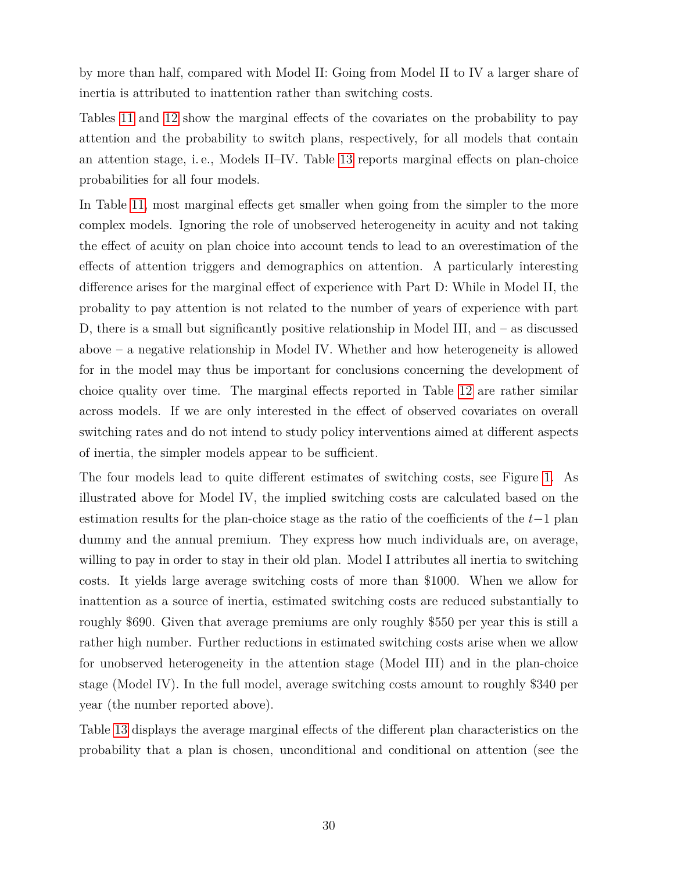by more than half, compared with Model II: Going from Model II to IV a larger share of inertia is attributed to inattention rather than switching costs.

Tables [11](#page-51-0) and [12](#page-52-0) show the marginal effects of the covariates on the probability to pay attention and the probability to switch plans, respectively, for all models that contain an attention stage, i. e., Models II–IV. Table [13](#page-53-0) reports marginal effects on plan-choice probabilities for all four models.

In Table [11,](#page-51-0) most marginal effects get smaller when going from the simpler to the more complex models. Ignoring the role of unobserved heterogeneity in acuity and not taking the effect of acuity on plan choice into account tends to lead to an overestimation of the effects of attention triggers and demographics on attention. A particularly interesting difference arises for the marginal effect of experience with Part D: While in Model II, the probality to pay attention is not related to the number of years of experience with part D, there is a small but significantly positive relationship in Model III, and – as discussed above – a negative relationship in Model IV. Whether and how heterogeneity is allowed for in the model may thus be important for conclusions concerning the development of choice quality over time. The marginal effects reported in Table [12](#page-52-0) are rather similar across models. If we are only interested in the effect of observed covariates on overall switching rates and do not intend to study policy interventions aimed at different aspects of inertia, the simpler models appear to be sufficient.

The four models lead to quite different estimates of switching costs, see Figure [1.](#page-54-0) As illustrated above for Model IV, the implied switching costs are calculated based on the estimation results for the plan-choice stage as the ratio of the coefficients of the *t*−1 plan dummy and the annual premium. They express how much individuals are, on average, willing to pay in order to stay in their old plan. Model I attributes all inertia to switching costs. It yields large average switching costs of more than \$1000. When we allow for inattention as a source of inertia, estimated switching costs are reduced substantially to roughly \$690. Given that average premiums are only roughly \$550 per year this is still a rather high number. Further reductions in estimated switching costs arise when we allow for unobserved heterogeneity in the attention stage (Model III) and in the plan-choice stage (Model IV). In the full model, average switching costs amount to roughly \$340 per year (the number reported above).

Table [13](#page-53-0) displays the average marginal effects of the different plan characteristics on the probability that a plan is chosen, unconditional and conditional on attention (see the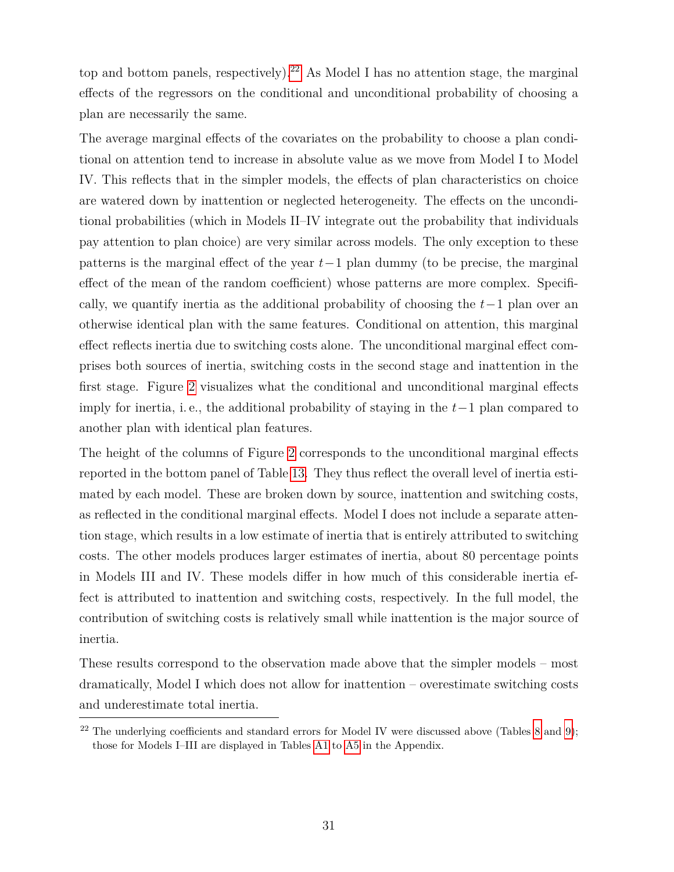top and bottom panels, respectively).<sup>[22](#page-32-0)</sup> As Model I has no attention stage, the marginal effects of the regressors on the conditional and unconditional probability of choosing a plan are necessarily the same.

The average marginal effects of the covariates on the probability to choose a plan conditional on attention tend to increase in absolute value as we move from Model I to Model IV. This reflects that in the simpler models, the effects of plan characteristics on choice are watered down by inattention or neglected heterogeneity. The effects on the unconditional probabilities (which in Models II–IV integrate out the probability that individuals pay attention to plan choice) are very similar across models. The only exception to these patterns is the marginal effect of the year *t*−1 plan dummy (to be precise, the marginal effect of the mean of the random coefficient) whose patterns are more complex. Specifically, we quantify inertia as the additional probability of choosing the *t*−1 plan over an otherwise identical plan with the same features. Conditional on attention, this marginal effect reflects inertia due to switching costs alone. The unconditional marginal effect comprises both sources of inertia, switching costs in the second stage and inattention in the first stage. Figure [2](#page-55-0) visualizes what the conditional and unconditional marginal effects imply for inertia, i. e., the additional probability of staying in the *t*−1 plan compared to another plan with identical plan features.

The height of the columns of Figure [2](#page-55-0) corresponds to the unconditional marginal effects reported in the bottom panel of Table [13.](#page-53-0) They thus reflect the overall level of inertia estimated by each model. These are broken down by source, inattention and switching costs, as reflected in the conditional marginal effects. Model I does not include a separate attention stage, which results in a low estimate of inertia that is entirely attributed to switching costs. The other models produces larger estimates of inertia, about 80 percentage points in Models III and IV. These models differ in how much of this considerable inertia effect is attributed to inattention and switching costs, respectively. In the full model, the contribution of switching costs is relatively small while inattention is the major source of inertia.

These results correspond to the observation made above that the simpler models – most dramatically, Model I which does not allow for inattention – overestimate switching costs and underestimate total inertia.

<span id="page-32-0"></span><sup>&</sup>lt;sup>22</sup> The underlying coefficients and standard errors for Model IV were discussed above (Tables [8](#page-48-0) and [9\)](#page-49-0); those for Models I–III are displayed in Tables [A1](#page-41-0) to [A5](#page-45-0) in the Appendix.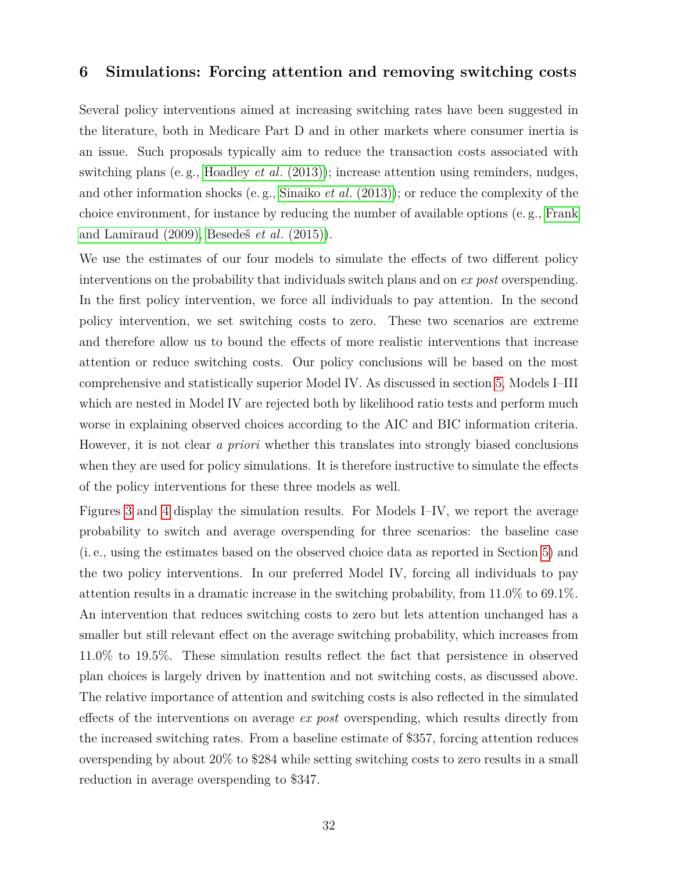## <span id="page-33-0"></span>**6 Simulations: Forcing attention and removing switching costs**

Several policy interventions aimed at increasing switching rates have been suggested in the literature, both in Medicare Part D and in other markets where consumer inertia is an issue. Such proposals typically aim to reduce the transaction costs associated with switching plans (e. g., [Hoadley](#page-39-7) *et al*. (2013)); increase attention using reminders, nudges, and other information shocks (e. g., Sinaiko *et al*[. \(2013\)\)](#page-40-11); or reduce the complexity of the choice environment, for instance by reducing the number of available options (e. g., [Frank](#page-38-12) [and Lamiraud \(2009\),](#page-38-12) [Besedeš](#page-38-13) *et al*. (2015)).

We use the estimates of our four models to simulate the effects of two different policy interventions on the probability that individuals switch plans and on *ex post* overspending. In the first policy intervention, we force all individuals to pay attention. In the second policy intervention, we set switching costs to zero. These two scenarios are extreme and therefore allow us to bound the effects of more realistic interventions that increase attention or reduce switching costs. Our policy conclusions will be based on the most comprehensive and statistically superior Model IV. As discussed in section [5,](#page-23-0) Models I–III which are nested in Model IV are rejected both by likelihood ratio tests and perform much worse in explaining observed choices according to the AIC and BIC information criteria. However, it is not clear *a priori* whether this translates into strongly biased conclusions when they are used for policy simulations. It is therefore instructive to simulate the effects of the policy interventions for these three models as well.

Figures [3](#page-56-0) and [4](#page-57-0) display the simulation results. For Models I–IV, we report the average probability to switch and average overspending for three scenarios: the baseline case (i. e., using the estimates based on the observed choice data as reported in Section [5\)](#page-23-0) and the two policy interventions. In our preferred Model IV, forcing all individuals to pay attention results in a dramatic increase in the switching probability, from 11.0% to 69.1%. An intervention that reduces switching costs to zero but lets attention unchanged has a smaller but still relevant effect on the average switching probability, which increases from 11.0% to 19.5%. These simulation results reflect the fact that persistence in observed plan choices is largely driven by inattention and not switching costs, as discussed above. The relative importance of attention and switching costs is also reflected in the simulated effects of the interventions on average *ex post* overspending, which results directly from the increased switching rates. From a baseline estimate of \$357, forcing attention reduces overspending by about 20% to \$284 while setting switching costs to zero results in a small reduction in average overspending to \$347.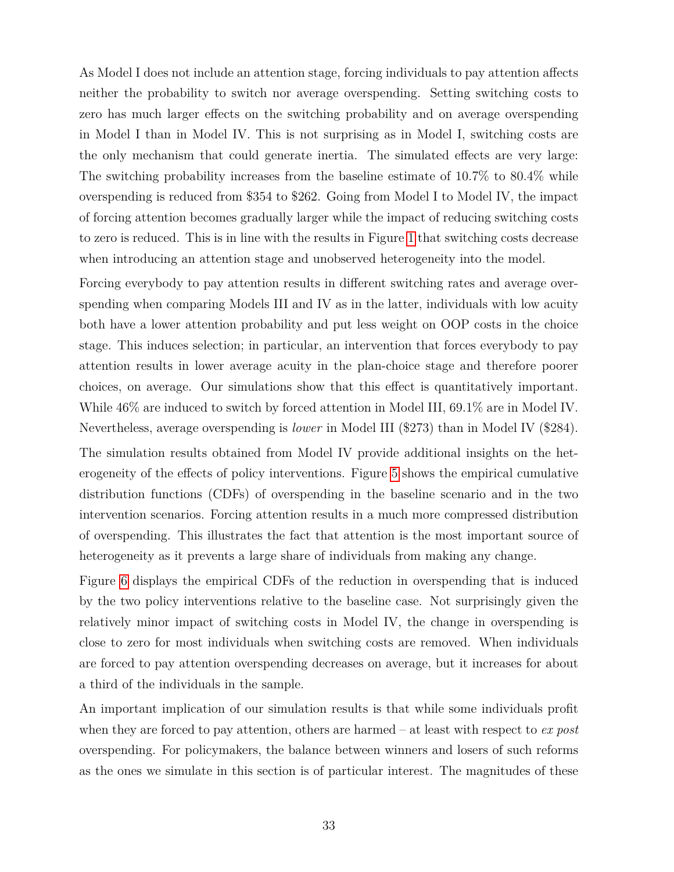As Model I does not include an attention stage, forcing individuals to pay attention affects neither the probability to switch nor average overspending. Setting switching costs to zero has much larger effects on the switching probability and on average overspending in Model I than in Model IV. This is not surprising as in Model I, switching costs are the only mechanism that could generate inertia. The simulated effects are very large: The switching probability increases from the baseline estimate of 10.7% to 80.4% while overspending is reduced from \$354 to \$262. Going from Model I to Model IV, the impact of forcing attention becomes gradually larger while the impact of reducing switching costs to zero is reduced. This is in line with the results in Figure [1](#page-54-0) that switching costs decrease when introducing an attention stage and unobserved heterogeneity into the model.

Forcing everybody to pay attention results in different switching rates and average overspending when comparing Models III and IV as in the latter, individuals with low acuity both have a lower attention probability and put less weight on OOP costs in the choice stage. This induces selection; in particular, an intervention that forces everybody to pay attention results in lower average acuity in the plan-choice stage and therefore poorer choices, on average. Our simulations show that this effect is quantitatively important. While 46% are induced to switch by forced attention in Model III, 69.1% are in Model IV. Nevertheless, average overspending is *lower* in Model III (\$273) than in Model IV (\$284). The simulation results obtained from Model IV provide additional insights on the heterogeneity of the effects of policy interventions. Figure [5](#page-58-0) shows the empirical cumulative distribution functions (CDFs) of overspending in the baseline scenario and in the two intervention scenarios. Forcing attention results in a much more compressed distribution of overspending. This illustrates the fact that attention is the most important source of heterogeneity as it prevents a large share of individuals from making any change.

Figure [6](#page-59-0) displays the empirical CDFs of the reduction in overspending that is induced by the two policy interventions relative to the baseline case. Not surprisingly given the relatively minor impact of switching costs in Model IV, the change in overspending is close to zero for most individuals when switching costs are removed. When individuals are forced to pay attention overspending decreases on average, but it increases for about a third of the individuals in the sample.

An important implication of our simulation results is that while some individuals profit when they are forced to pay attention, others are harmed – at least with respect to *ex post* overspending. For policymakers, the balance between winners and losers of such reforms as the ones we simulate in this section is of particular interest. The magnitudes of these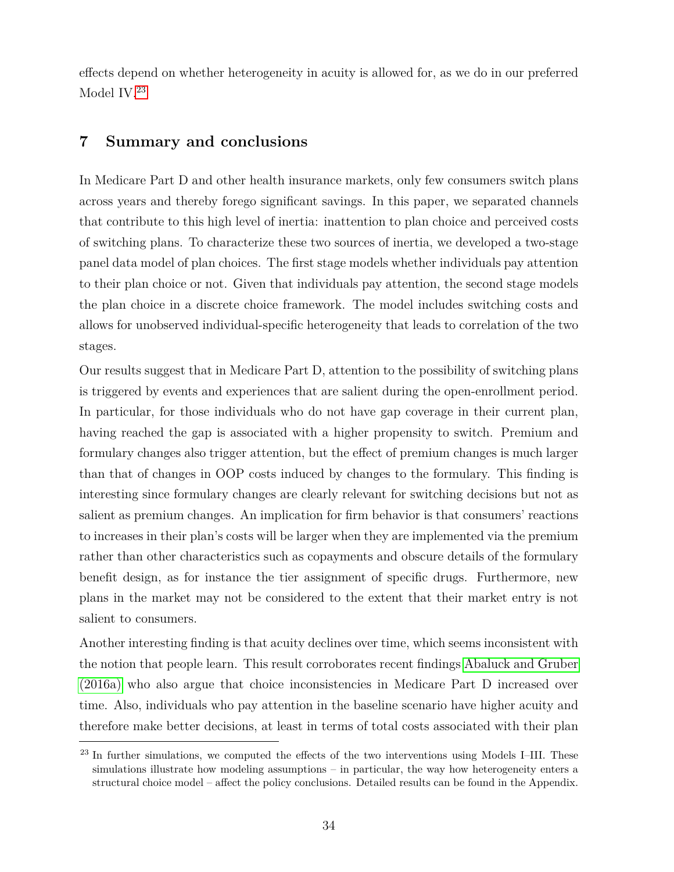effects depend on whether heterogeneity in acuity is allowed for, as we do in our preferred Model IV.[23](#page-35-1)

## <span id="page-35-0"></span>**7 Summary and conclusions**

In Medicare Part D and other health insurance markets, only few consumers switch plans across years and thereby forego significant savings. In this paper, we separated channels that contribute to this high level of inertia: inattention to plan choice and perceived costs of switching plans. To characterize these two sources of inertia, we developed a two-stage panel data model of plan choices. The first stage models whether individuals pay attention to their plan choice or not. Given that individuals pay attention, the second stage models the plan choice in a discrete choice framework. The model includes switching costs and allows for unobserved individual-specific heterogeneity that leads to correlation of the two stages.

Our results suggest that in Medicare Part D, attention to the possibility of switching plans is triggered by events and experiences that are salient during the open-enrollment period. In particular, for those individuals who do not have gap coverage in their current plan, having reached the gap is associated with a higher propensity to switch. Premium and formulary changes also trigger attention, but the effect of premium changes is much larger than that of changes in OOP costs induced by changes to the formulary. This finding is interesting since formulary changes are clearly relevant for switching decisions but not as salient as premium changes. An implication for firm behavior is that consumers' reactions to increases in their plan's costs will be larger when they are implemented via the premium rather than other characteristics such as copayments and obscure details of the formulary benefit design, as for instance the tier assignment of specific drugs. Furthermore, new plans in the market may not be considered to the extent that their market entry is not salient to consumers.

Another interesting finding is that acuity declines over time, which seems inconsistent with the notion that people learn. This result corroborates recent findings [Abaluck and Gruber](#page-38-3) [\(2016a\)](#page-38-3) who also argue that choice inconsistencies in Medicare Part D increased over time. Also, individuals who pay attention in the baseline scenario have higher acuity and therefore make better decisions, at least in terms of total costs associated with their plan

<span id="page-35-1"></span><sup>&</sup>lt;sup>23</sup> In further simulations, we computed the effects of the two interventions using Models I–III. These simulations illustrate how modeling assumptions – in particular, the way how heterogeneity enters a structural choice model – affect the policy conclusions. Detailed results can be found in the Appendix.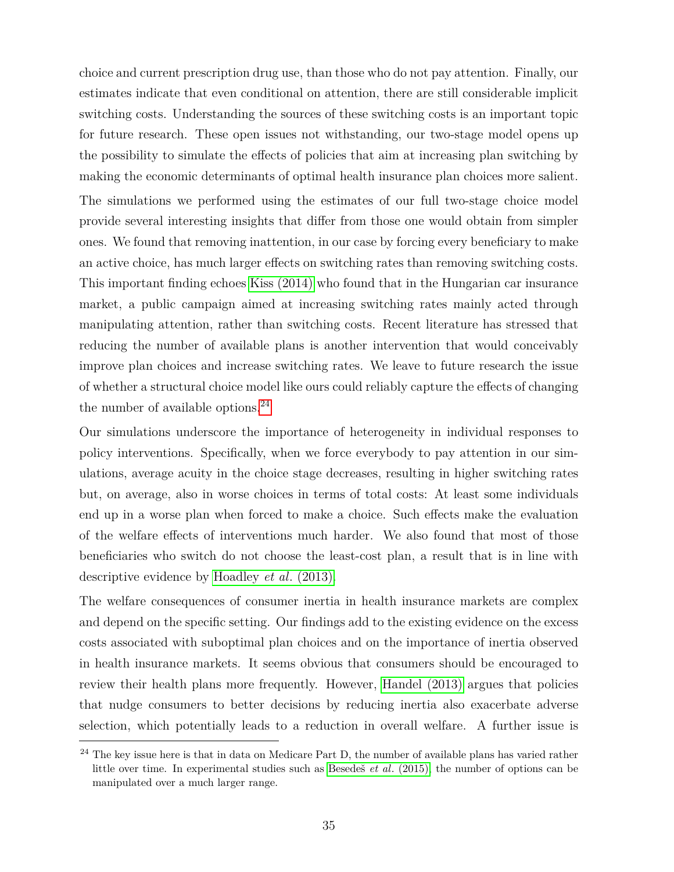choice and current prescription drug use, than those who do not pay attention. Finally, our estimates indicate that even conditional on attention, there are still considerable implicit switching costs. Understanding the sources of these switching costs is an important topic for future research. These open issues not withstanding, our two-stage model opens up the possibility to simulate the effects of policies that aim at increasing plan switching by making the economic determinants of optimal health insurance plan choices more salient. The simulations we performed using the estimates of our full two-stage choice model provide several interesting insights that differ from those one would obtain from simpler ones. We found that removing inattention, in our case by forcing every beneficiary to make an active choice, has much larger effects on switching rates than removing switching costs. This important finding echoes [Kiss \(2014\)](#page-40-4) who found that in the Hungarian car insurance market, a public campaign aimed at increasing switching rates mainly acted through manipulating attention, rather than switching costs. Recent literature has stressed that reducing the number of available plans is another intervention that would conceivably improve plan choices and increase switching rates. We leave to future research the issue of whether a structural choice model like ours could reliably capture the effects of changing the number of available options. $^{24}$  $^{24}$  $^{24}$ 

Our simulations underscore the importance of heterogeneity in individual responses to policy interventions. Specifically, when we force everybody to pay attention in our simulations, average acuity in the choice stage decreases, resulting in higher switching rates but, on average, also in worse choices in terms of total costs: At least some individuals end up in a worse plan when forced to make a choice. Such effects make the evaluation of the welfare effects of interventions much harder. We also found that most of those beneficiaries who switch do not choose the least-cost plan, a result that is in line with descriptive evidence by [Hoadley](#page-39-7) *et al*. (2013).

The welfare consequences of consumer inertia in health insurance markets are complex and depend on the specific setting. Our findings add to the existing evidence on the excess costs associated with suboptimal plan choices and on the importance of inertia observed in health insurance markets. It seems obvious that consumers should be encouraged to review their health plans more frequently. However, [Handel \(2013\)](#page-39-1) argues that policies that nudge consumers to better decisions by reducing inertia also exacerbate adverse selection, which potentially leads to a reduction in overall welfare. A further issue is

<span id="page-36-0"></span><sup>&</sup>lt;sup>24</sup> The key issue here is that in data on Medicare Part D, the number of available plans has varied rather little over time. In experimental studies such as Besedeš *et al*[. \(2015\),](#page-38-13) the number of options can be manipulated over a much larger range.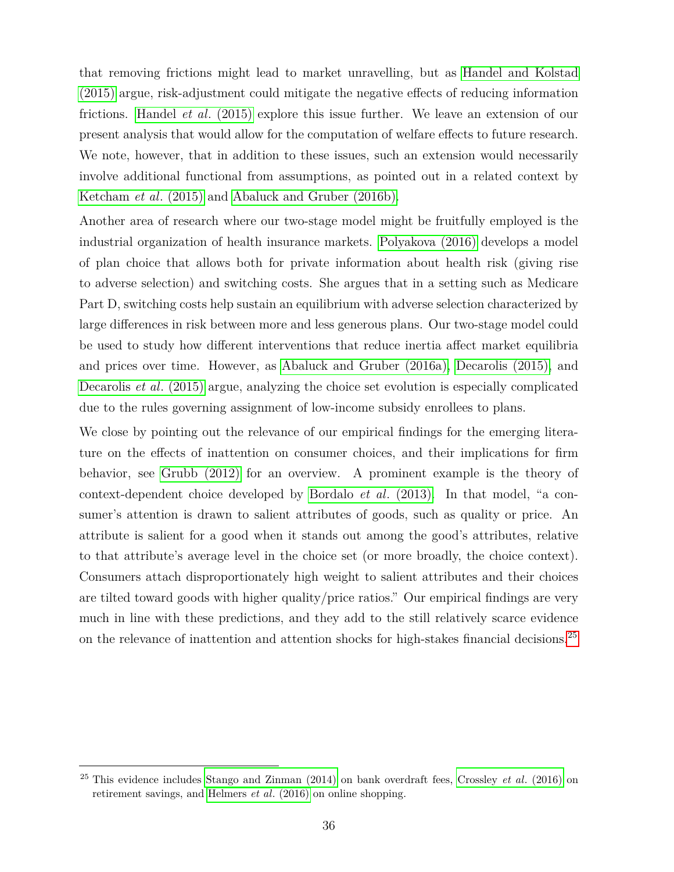that removing frictions might lead to market unravelling, but as [Handel and Kolstad](#page-39-2) [\(2015\)](#page-39-2) argue, risk-adjustment could mitigate the negative effects of reducing information frictions. Handel *et al*[. \(2015\)](#page-39-14) explore this issue further. We leave an extension of our present analysis that would allow for the computation of welfare effects to future research. We note, however, that in addition to these issues, such an extension would necessarily involve additional functional from assumptions, as pointed out in a related context by [Ketcham](#page-40-8) *et al*. (2015) and [Abaluck and Gruber \(2016b\).](#page-38-6)

Another area of research where our two-stage model might be fruitfully employed is the industrial organization of health insurance markets. [Polyakova \(2016\)](#page-40-0) develops a model of plan choice that allows both for private information about health risk (giving rise to adverse selection) and switching costs. She argues that in a setting such as Medicare Part D, switching costs help sustain an equilibrium with adverse selection characterized by large differences in risk between more and less generous plans. Our two-stage model could be used to study how different interventions that reduce inertia affect market equilibria and prices over time. However, as [Abaluck and Gruber \(2016a\),](#page-38-3) [Decarolis \(2015\),](#page-38-9) and [Decarolis](#page-38-2) *et al*. (2015) argue, analyzing the choice set evolution is especially complicated due to the rules governing assignment of low-income subsidy enrollees to plans.

We close by pointing out the relevance of our empirical findings for the emerging literature on the effects of inattention on consumer choices, and their implications for firm behavior, see [Grubb \(2012\)](#page-39-15) for an overview. A prominent example is the theory of context-dependent choice developed by Bordalo *et al*[. \(2013\).](#page-38-10) In that model, "a consumer's attention is drawn to salient attributes of goods, such as quality or price. An attribute is salient for a good when it stands out among the good's attributes, relative to that attribute's average level in the choice set (or more broadly, the choice context). Consumers attach disproportionately high weight to salient attributes and their choices are tilted toward goods with higher quality/price ratios." Our empirical findings are very much in line with these predictions, and they add to the still relatively scarce evidence on the relevance of inattention and attention shocks for high-stakes financial decisions.<sup>[25](#page-37-0)</sup>

<span id="page-37-0"></span><sup>25</sup> This evidence includes [Stango and Zinman \(2014\)](#page-40-12) on bank overdraft fees, [Crossley](#page-38-14) *et al*. (2016) on retirement savings, and [Helmers](#page-39-16) *et al*. (2016) on online shopping.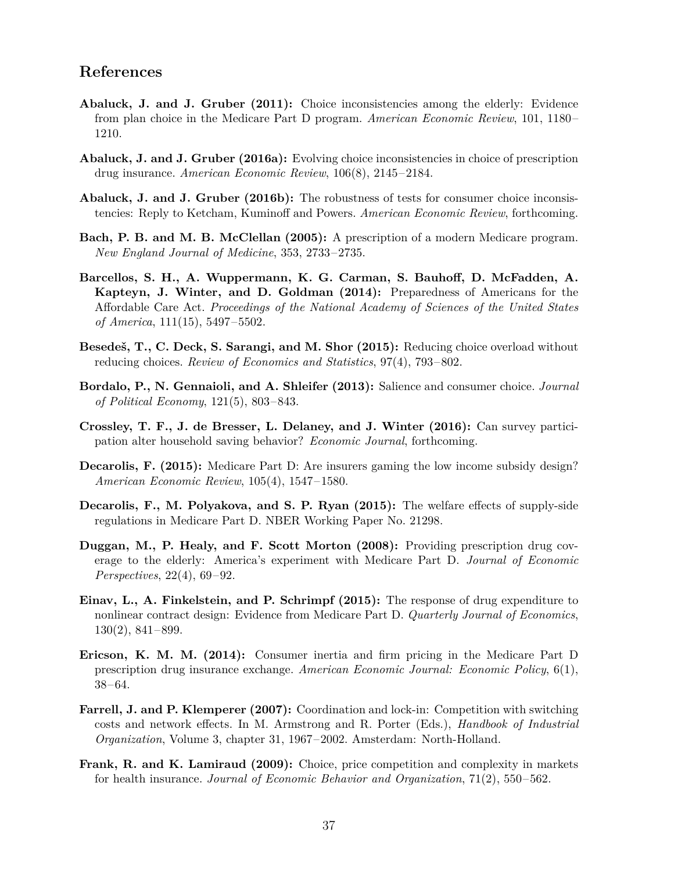## **References**

- <span id="page-38-0"></span>**Abaluck, J. and J. Gruber (2011):** Choice inconsistencies among the elderly: Evidence from plan choice in the Medicare Part D program. *American Economic Review*, 101, 1180– 1210.
- <span id="page-38-3"></span>**Abaluck, J. and J. Gruber (2016a):** Evolving choice inconsistencies in choice of prescription drug insurance. *American Economic Review*, 106(8), 2145–2184.
- <span id="page-38-6"></span>**Abaluck, J. and J. Gruber (2016b):** The robustness of tests for consumer choice inconsistencies: Reply to Ketcham, Kuminoff and Powers. *American Economic Review*, forthcoming.
- <span id="page-38-4"></span>**Bach, P. B. and M. B. McClellan (2005):** A prescription of a modern Medicare program. *New England Journal of Medicine*, 353, 2733–2735.
- <span id="page-38-11"></span>**Barcellos, S. H., A. Wuppermann, K. G. Carman, S. Bauhoff, D. McFadden, A. Kapteyn, J. Winter, and D. Goldman (2014):** Preparedness of Americans for the Affordable Care Act. *Proceedings of the National Academy of Sciences of the United States of America*, 111(15), 5497–5502.
- <span id="page-38-13"></span>**Besedeš, T., C. Deck, S. Sarangi, and M. Shor (2015):** Reducing choice overload without reducing choices. *Review of Economics and Statistics*, 97(4), 793–802.
- <span id="page-38-10"></span>**Bordalo, P., N. Gennaioli, and A. Shleifer (2013):** Salience and consumer choice. *Journal of Political Economy*, 121(5), 803–843.
- <span id="page-38-14"></span>**Crossley, T. F., J. de Bresser, L. Delaney, and J. Winter (2016):** Can survey participation alter household saving behavior? *Economic Journal*, forthcoming.
- <span id="page-38-9"></span>**Decarolis, F. (2015):** Medicare Part D: Are insurers gaming the low income subsidy design? *American Economic Review*, 105(4), 1547–1580.
- <span id="page-38-2"></span>**Decarolis, F., M. Polyakova, and S. P. Ryan (2015):** The welfare effects of supply-side regulations in Medicare Part D. NBER Working Paper No. 21298.
- <span id="page-38-5"></span>**Duggan, M., P. Healy, and F. Scott Morton (2008):** Providing prescription drug coverage to the elderly: America's experiment with Medicare Part D. *Journal of Economic Perspectives*, 22(4), 69–92.
- <span id="page-38-8"></span>**Einav, L., A. Finkelstein, and P. Schrimpf (2015):** The response of drug expenditure to nonlinear contract design: Evidence from Medicare Part D. *Quarterly Journal of Economics*, 130(2), 841–899.
- <span id="page-38-1"></span>**Ericson, K. M. M. (2014):** Consumer inertia and firm pricing in the Medicare Part D prescription drug insurance exchange. *American Economic Journal: Economic Policy*, 6(1), 38–64.
- <span id="page-38-7"></span>**Farrell, J. and P. Klemperer (2007):** Coordination and lock-in: Competition with switching costs and network effects. In M. Armstrong and R. Porter (Eds.), *Handbook of Industrial Organization*, Volume 3, chapter 31, 1967–2002. Amsterdam: North-Holland.
- <span id="page-38-12"></span>**Frank, R. and K. Lamiraud (2009):** Choice, price competition and complexity in markets for health insurance. *Journal of Economic Behavior and Organization*, 71(2), 550–562.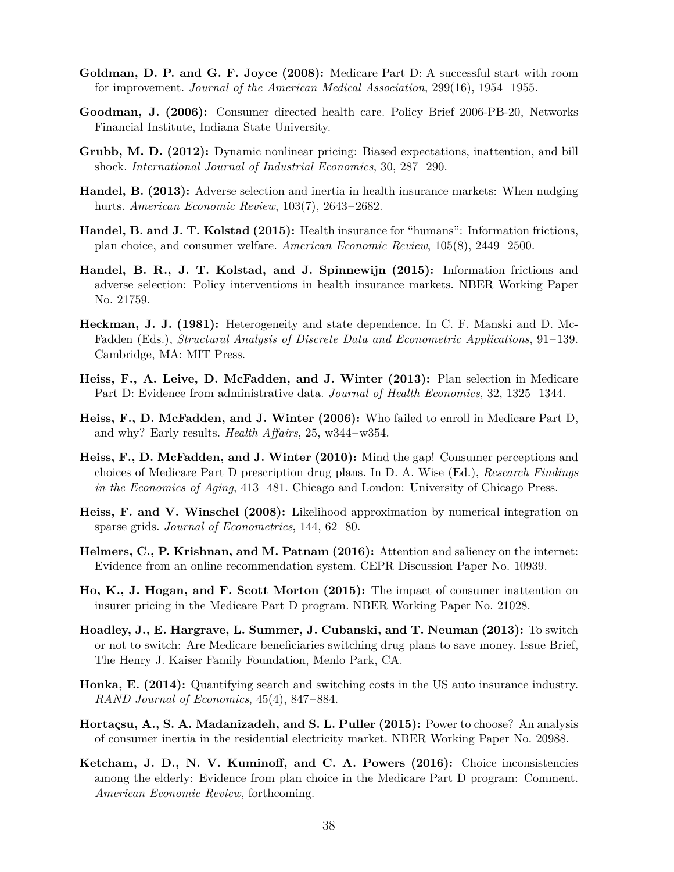- <span id="page-39-11"></span>**Goldman, D. P. and G. F. Joyce (2008):** Medicare Part D: A successful start with room for improvement. *Journal of the American Medical Association*, 299(16), 1954–1955.
- <span id="page-39-9"></span>**Goodman, J. (2006):** Consumer directed health care. Policy Brief 2006-PB-20, Networks Financial Institute, Indiana State University.
- <span id="page-39-15"></span>**Grubb, M. D. (2012):** Dynamic nonlinear pricing: Biased expectations, inattention, and bill shock. *International Journal of Industrial Economics*, 30, 287–290.
- <span id="page-39-1"></span>**Handel, B. (2013):** Adverse selection and inertia in health insurance markets: When nudging hurts. *American Economic Review*, 103(7), 2643–2682.
- <span id="page-39-2"></span>**Handel, B. and J. T. Kolstad (2015):** Health insurance for "humans": Information frictions, plan choice, and consumer welfare. *American Economic Review*, 105(8), 2449–2500.
- <span id="page-39-14"></span>**Handel, B. R., J. T. Kolstad, and J. Spinnewijn (2015):** Information frictions and adverse selection: Policy interventions in health insurance markets. NBER Working Paper No. 21759.
- <span id="page-39-12"></span>**Heckman, J. J. (1981):** Heterogeneity and state dependence. In C. F. Manski and D. Mc-Fadden (Eds.), *Structural Analysis of Discrete Data and Econometric Applications*, 91–139. Cambridge, MA: MIT Press.
- <span id="page-39-0"></span>**Heiss, F., A. Leive, D. McFadden, and J. Winter (2013):** Plan selection in Medicare Part D: Evidence from administrative data. *Journal of Health Economics*, 32, 1325–1344.
- <span id="page-39-10"></span>**Heiss, F., D. McFadden, and J. Winter (2006):** Who failed to enroll in Medicare Part D, and why? Early results. *Health Affairs*, 25, w344–w354.
- <span id="page-39-4"></span>**Heiss, F., D. McFadden, and J. Winter (2010):** Mind the gap! Consumer perceptions and choices of Medicare Part D prescription drug plans. In D. A. Wise (Ed.), *Research Findings in the Economics of Aging*, 413–481. Chicago and London: University of Chicago Press.
- <span id="page-39-13"></span>**Heiss, F. and V. Winschel (2008):** Likelihood approximation by numerical integration on sparse grids. *Journal of Econometrics*, 144, 62–80.
- <span id="page-39-16"></span>**Helmers, C., P. Krishnan, and M. Patnam (2016):** Attention and saliency on the internet: Evidence from an online recommendation system. CEPR Discussion Paper No. 10939.
- <span id="page-39-3"></span>**Ho, K., J. Hogan, and F. Scott Morton (2015):** The impact of consumer inattention on insurer pricing in the Medicare Part D program. NBER Working Paper No. 21028.
- <span id="page-39-7"></span>**Hoadley, J., E. Hargrave, L. Summer, J. Cubanski, and T. Neuman (2013):** To switch or not to switch: Are Medicare beneficiaries switching drug plans to save money. Issue Brief, The Henry J. Kaiser Family Foundation, Menlo Park, CA.
- <span id="page-39-8"></span>**Honka, E. (2014):** Quantifying search and switching costs in the US auto insurance industry. *RAND Journal of Economics*, 45(4), 847–884.
- <span id="page-39-6"></span>**Hortaçsu, A., S. A. Madanizadeh, and S. L. Puller (2015):** Power to choose? An analysis of consumer inertia in the residential electricity market. NBER Working Paper No. 20988.
- <span id="page-39-5"></span>**Ketcham, J. D., N. V. Kuminoff, and C. A. Powers (2016):** Choice inconsistencies among the elderly: Evidence from plan choice in the Medicare Part D program: Comment. *American Economic Review*, forthcoming.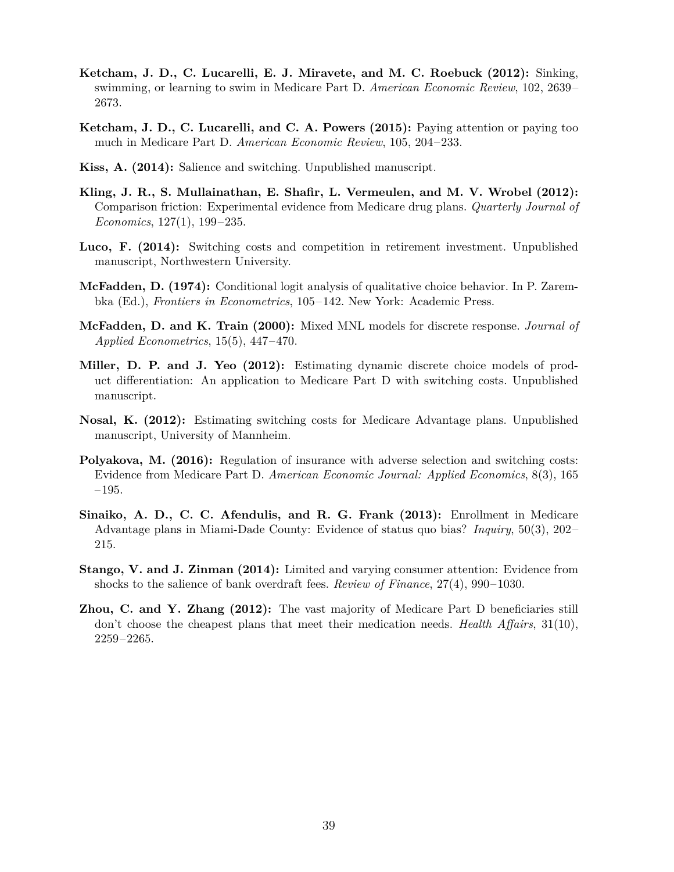- <span id="page-40-1"></span>**Ketcham, J. D., C. Lucarelli, E. J. Miravete, and M. C. Roebuck (2012):** Sinking, swimming, or learning to swim in Medicare Part D. *American Economic Review*, 102, 2639– 2673.
- <span id="page-40-8"></span>**Ketcham, J. D., C. Lucarelli, and C. A. Powers (2015):** Paying attention or paying too much in Medicare Part D. *American Economic Review*, 105, 204–233.
- <span id="page-40-4"></span>**Kiss, A. (2014):** Salience and switching. Unpublished manuscript.
- <span id="page-40-6"></span>**Kling, J. R., S. Mullainathan, E. Shafir, L. Vermeulen, and M. V. Wrobel (2012):** Comparison friction: Experimental evidence from Medicare drug plans. *Quarterly Journal of Economics*, 127(1), 199–235.
- <span id="page-40-5"></span>Luco, F. (2014): Switching costs and competition in retirement investment. Unpublished manuscript, Northwestern University.
- <span id="page-40-9"></span>**McFadden, D. (1974):** Conditional logit analysis of qualitative choice behavior. In P. Zarembka (Ed.), *Frontiers in Econometrics*, 105–142. New York: Academic Press.
- <span id="page-40-10"></span>**McFadden, D. and K. Train (2000):** Mixed MNL models for discrete response. *Journal of Applied Econometrics*, 15(5), 447–470.
- <span id="page-40-2"></span>**Miller, D. P. and J. Yeo (2012):** Estimating dynamic discrete choice models of product differentiation: An application to Medicare Part D with switching costs. Unpublished manuscript.
- <span id="page-40-3"></span>**Nosal, K. (2012):** Estimating switching costs for Medicare Advantage plans. Unpublished manuscript, University of Mannheim.
- <span id="page-40-0"></span>**Polyakova, M. (2016):** Regulation of insurance with adverse selection and switching costs: Evidence from Medicare Part D. *American Economic Journal: Applied Economics*, 8(3), 165 –195.
- <span id="page-40-11"></span>**Sinaiko, A. D., C. C. Afendulis, and R. G. Frank (2013):** Enrollment in Medicare Advantage plans in Miami-Dade County: Evidence of status quo bias? *Inquiry*, 50(3), 202– 215.
- <span id="page-40-12"></span>**Stango, V. and J. Zinman (2014):** Limited and varying consumer attention: Evidence from shocks to the salience of bank overdraft fees. *Review of Finance*, 27(4), 990–1030.
- <span id="page-40-7"></span>**Zhou, C. and Y. Zhang (2012):** The vast majority of Medicare Part D beneficiaries still don't choose the cheapest plans that meet their medication needs. *Health Affairs*, 31(10), 2259–2265.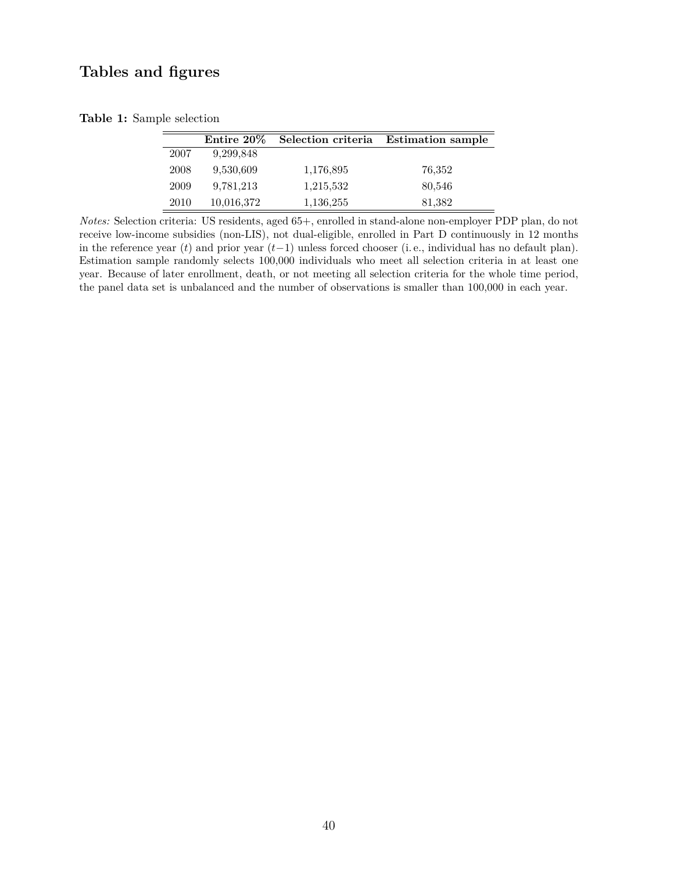## **Tables and figures**

|  |  |  | Table 1: Sample selection |
|--|--|--|---------------------------|
|--|--|--|---------------------------|

<span id="page-41-0"></span>

|      | Entire 20% | Selection criteria | <b>Estimation sample</b> |
|------|------------|--------------------|--------------------------|
| 2007 | 9,299,848  |                    |                          |
| 2008 | 9.530,609  | 1,176,895          | 76,352                   |
| 2009 | 9.781,213  | 1,215,532          | 80,546                   |
| 2010 | 10,016,372 | 1,136,255          | 81,382                   |

*Notes:* Selection criteria: US residents, aged 65+, enrolled in stand-alone non-employer PDP plan, do not receive low-income subsidies (non-LIS), not dual-eligible, enrolled in Part D continuously in 12 months in the reference year (*t*) and prior year (*t*−1) unless forced chooser (i. e., individual has no default plan). Estimation sample randomly selects 100,000 individuals who meet all selection criteria in at least one year. Because of later enrollment, death, or not meeting all selection criteria for the whole time period, the panel data set is unbalanced and the number of observations is smaller than 100,000 in each year.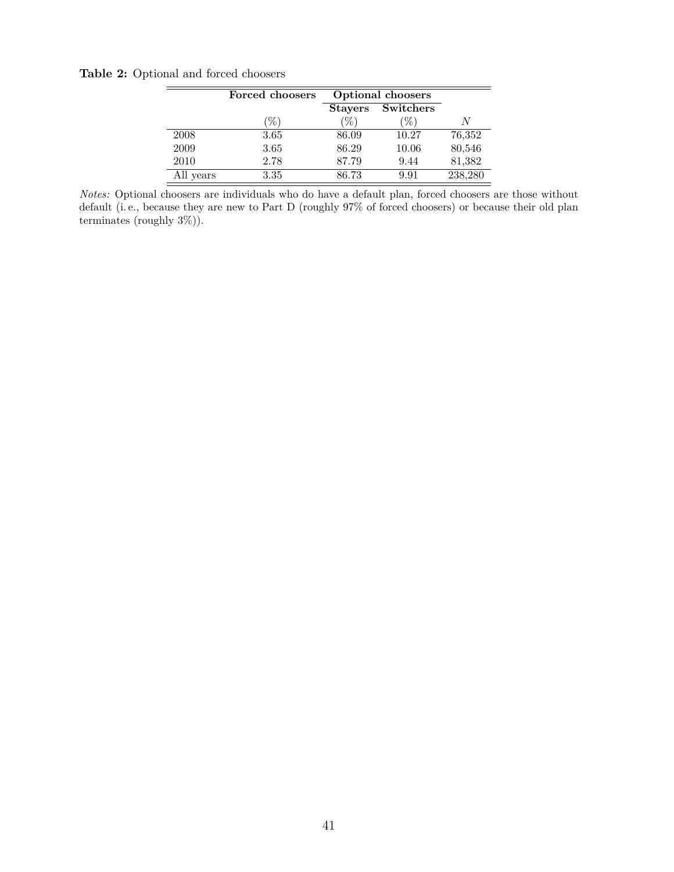**Table 2:** Optional and forced choosers

<span id="page-42-0"></span>

|           | Forced choosers | <b>Optional choosers</b> |                   |         |
|-----------|-----------------|--------------------------|-------------------|---------|
|           |                 |                          | Stayers Switchers |         |
|           | (%)             | $\mathcal{C}_{0}$        | $\mathcal{V}_0$   | N       |
| 2008      | 3.65            | 86.09                    | 10.27             | 76,352  |
| 2009      | 3.65            | 86.29                    | 10.06             | 80,546  |
| 2010      | 2.78            | 87.79                    | 9.44              | 81,382  |
| All years | 3.35            | 86.73                    | 9.91              | 238,280 |

*Notes:* Optional choosers are individuals who do have a default plan, forced choosers are those without default (i. e., because they are new to Part D (roughly 97% of forced choosers) or because their old plan terminates (roughly 3%)).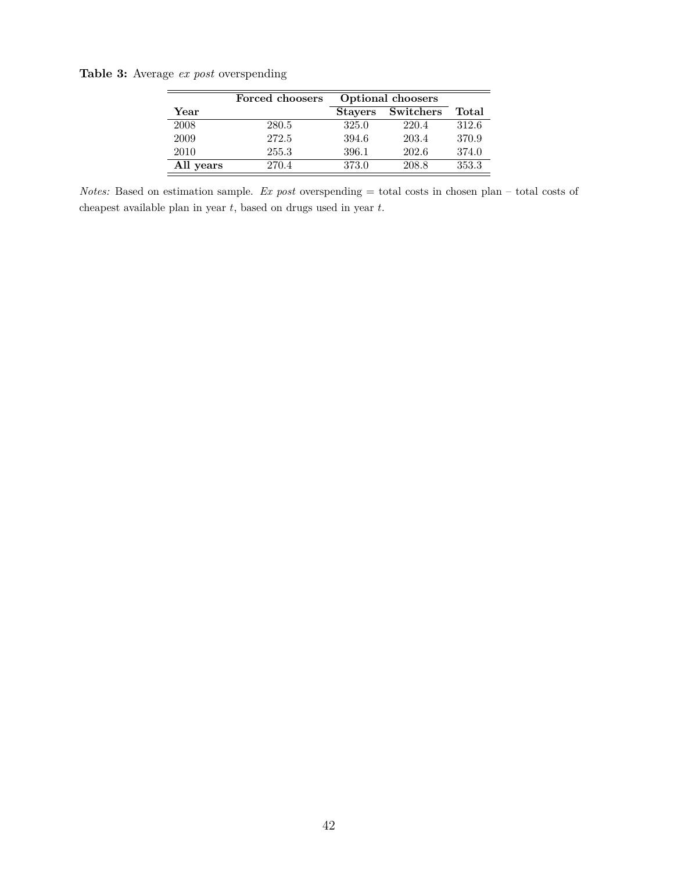**Table 3:** Average *ex post* overspending

<span id="page-43-0"></span>

|           | Forced choosers | Optional choosers |           |       |
|-----------|-----------------|-------------------|-----------|-------|
| Year      |                 | <b>Stavers</b>    | Switchers | Total |
| 2008      | 280.5           | 325.0             | 220.4     | 312.6 |
| 2009      | 272.5           | 394.6             | 203.4     | 370.9 |
| 2010      | 255.3           | 396.1             | 202.6     | 374.0 |
| All years | 270.4           | 373.0             | 208.8     | 353.3 |

*Notes:* Based on estimation sample. *Ex post* overspending = total costs in chosen plan – total costs of cheapest available plan in year *t*, based on drugs used in year *t*.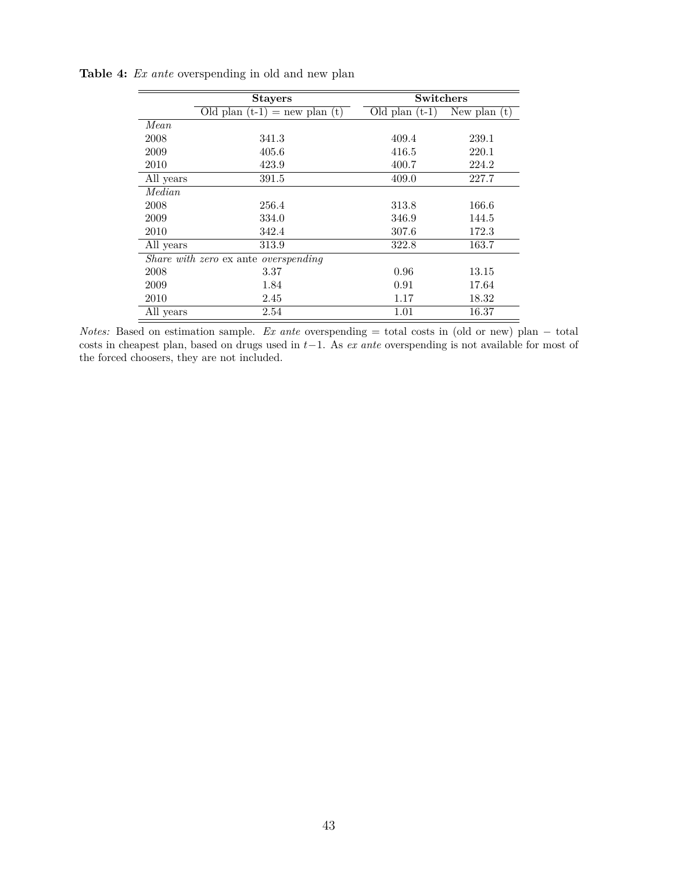<span id="page-44-0"></span>

|               | <b>Stayers</b>                       | Switchers        |                |  |
|---------------|--------------------------------------|------------------|----------------|--|
|               | Old plan $(t-1)$ = new plan $(t)$    | Old plan $(t-1)$ | New plan $(t)$ |  |
| Mean.         |                                      |                  |                |  |
| 2008          | 341.3                                | 409.4            | 239.1          |  |
| 2009          | 405.6                                | 416.5            | 220.1          |  |
| 2010          | 423.9                                | 400.7            | 224.2          |  |
| All years     | 391.5                                | 409.0            | 227.7          |  |
| <i>Median</i> |                                      |                  |                |  |
| 2008          | 256.4                                | 313.8            | 166.6          |  |
| 2009          | 334.0                                | 346.9            | 144.5          |  |
| 2010          | 342.4                                | 307.6            | 172.3          |  |
| All years     | 313.9                                | 322.8            | 163.7          |  |
|               | Share with zero ex ante overspending |                  |                |  |
| 2008          | 3.37                                 | 0.96             | 13.15          |  |
| 2009          | 1.84                                 | 0.91             | 17.64          |  |
| 2010          | 2.45                                 | 1.17             | 18.32          |  |
| All years     | 2.54                                 | 1.01             | 16.37          |  |

**Table 4:** *Ex ante* overspending in old and new plan

*Notes:* Based on estimation sample. *Ex ante* overspending = total costs in (old or new) plan − total costs in cheapest plan, based on drugs used in *t*−1. As *ex ante* overspending is not available for most of the forced choosers, they are not included.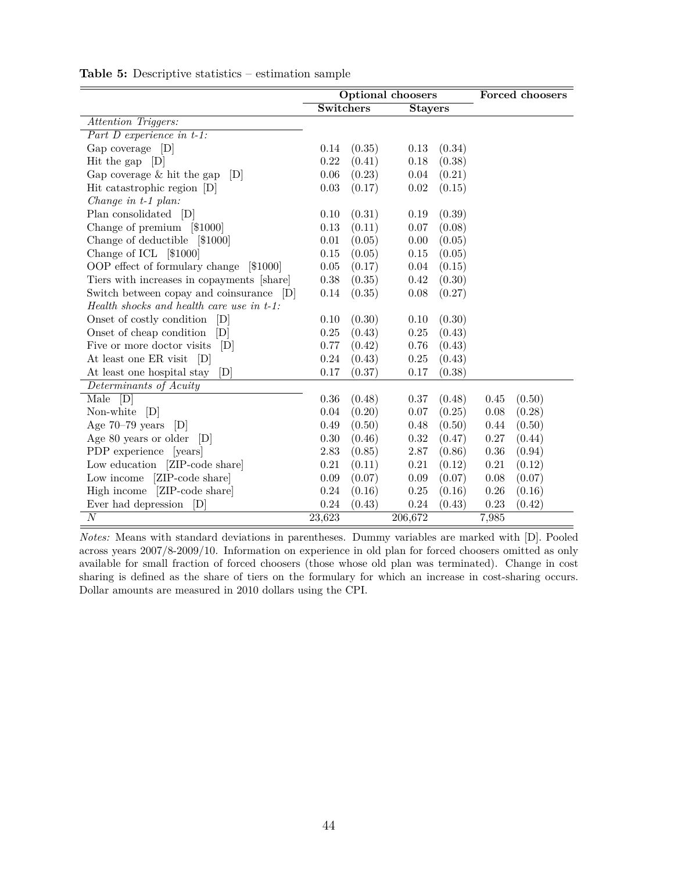|                                            | <b>Optional choosers</b> |        |                |        |          | Forced choosers |
|--------------------------------------------|--------------------------|--------|----------------|--------|----------|-----------------|
|                                            | Switchers                |        | <b>Stayers</b> |        |          |                 |
| Attention Triggers:                        |                          |        |                |        |          |                 |
| Part $D$ experience in $t-1$ :             |                          |        |                |        |          |                 |
| Gap coverage [D]                           | 0.14                     | (0.35) | 0.13           | (0.34) |          |                 |
| Hit the gap $[D]$                          | 0.22                     | (0.41) | 0.18           | (0.38) |          |                 |
| Gap coverage $\&$ hit the gap<br> D        | $0.06\,$                 | (0.23) | 0.04           | (0.21) |          |                 |
| Hit catastrophic region [D]                | 0.03                     | (0.17) | $0.02\,$       | (0.15) |          |                 |
| Change in $t-1$ plan:                      |                          |        |                |        |          |                 |
| Plan consolidated [D]                      | 0.10                     | (0.31) | 0.19           | (0.39) |          |                 |
| Change of premium [\$1000]                 | $0.13\,$                 | (0.11) | 0.07           | (0.08) |          |                 |
| Change of deductible [\$1000]              | 0.01                     | (0.05) | 0.00           | (0.05) |          |                 |
| Change of ICL [\$1000]                     | $0.15\,$                 | (0.05) | $0.15\,$       | (0.05) |          |                 |
| OOP effect of formulary change<br> \$1000  | $0.05\,$                 | (0.17) | 0.04           | (0.15) |          |                 |
| Tiers with increases in copayments [share] | 0.38                     | (0.35) | 0.42           | (0.30) |          |                 |
| Switch between copay and coinsurance [D]   | $0.14\,$                 | (0.35) | 0.08           | (0.27) |          |                 |
| Health shocks and health care use in t-1:  |                          |        |                |        |          |                 |
| Onset of costly condition<br>[D]           | 0.10                     | (0.30) | 0.10           | (0.30) |          |                 |
| Onset of cheap condition<br> D             | 0.25                     | (0.43) | 0.25           | (0.43) |          |                 |
| Five or more doctor visits<br>[D]          | 0.77                     | (0.42) | 0.76           | (0.43) |          |                 |
| At least one ER visit<br> D                | $0.24\,$                 | (0.43) | 0.25           | (0.43) |          |                 |
| At least one hospital stay<br>[D]          | 0.17                     | (0.37) | 0.17           | (0.38) |          |                 |
| Determinants of Acuity                     |                          |        |                |        |          |                 |
| [D]<br>Male                                | 0.36                     | (0.48) | 0.37           | (0.48) | 0.45     | (0.50)          |
| Non-white [D]                              | 0.04                     | (0.20) | 0.07           | (0.25) | 0.08     | (0.28)          |
| Age $70-79$ years<br>[D]                   | 0.49                     | (0.50) | 0.48           | (0.50) | 0.44     | (0.50)          |
| Age 80 years or older<br>[D]               | $0.30\,$                 | (0.46) | 0.32           | (0.47) | 0.27     | (0.44)          |
| PDP experience [years]                     | 2.83                     | (0.85) | 2.87           | (0.86) | $0.36\,$ | (0.94)          |
| Low education [ZIP-code share]             | 0.21                     | (0.11) | 0.21           | (0.12) | 0.21     | (0.12)          |
| Low income [ZIP-code share]                | 0.09                     | (0.07) | 0.09           | (0.07) | 0.08     | (0.07)          |
| High income [ZIP-code share]               | 0.24                     | (0.16) | 0.25           | (0.16) | $0.26\,$ | (0.16)          |
| Ever had depression<br>D                   | 0.24                     | (0.43) | 0.24           | (0.43) | 0.23     | (0.42)          |
| $\overline{N}$                             | 23,623                   |        | 206,672        |        | 7,985    |                 |

<span id="page-45-0"></span>**Table 5:** Descriptive statistics – estimation sample

*Notes:* Means with standard deviations in parentheses. Dummy variables are marked with [D]. Pooled across years 2007/8-2009/10. Information on experience in old plan for forced choosers omitted as only available for small fraction of forced choosers (those whose old plan was terminated). Change in cost sharing is defined as the share of tiers on the formulary for which an increase in cost-sharing occurs. Dollar amounts are measured in 2010 dollars using the CPI.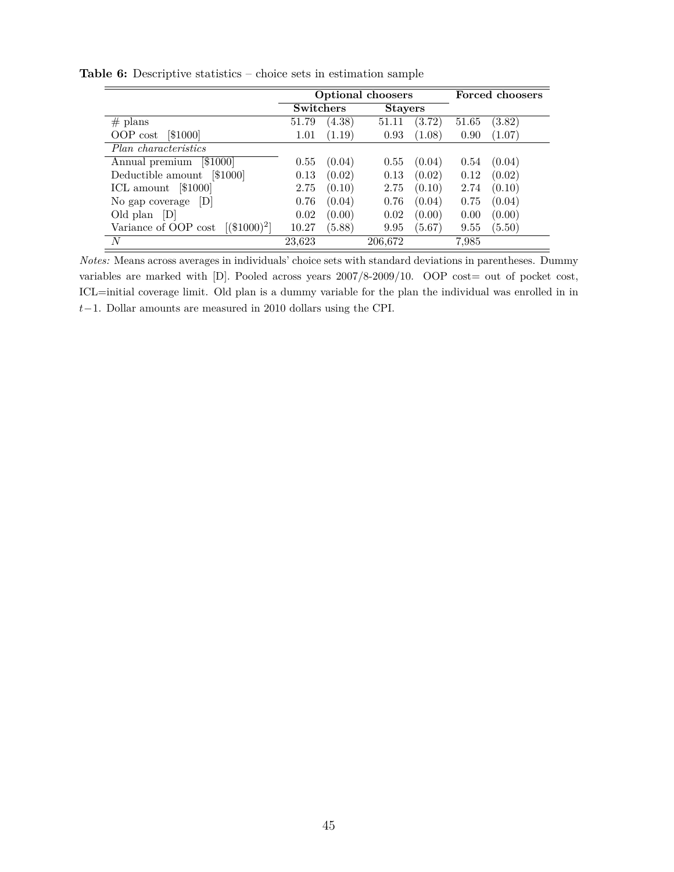<span id="page-46-0"></span>

|                                        |                  | <b>Optional choosers</b> |                |        |       | Forced choosers |
|----------------------------------------|------------------|--------------------------|----------------|--------|-------|-----------------|
|                                        | <b>Switchers</b> |                          | <b>Stayers</b> |        |       |                 |
| $#$ plans                              | 51.79            | (4.38)                   | 51.11          | (3.72) | 51.65 | (3.82)          |
| [\$1000]<br>OOP cost                   | 1.01             | (1.19)                   | 0.93           | (1.08) | 0.90  | (1.07)          |
| Plan characteristics                   |                  |                          |                |        |       |                 |
| Annual premium<br>[\$1000]             | 0.55             | (0.04)                   | 0.55           | (0.04) | 0.54  | (0.04)          |
| Deductible amount<br>[\$1000]          | 0.13             | (0.02)                   | 0.13           | (0.02) | 0.12  | (0.02)          |
| ICL amount [\$1000]                    | 2.75             | (0.10)                   | 2.75           | (0.10) | 2.74  | (0.10)          |
| D <br>No gap coverage                  | 0.76             | (0.04)                   | 0.76           | (0.04) | 0.75  | (0.04)          |
| D <br>Old plan                         | 0.02             | (0.00)                   | 0.02           | (0.00) | 0.00  | (0.00)          |
| Variance of OOP cost<br>$[(\$1000)^2]$ | 10.27            | (5.88)                   | 9.95           | (5.67) | 9.55  | (5.50)          |
| N                                      | 23,623           |                          | 206,672        |        | 7,985 |                 |

**Table 6:** Descriptive statistics – choice sets in estimation sample

*Notes:* Means across averages in individuals' choice sets with standard deviations in parentheses. Dummy variables are marked with [D]. Pooled across years  $2007/8-2009/10$ . OOP cost= out of pocket cost, ICL=initial coverage limit. Old plan is a dummy variable for the plan the individual was enrolled in in *t*−1. Dollar amounts are measured in 2010 dollars using the CPI.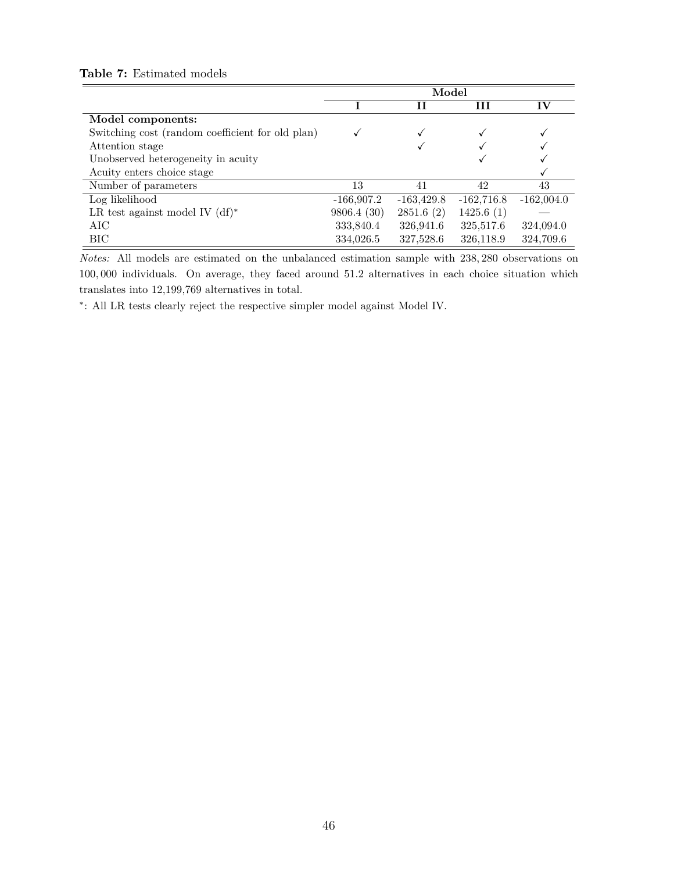|                                                  | Model        |              |              |               |  |
|--------------------------------------------------|--------------|--------------|--------------|---------------|--|
|                                                  |              | Н            | ш            | $\mathbf{IV}$ |  |
| Model components:                                |              |              |              |               |  |
| Switching cost (random coefficient for old plan) |              |              |              |               |  |
| Attention stage                                  |              |              |              |               |  |
| Unobserved heterogeneity in acuity               |              |              |              |               |  |
| Acuity enters choice stage                       |              |              |              |               |  |
| Number of parameters                             | 13           | 41           | 42           | 43            |  |
| Log likelihood                                   | $-166,907.2$ | $-163,429.8$ | $-162,716.8$ | $-162,004.0$  |  |
| LR test against model IV $(df)*$                 | 9806.4(30)   | 2851.6(2)    | 1425.6(1)    |               |  |
| AIC                                              | 333,840.4    | 326,941.6    | 325,517.6    | 324,094.0     |  |
| BІC                                              | 334,026.5    | 327,528.6    | 326,118.9    | 324,709.6     |  |

#### <span id="page-47-0"></span>**Table 7:** Estimated models

*Notes:* All models are estimated on the unbalanced estimation sample with 238*,* 280 observations on 100*,* 000 individuals. On average, they faced around 51.2 alternatives in each choice situation which translates into 12,199,769 alternatives in total.

∗ : All LR tests clearly reject the respective simpler model against Model IV.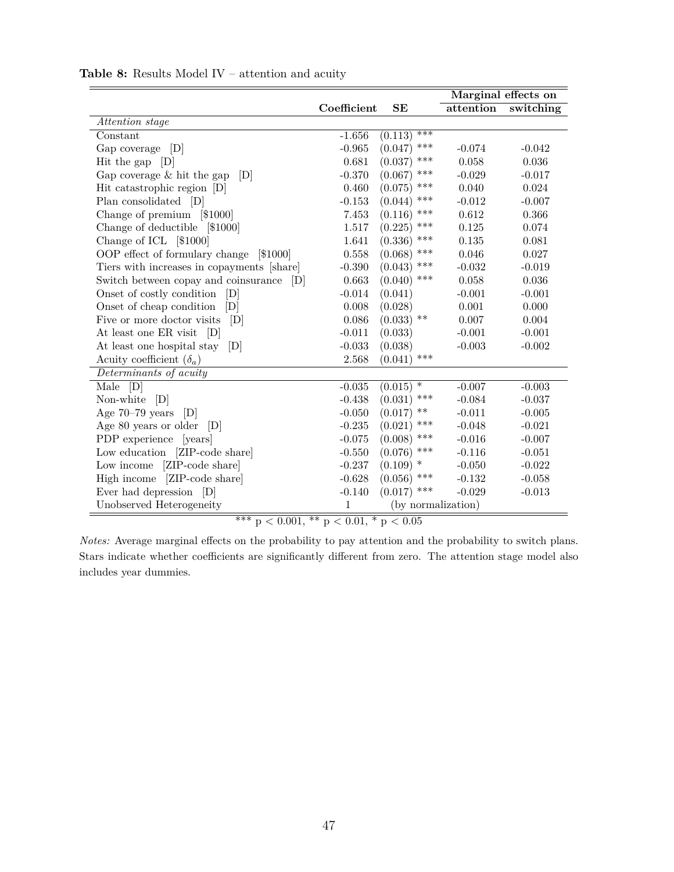<span id="page-48-0"></span>

|                                            |              |                    |           | Marginal effects on |
|--------------------------------------------|--------------|--------------------|-----------|---------------------|
|                                            | Coefficient  | SE                 | attention | switching           |
| Attention stage                            |              |                    |           |                     |
| Constant                                   | $-1.656$     | ***<br>(0.113)     |           |                     |
| Gap coverage<br> D                         | $-0.965$     | ***<br>(0.047)     | $-0.074$  | $-0.042$            |
| Hit the gap $[D]$                          | 0.681        | ***<br>(0.037)     | 0.058     | 0.036               |
| Gap coverage $&$ hit the gap<br> D         | $-0.370$     | ***<br>(0.067)     | $-0.029$  | $-0.017$            |
| Hit catastrophic region [D]                | 0.460        | ***<br>(0.075)     | 0.040     | 0.024               |
| Plan consolidated [D]                      | $-0.153$     | ***<br>(0.044)     | $-0.012$  | $-0.007$            |
| Change of premium [\$1000]                 | 7.453        | $***$<br>(0.116)   | 0.612     | 0.366               |
| Change of deductible [\$1000]              | 1.517        | ***<br>(0.225)     | 0.125     | 0.074               |
| Change of ICL [\$1000]                     | 1.641        | ***<br>(0.336)     | 0.135     | 0.081               |
| OOP effect of formulary change<br> \$1000  | 0.558        | ***<br>(0.068)     | 0.046     | 0.027               |
| Tiers with increases in copayments [share] | $-0.390$     | ***<br>(0.043)     | $-0.032$  | $-0.019$            |
| Switch between copay and coinsurance<br> D | 0.663        | ***<br>(0.040)     | 0.058     | 0.036               |
| Onset of costly condition [D]              | $-0.014$     | (0.041)            | $-0.001$  | $-0.001$            |
| Onset of cheap condition<br> D             | 0.008        | (0.028)            | 0.001     | 0.000               |
| Five or more doctor visits<br> D           | 0.086        | $(0.033)$ **       | 0.007     | 0.004               |
| At least one ER visit<br>[D]               | $-0.011$     | (0.033)            | $-0.001$  | $-0.001$            |
| At least one hospital stay<br> D           | $-0.033$     | (0.038)            | $-0.003$  | $-0.002$            |
| Acuity coefficient $(\delta_a)$            | 2.568        | $(0.041)$ ***      |           |                     |
| Determinants of acuity                     |              |                    |           |                     |
| Male<br>[D]                                | $-0.035$     | $(0.015)$ *        | $-0.007$  | $-0.003$            |
| Non-white<br>[D]                           | $-0.438$     | $***$<br>(0.031)   | $-0.084$  | $-0.037$            |
| Age 70-79 years<br> D                      | $-0.050$     | **<br>(0.017)      | $-0.011$  | $-0.005$            |
| Age 80 years or older<br> D                | $-0.235$     | ***<br>(0.021)     | $-0.048$  | $-0.021$            |
| PDP experience<br>[years]                  | $-0.075$     | ***<br>(0.008)     | $-0.016$  | $-0.007$            |
| Low education [ZIP-code share]             | $-0.550$     | ***<br>(0.076)     | $-0.116$  | $-0.051$            |
| [ZIP-code share]<br>Low income             | $-0.237$     | $(0.109)$ *        | $-0.050$  | $-0.022$            |
| [ZIP-code share]<br>High income            | $-0.628$     | ***<br>(0.056)     | $-0.132$  | $-0.058$            |
| Ever had depression [D]                    | $-0.140$     | ***<br>(0.017)     | $-0.029$  | $-0.013$            |
| Unobserved Heterogeneity                   | $\mathbf{1}$ | (by normalization) |           |                     |

## **Table 8:** Results Model IV – attention and acuity

\*\*\*  $p < 0.001$ , \*\*  $p < 0.01$ , \*  $p < 0.05$ 

*Notes:* Average marginal effects on the probability to pay attention and the probability to switch plans. Stars indicate whether coefficients are significantly different from zero. The attention stage model also includes year dummies.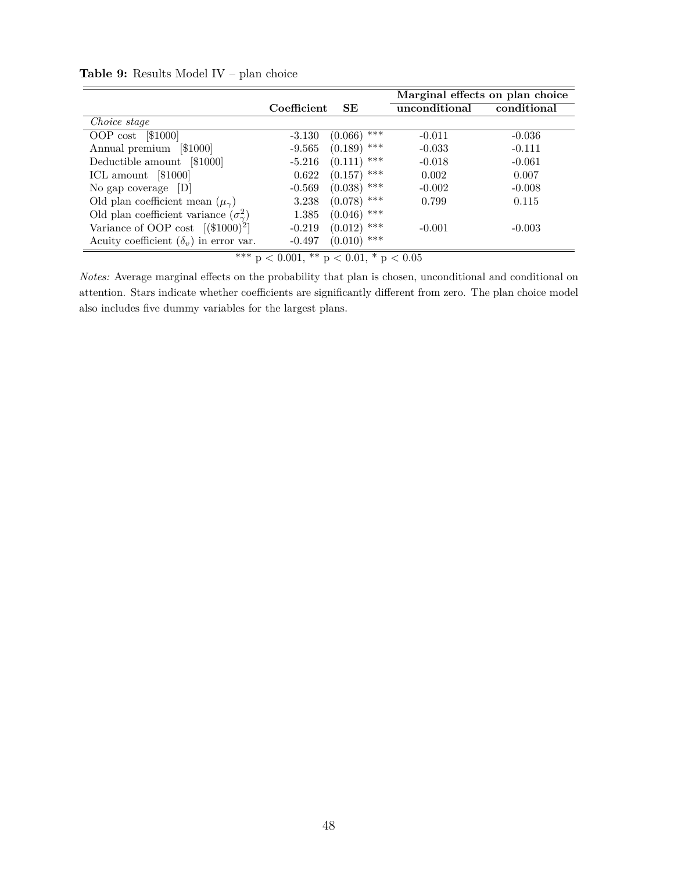|          |                            | Marginal effects on plan choice |             |
|----------|----------------------------|---------------------------------|-------------|
|          | SE                         | unconditional                   | conditional |
|          |                            |                                 |             |
| $-3.130$ | ***<br>(0.066)             | $-0.011$                        | $-0.036$    |
| $-9.565$ | ***<br>(0.189)             | $-0.033$                        | $-0.111$    |
| $-5.216$ | ***<br>(0.111)             | $-0.018$                        | $-0.061$    |
| 0.622    | $(0.157)$ ***              | 0.002                           | 0.007       |
| $-0.569$ | $(0.038)$ ***              | $-0.002$                        | $-0.008$    |
| 3.238    | $(0.078)$ ***              | 0.799                           | 0.115       |
| 1.385    | $(0.046)$ ***              |                                 |             |
| $-0.219$ | $(0.012)$ ***              | $-0.001$                        | $-0.003$    |
| $-0.497$ |                            |                                 |             |
|          | and a series of collection | Coefficient<br>$(0.010)$ ***    |             |

<span id="page-49-0"></span>**Table 9:** Results Model IV – plan choice

 $***$  p  $<$  0.001,  $**$  p  $<$  0.01,  $*$  p  $<$  0.05  $\,$ 

*Notes:* Average marginal effects on the probability that plan is chosen, unconditional and conditional on attention. Stars indicate whether coefficients are significantly different from zero. The plan choice model also includes five dummy variables for the largest plans.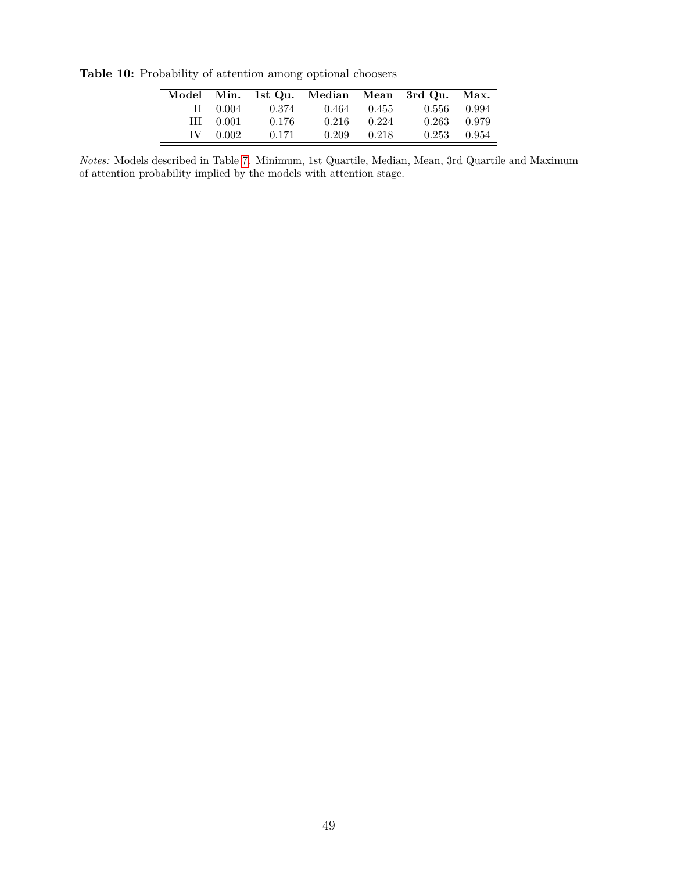<span id="page-50-0"></span>**Model Min. 1st Qu. Median Mean 3rd Qu. Max.** II 0.004 0.374 0.464 0.455 0.556 0.994 III 0.001 0.176 0.216 0.224 0.263 0.979 IV 0.002 0.171 0.209 0.218 0.253 0.954

**Table 10:** Probability of attention among optional choosers

*Notes:* Models described in Table [7.](#page-47-0) Minimum, 1st Quartile, Median, Mean, 3rd Quartile and Maximum of attention probability implied by the models with attention stage.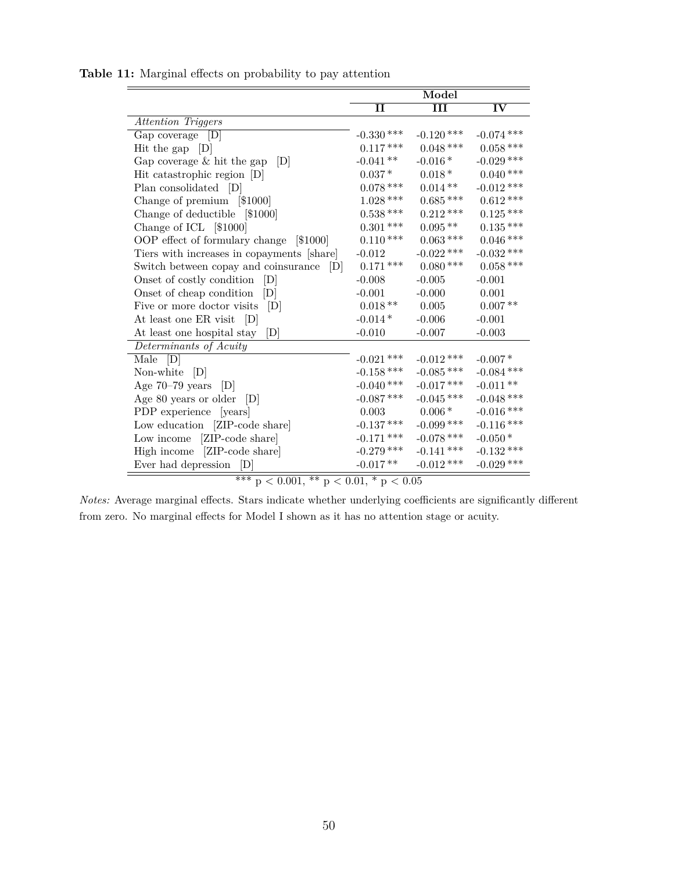<span id="page-51-0"></span>

|                                            |              | Model                |              |
|--------------------------------------------|--------------|----------------------|--------------|
|                                            | $\mathbf{I}$ | $\overline{\rm III}$ | IV           |
| Attention Triggers                         |              |                      |              |
| Gap coverage [D]                           | $-0.330$ *** | $-0.120$ ***         | $-0.074$ *** |
| Hit the gap $[D]$                          | $0.117***$   | $0.048***$           | $0.058***$   |
| Gap coverage $&$ hit the gap<br> D         | $-0.041**$   | $-0.016*$            | $-0.029$ *** |
| Hit catastrophic region [D]                | $0.037*$     | $0.018*$             | $0.040***$   |
| Plan consolidated [D]                      | $0.078***$   | $0.014**$            | $-0.012$ *** |
| Change of premium [\$1000]                 | $1.028***$   | $0.685***$           | $0.612***$   |
| Change of deductible [\$1000]              | $0.538***$   | $0.212***$           | $0.125\,***$ |
| Change of ICL [\$1000]                     | $0.301\,***$ | $0.095**$            | $0.135***$   |
| OOP effect of formulary change<br>[\$1000] | $0.110\,***$ | $0.063$ ***          | $0.046\,***$ |
| Tiers with increases in copayments [share] | $-0.012$     | $-0.022$ ***         | $-0.032$ *** |
| Switch between copay and coinsurance [D]   | $0.171$ ***  | $0.080$ ***          | $0.058***$   |
| [D]<br>Onset of costly condition           | $-0.008$     | $-0.005$             | $-0.001$     |
| Onset of cheap condition<br>[D]            | $-0.001$     | $-0.000$             | 0.001        |
| Five or more doctor visits<br>[D]          | $0.018**$    | 0.005                | $0.007**$    |
| At least one ER visit [D]                  | $-0.014*$    | $-0.006$             | $-0.001$     |
| At least one hospital stay<br> D           | $-0.010$     | $-0.007$             | $-0.003$     |
| Determinants of Acuity                     |              |                      |              |
| Male $[D]$                                 | $-0.021$ *** | $-0.012$ ***         | $-0.007*$    |
| Non-white $[D]$                            | $-0.158$ *** | $-0.085$ ***         | $-0.084$ *** |
| Age 70-79 years [D]                        | $-0.040$ *** | $-0.017$ ***         | $-0.011**$   |
| Age 80 years or older $[D]$                | $-0.087$ *** | $-0.045$ ***         | $-0.048$ *** |
| PDP experience [years]                     | $0.003\,$    | $0.006*$             | $-0.016$ *** |
| Low education [ZIP-code share]             | $-0.137***$  | $-0.099$ ***         | $-0.116$ *** |
| Low income [ZIP-code share]                | $-0.171$ *** | $-0.078$ ***         | $-0.050*$    |
| High income [ZIP-code share]               | $-0.279$ *** | $-0.141$ ***         | $-0.132$ *** |
| Ever had depression [D]                    | $-0.017**$   | $-0.012$ ***         | $-0.029$ *** |

**Table 11:** Marginal effects on probability to pay attention

 $*** p < 0.001, ** p < 0.01, * p < 0.05$ 

*Notes:* Average marginal effects. Stars indicate whether underlying coefficients are significantly different from zero. No marginal effects for Model I shown as it has no attention stage or acuity.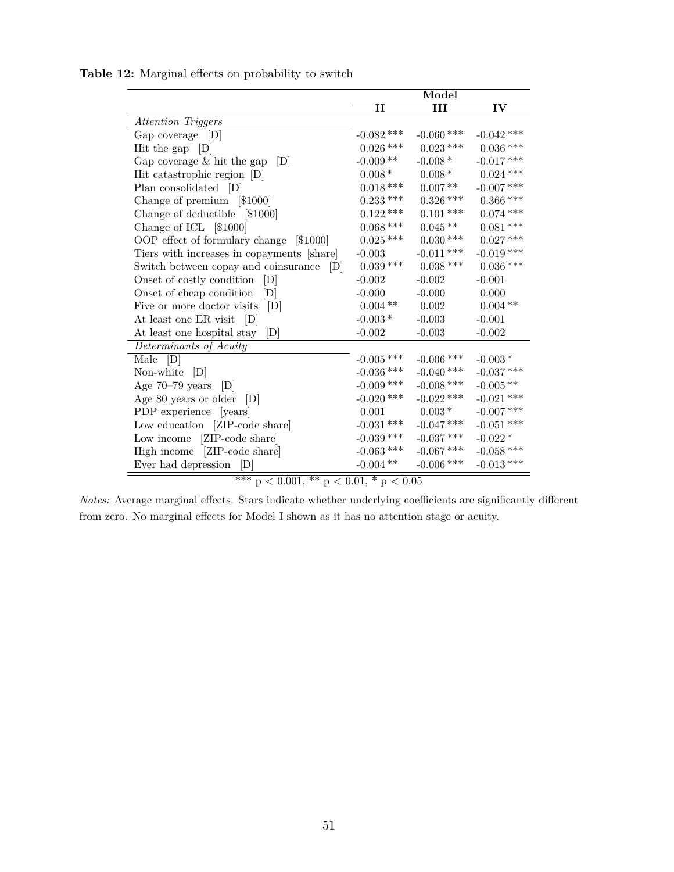<span id="page-52-0"></span>

|                                            |              | Model                |              |
|--------------------------------------------|--------------|----------------------|--------------|
|                                            | II           | $\overline{\rm III}$ | IV           |
| Attention Triggers                         |              |                      |              |
| $Gap\ coverage$ [D]                        | $-0.082$ *** | $-0.060$ ***         | $-0.042$ *** |
| Hit the gap $ D $                          | $0.026$ ***  | $0.023$ ***          | $0.036$ ***  |
| Gap coverage $&$ hit the gap<br> D         | $-0.009**$   | $-0.008*$            | $-0.017$ *** |
| Hit catastrophic region [D]                | $0.008*$     | $0.008*$             | $0.024***$   |
| Plan consolidated [D]                      | $0.018\,***$ | $0.007\,**$          | $-0.007$ *** |
| Change of premium [\$1000]                 | $0.233***$   | $0.326$ ***          | $0.366$ ***  |
| Change of deductible [\$1000]              | $0.122$ ***  | $0.101$ ***          | $0.074$ ***  |
| Change of ICL [\$1000]                     | $0.068$ ***  | $0.045**$            | $0.081***$   |
| OOP effect of formulary change [\$1000]    | $0.025$ ***  | $0.030***$           | $0.027***$   |
| Tiers with increases in copayments [share] | $-0.003$     | $-0.011$ ***         | $-0.019$ *** |
| Switch between copay and coinsurance [D]   | $0.039***$   | $0.038***$           | $0.036$ ***  |
| Onset of costly condition<br>[D]           | $-0.002$     | $-0.002$             | $-0.001$     |
| Onset of cheap condition<br>[D]            | $-0.000$     | $-0.000$             | 0.000        |
| Five or more doctor visits<br> D           | $0.004**$    | 0.002                | $0.004**$    |
| At least one ER visit [D]                  | $-0.003*$    | $-0.003$             | $-0.001$     |
| At least one hospital stay<br>[D]          | $-0.002$     | $-0.003$             | $-0.002$     |
| Determinants of Acuity                     |              |                      |              |
| Male $[D]$                                 | $-0.005$ *** | $-0.006$ ***         | $-0.003*$    |
| Non-white $[D]$                            | $-0.036$ *** | $-0.040$ ***         | $-0.037$ *** |
| Age $70-79$ years $[D]$                    | $-0.009$ *** | $-0.008$ ***         | $-0.005**$   |
| Age 80 years or older $[D]$                | $-0.020$ *** | $-0.022$ ***         | $-0.021$ *** |
| PDP experience [years]                     | $0.001\,$    | $0.003\,^*$          | $-0.007$ *** |
| Low education [ZIP-code share]             | $-0.031$ *** | $-0.047$ ***         | $-0.051$ *** |
| Low income [ZIP-code share]                | $-0.039$ *** | $-0.037$ ***         | $-0.022*$    |
| High income [ZIP-code share]               | $-0.063$ *** | $-0.067$ ***         | $-0.058$ *** |
| Ever had depression<br>[D]                 | $-0.004**$   | $-0.006$ ***         | $-0.013$ *** |

**Table 12:** Marginal effects on probability to switch

 $*** p < 0.001, ** p < 0.01, * p < 0.05$ 

*Notes:* Average marginal effects. Stars indicate whether underlying coefficients are significantly different from zero. No marginal effects for Model I shown as it has no attention stage or acuity.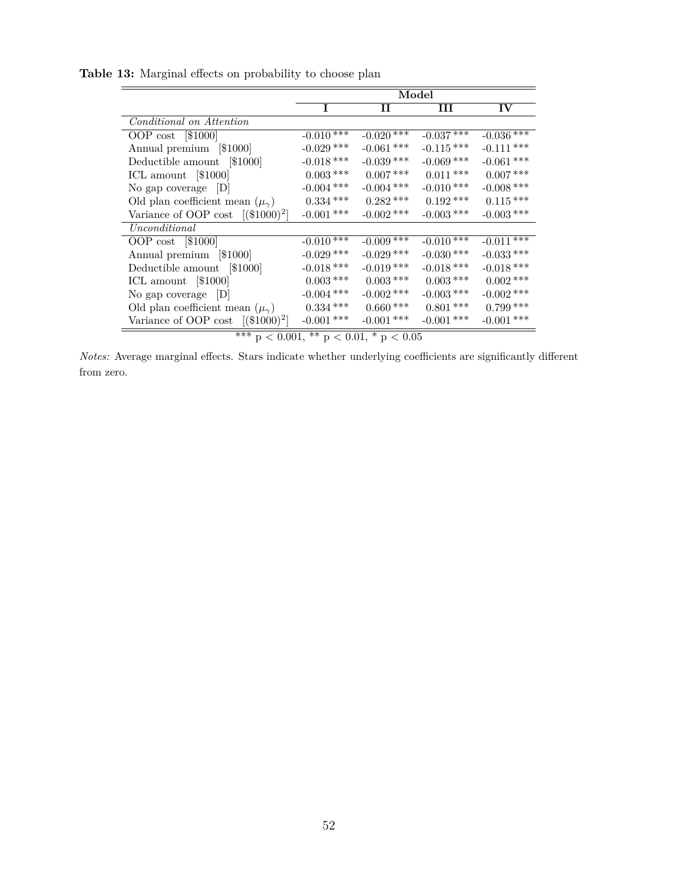<span id="page-53-0"></span>

| Model        |                                                                              |              |               |
|--------------|------------------------------------------------------------------------------|--------------|---------------|
| T            | Н                                                                            | Ш            | $\mathbf{IV}$ |
|              |                                                                              |              |               |
| $-0.010$ *** | $-0.020$ ***                                                                 | $-0.037$ *** | $-0.036$ ***  |
|              | $-0.061$ ***                                                                 | $-0.115***$  | $-0.111$ ***  |
|              | $-0.039$ ***                                                                 | $-0.069$ *** | $-0.061$ ***  |
| $0.003\,***$ | $0.007***$                                                                   | $0.011***$   | $0.007***$    |
| $-0.004$ *** | $-0.004$ ***                                                                 | $-0.010$ *** | $-0.008$ ***  |
| $0.334\,***$ | $0.282***$                                                                   | $0.192***$   | $0.115***$    |
| $-0.001$ *** | $-0.002$ ***                                                                 | $-0.003$ *** | $-0.003$ ***  |
|              |                                                                              |              |               |
|              | $-0.009$ ***                                                                 | $-0.010$ *** | $-0.011$ ***  |
|              | $-0.029$ ***                                                                 | $-0.030$ *** | $-0.033$ ***  |
| $-0.018$ *** | $-0.019$ ***                                                                 | $-0.018$ *** | $-0.018$ ***  |
| $0.003\,***$ | $0.003***$                                                                   | $0.003$ ***  | $0.002$ ***   |
|              | $-0.002$ ***                                                                 | $-0.003$ *** | $-0.002$ ***  |
| $0.334***$   | $0.660***$                                                                   | $0.801***$   | $0.799***$    |
| $-0.001$ *** | $-0.001$ ***                                                                 | $-0.001$ *** | $-0.001$ ***  |
|              | $-0.029$ ***<br>$-0.018$ ***<br>$-0.010****$<br>$-0.029$ ***<br>$-0.004$ *** |              |               |

**Table 13:** Marginal effects on probability to choose plan

*Notes:* Average marginal effects. Stars indicate whether underlying coefficients are significantly different from zero.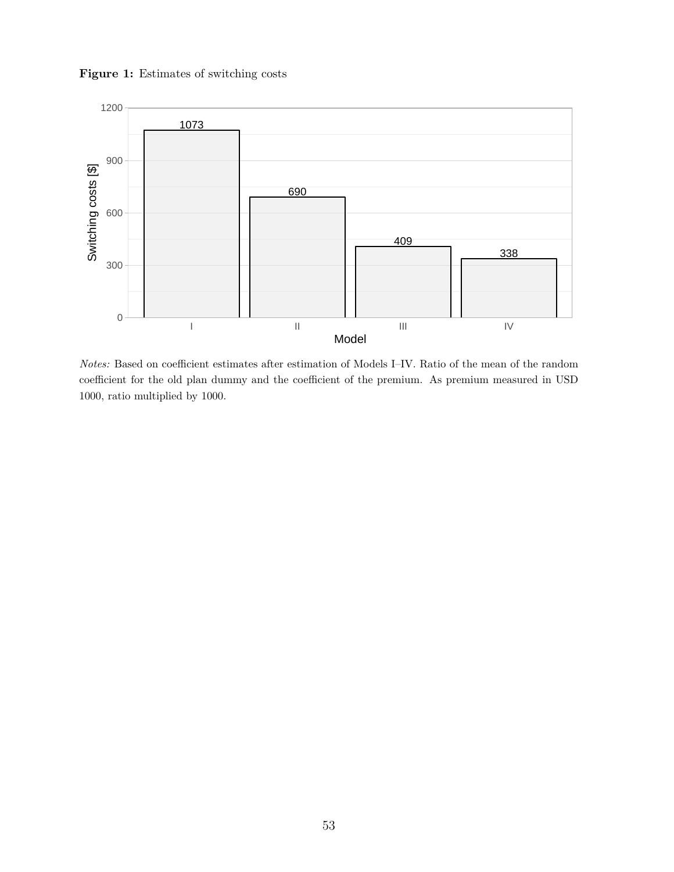<span id="page-54-0"></span>**Figure 1:** Estimates of switching costs



*Notes:* Based on coefficient estimates after estimation of Models I–IV. Ratio of the mean of the random coefficient for the old plan dummy and the coefficient of the premium. As premium measured in USD 1000, ratio multiplied by 1000.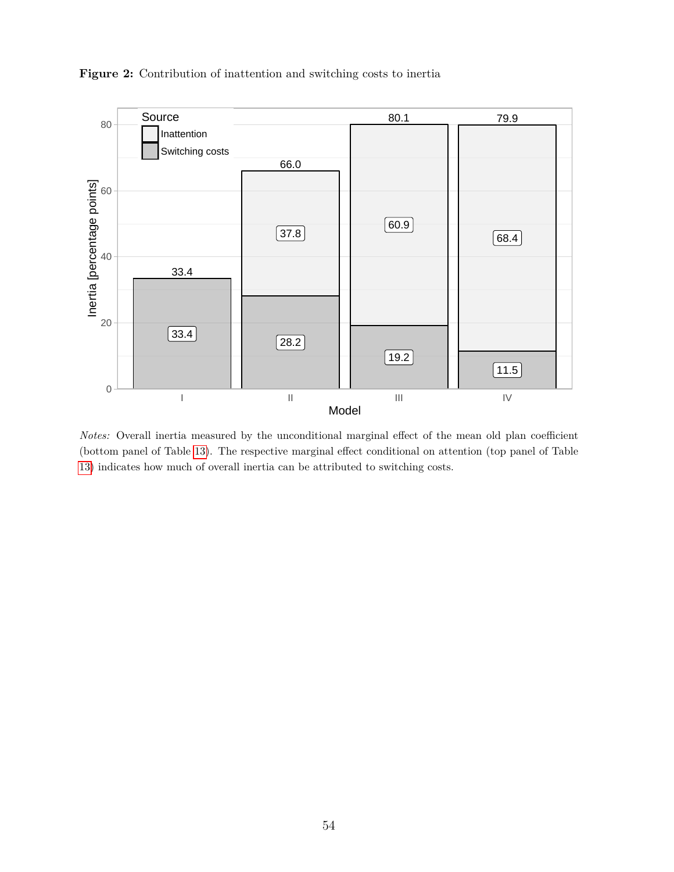

<span id="page-55-0"></span>**Figure 2:** Contribution of inattention and switching costs to inertia

*Notes:* Overall inertia measured by the unconditional marginal effect of the mean old plan coefficient (bottom panel of Table [13\)](#page-53-0). The respective marginal effect conditional on attention (top panel of Table [13\)](#page-53-0) indicates how much of overall inertia can be attributed to switching costs.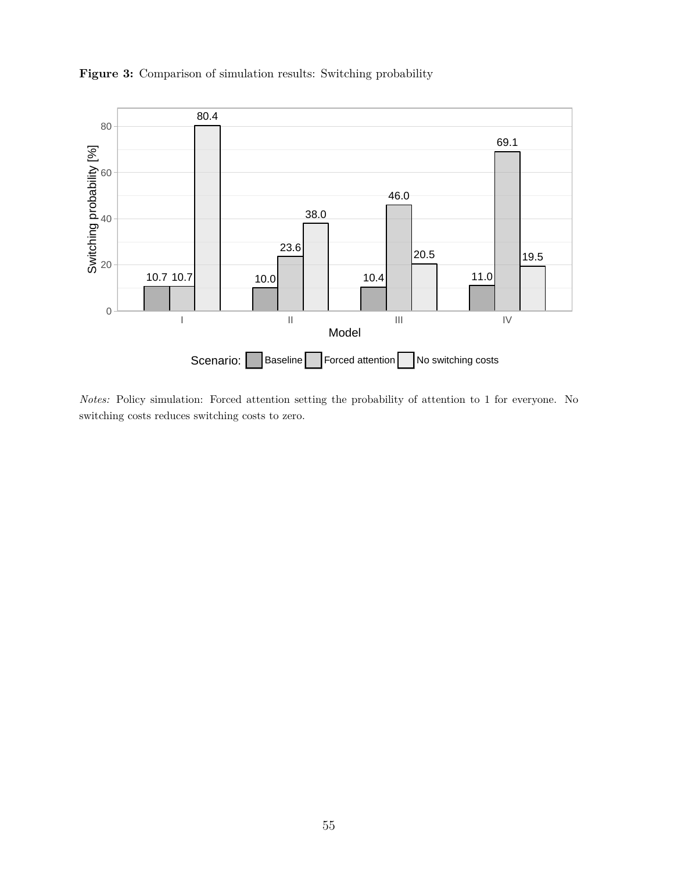<span id="page-56-0"></span>



*Notes:* Policy simulation: Forced attention setting the probability of attention to 1 for everyone. No switching costs reduces switching costs to zero.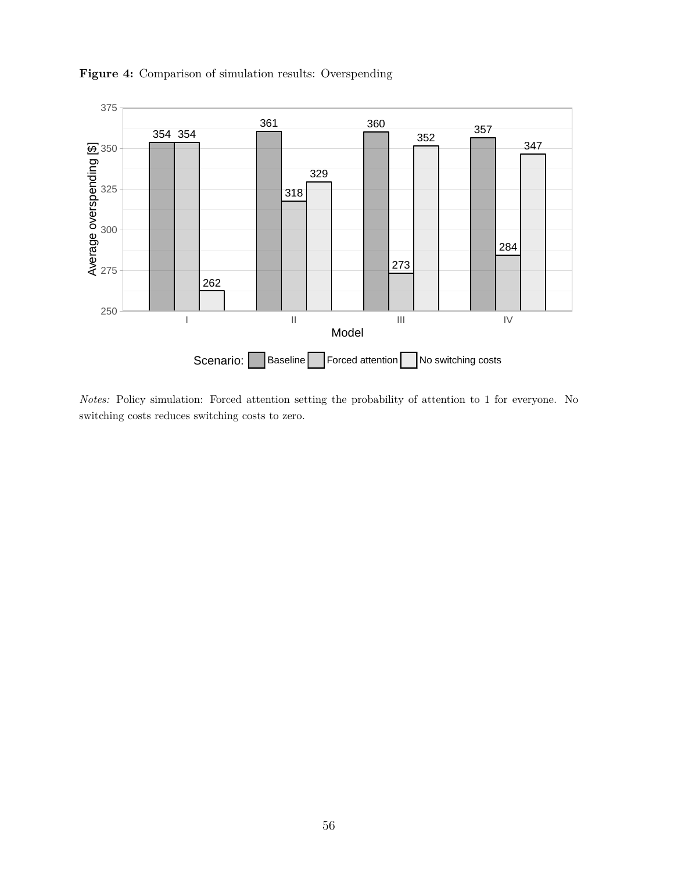

<span id="page-57-0"></span>**Figure 4:** Comparison of simulation results: Overspending

*Notes:* Policy simulation: Forced attention setting the probability of attention to 1 for everyone. No switching costs reduces switching costs to zero.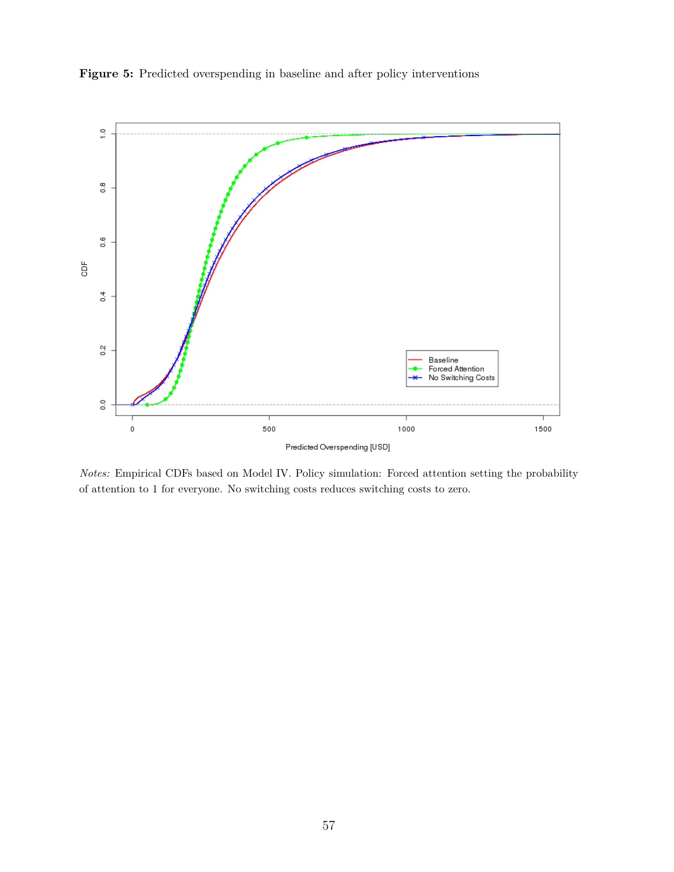

<span id="page-58-0"></span>

*Notes:* Empirical CDFs based on Model IV. Policy simulation: Forced attention setting the probability of attention to 1 for everyone. No switching costs reduces switching costs to zero.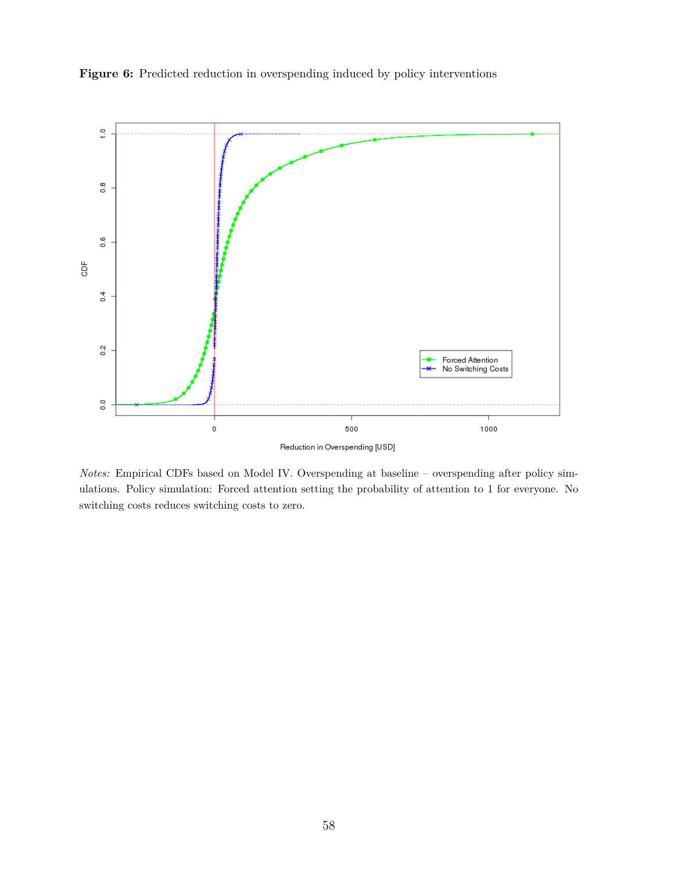

<span id="page-59-0"></span>Figure 6: Predicted reduction in overspending induced by policy interventions

*Notes:* Empirical CDFs based on Model IV. Overspending at baseline – overspending after policy simulations. Policy simulation: Forced attention setting the probability of attention to 1 for everyone. No switching costs reduces switching costs to zero.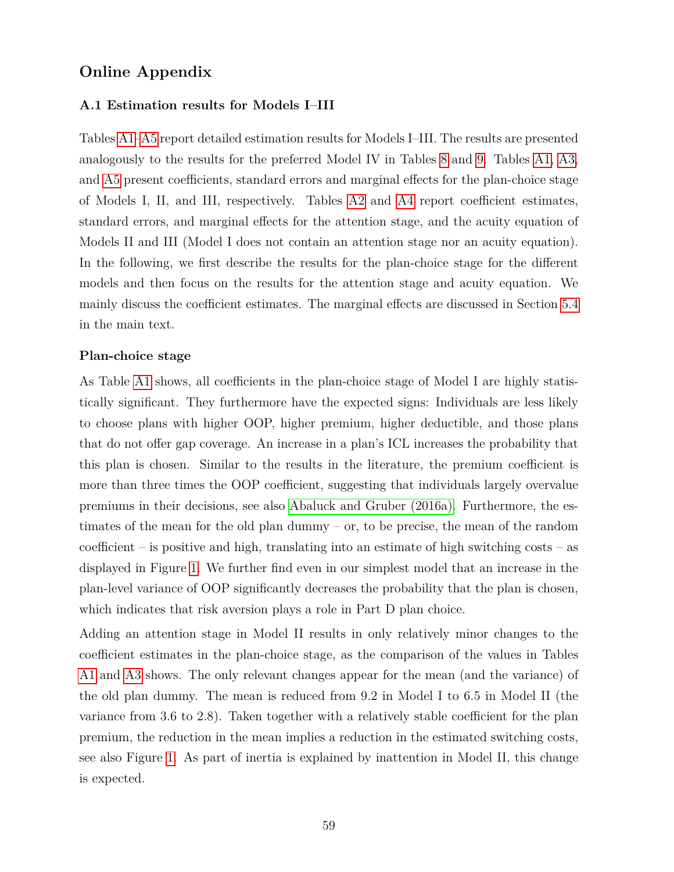## **Online Appendix**

#### **A.1 Estimation results for Models I–III**

Tables [A1](#page-41-0)[–A5](#page-45-0) report detailed estimation results for Models I–III. The results are presented analogously to the results for the preferred Model IV in Tables [8](#page-48-0) and [9.](#page-49-0) Tables [A1,](#page-41-0) [A3,](#page-43-0) and [A5](#page-45-0) present coefficients, standard errors and marginal effects for the plan-choice stage of Models I, II, and III, respectively. Tables [A2](#page-42-0) and [A4](#page-44-0) report coefficient estimates, standard errors, and marginal effects for the attention stage, and the acuity equation of Models II and III (Model I does not contain an attention stage nor an acuity equation). In the following, we first describe the results for the plan-choice stage for the different models and then focus on the results for the attention stage and acuity equation. We mainly discuss the coefficient estimates. The marginal effects are discussed in Section [5.4](#page-30-0) in the main text.

#### **Plan-choice stage**

As Table [A1](#page-41-0) shows, all coefficients in the plan-choice stage of Model I are highly statistically significant. They furthermore have the expected signs: Individuals are less likely to choose plans with higher OOP, higher premium, higher deductible, and those plans that do not offer gap coverage. An increase in a plan's ICL increases the probability that this plan is chosen. Similar to the results in the literature, the premium coefficient is more than three times the OOP coefficient, suggesting that individuals largely overvalue premiums in their decisions, see also [Abaluck and Gruber \(2016a\).](#page-38-3) Furthermore, the estimates of the mean for the old plan dummy – or, to be precise, the mean of the random coefficient – is positive and high, translating into an estimate of high switching costs – as displayed in Figure [1.](#page-54-0) We further find even in our simplest model that an increase in the plan-level variance of OOP significantly decreases the probability that the plan is chosen, which indicates that risk aversion plays a role in Part D plan choice.

Adding an attention stage in Model II results in only relatively minor changes to the coefficient estimates in the plan-choice stage, as the comparison of the values in Tables [A1](#page-41-0) and [A3](#page-43-0) shows. The only relevant changes appear for the mean (and the variance) of the old plan dummy. The mean is reduced from 9.2 in Model I to 6.5 in Model II (the variance from 3.6 to 2.8). Taken together with a relatively stable coefficient for the plan premium, the reduction in the mean implies a reduction in the estimated switching costs, see also Figure [1.](#page-54-0) As part of inertia is explained by inattention in Model II, this change is expected.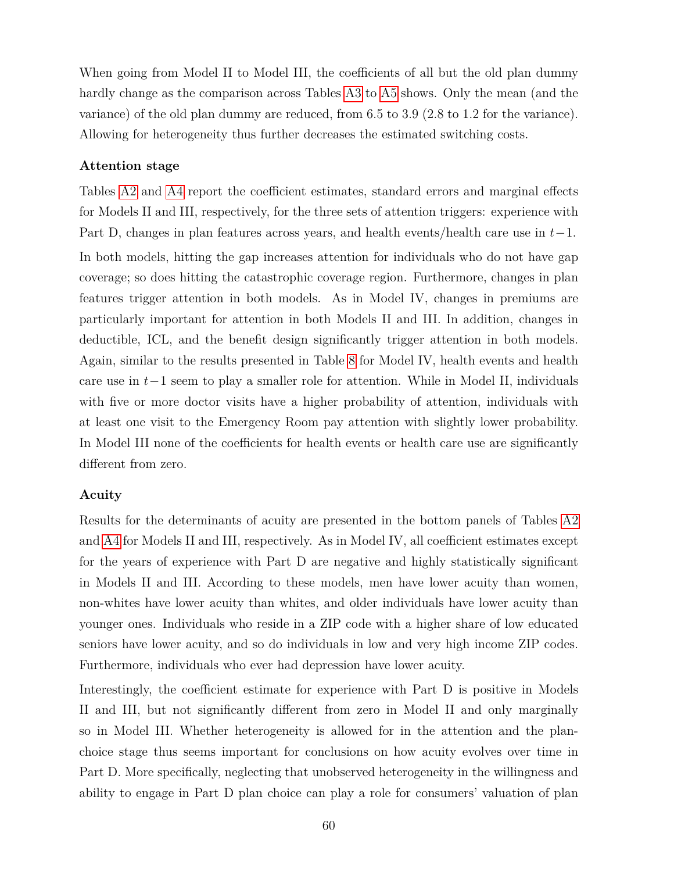When going from Model II to Model III, the coefficients of all but the old plan dummy hardly change as the comparison across Tables [A3](#page-43-0) to [A5](#page-45-0) shows. Only the mean (and the variance) of the old plan dummy are reduced, from 6.5 to 3.9 (2.8 to 1.2 for the variance). Allowing for heterogeneity thus further decreases the estimated switching costs.

#### **Attention stage**

Tables [A2](#page-42-0) and [A4](#page-44-0) report the coefficient estimates, standard errors and marginal effects for Models II and III, respectively, for the three sets of attention triggers: experience with Part D, changes in plan features across years, and health events/health care use in *t*−1. In both models, hitting the gap increases attention for individuals who do not have gap coverage; so does hitting the catastrophic coverage region. Furthermore, changes in plan features trigger attention in both models. As in Model IV, changes in premiums are particularly important for attention in both Models II and III. In addition, changes in deductible, ICL, and the benefit design significantly trigger attention in both models. Again, similar to the results presented in Table [8](#page-48-0) for Model IV, health events and health care use in *t*−1 seem to play a smaller role for attention. While in Model II, individuals with five or more doctor visits have a higher probability of attention, individuals with at least one visit to the Emergency Room pay attention with slightly lower probability. In Model III none of the coefficients for health events or health care use are significantly different from zero.

#### **Acuity**

Results for the determinants of acuity are presented in the bottom panels of Tables [A2](#page-42-0) and [A4](#page-44-0) for Models II and III, respectively. As in Model IV, all coefficient estimates except for the years of experience with Part D are negative and highly statistically significant in Models II and III. According to these models, men have lower acuity than women, non-whites have lower acuity than whites, and older individuals have lower acuity than younger ones. Individuals who reside in a ZIP code with a higher share of low educated seniors have lower acuity, and so do individuals in low and very high income ZIP codes. Furthermore, individuals who ever had depression have lower acuity.

Interestingly, the coefficient estimate for experience with Part D is positive in Models II and III, but not significantly different from zero in Model II and only marginally so in Model III. Whether heterogeneity is allowed for in the attention and the planchoice stage thus seems important for conclusions on how acuity evolves over time in Part D. More specifically, neglecting that unobserved heterogeneity in the willingness and ability to engage in Part D plan choice can play a role for consumers' valuation of plan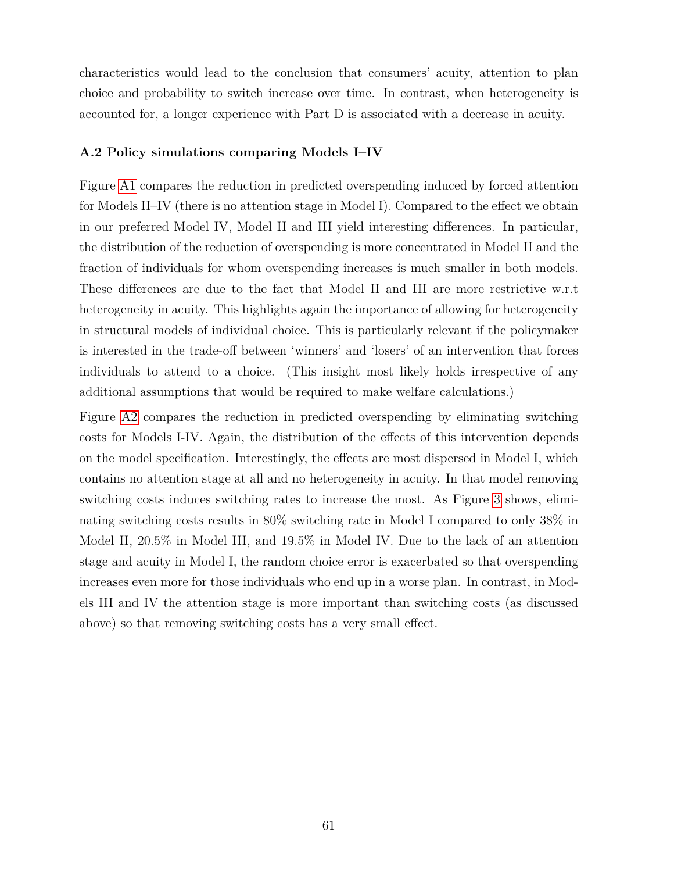characteristics would lead to the conclusion that consumers' acuity, attention to plan choice and probability to switch increase over time. In contrast, when heterogeneity is accounted for, a longer experience with Part D is associated with a decrease in acuity.

#### **A.2 Policy simulations comparing Models I–IV**

Figure [A1](#page-54-0) compares the reduction in predicted overspending induced by forced attention for Models II–IV (there is no attention stage in Model I). Compared to the effect we obtain in our preferred Model IV, Model II and III yield interesting differences. In particular, the distribution of the reduction of overspending is more concentrated in Model II and the fraction of individuals for whom overspending increases is much smaller in both models. These differences are due to the fact that Model II and III are more restrictive w.r.t heterogeneity in acuity. This highlights again the importance of allowing for heterogeneity in structural models of individual choice. This is particularly relevant if the policymaker is interested in the trade-off between 'winners' and 'losers' of an intervention that forces individuals to attend to a choice. (This insight most likely holds irrespective of any additional assumptions that would be required to make welfare calculations.)

Figure [A2](#page-55-0) compares the reduction in predicted overspending by eliminating switching costs for Models I-IV. Again, the distribution of the effects of this intervention depends on the model specification. Interestingly, the effects are most dispersed in Model I, which contains no attention stage at all and no heterogeneity in acuity. In that model removing switching costs induces switching rates to increase the most. As Figure [3](#page-56-0) shows, eliminating switching costs results in 80% switching rate in Model I compared to only 38% in Model II, 20.5% in Model III, and 19.5% in Model IV. Due to the lack of an attention stage and acuity in Model I, the random choice error is exacerbated so that overspending increases even more for those individuals who end up in a worse plan. In contrast, in Models III and IV the attention stage is more important than switching costs (as discussed above) so that removing switching costs has a very small effect.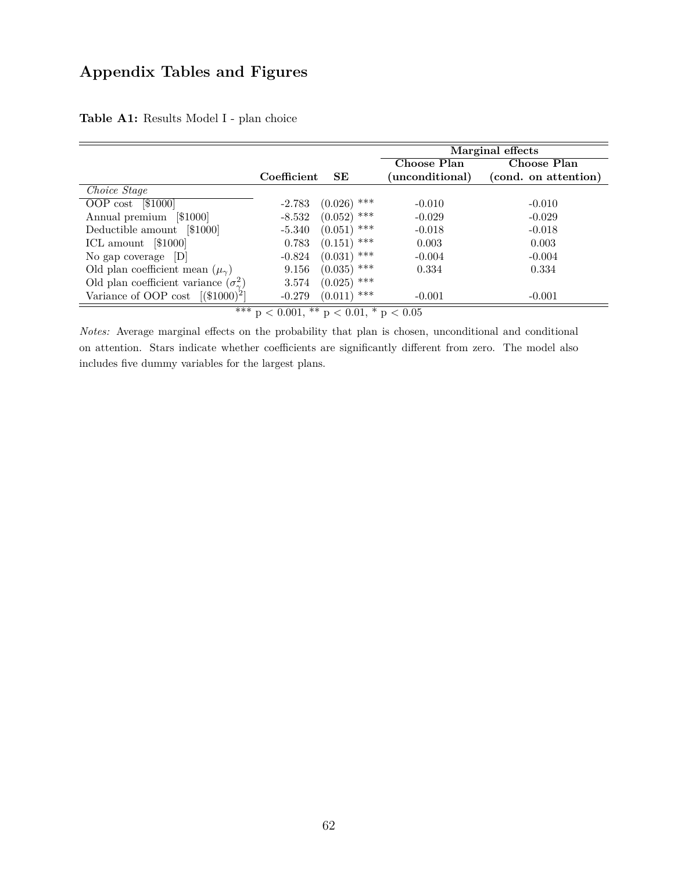# **Appendix Tables and Figures**

|                                                     |             |                | Marginal effects |                      |
|-----------------------------------------------------|-------------|----------------|------------------|----------------------|
|                                                     |             |                | Choose Plan      | Choose Plan          |
|                                                     | Coefficient | SE             | (unconditional)  | (cond. on attention) |
| Choice Stage                                        |             |                |                  |                      |
| OOP cost $[$1000]$                                  | $-2.783$    | ***<br>(0.026) | $-0.010$         | $-0.010$             |
| [\$1000]<br>Annual premium                          | $-8.532$    | ***<br>(0.052) | $-0.029$         | $-0.029$             |
| Deductible amount [\$1000]                          | $-5.340$    | ***<br>(0.051) | $-0.018$         | $-0.018$             |
| ICL amount [\$1000]                                 | 0.783       | ***<br>(0.151) | 0.003            | 0.003                |
| No gap coverage $ D $                               | $-0.824$    | ***<br>(0.031) | $-0.004$         | $-0.004$             |
| Old plan coefficient mean $(\mu_{\gamma})$          | 9.156       | $(0.035)$ ***  | 0.334            | 0.334                |
| Old plan coefficient variance $(\sigma_{\gamma}^2)$ | 3.574       | ***<br>(0.025) |                  |                      |
| Variance of OOP cost $[(\$1000)^2]$                 | $-0.279$    | ***<br>(0.011) | $-0.001$         | $-0.001$             |
| *** $p < 0.001$ , ** $p < 0.01$ , * $p < 0.05$      |             |                |                  |                      |

**Table A1:** Results Model I - plan choice

*Notes:* Average marginal effects on the probability that plan is chosen, unconditional and conditional on attention. Stars indicate whether coefficients are significantly different from zero. The model also includes five dummy variables for the largest plans.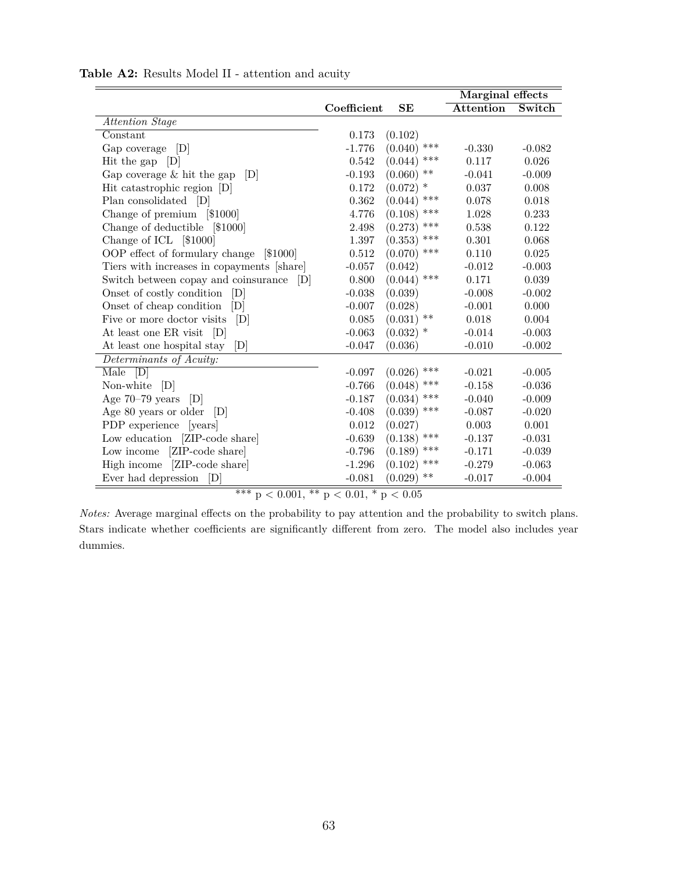|                                            |             |                  | Marginal effects |          |
|--------------------------------------------|-------------|------------------|------------------|----------|
|                                            | Coefficient | SE               | <b>Attention</b> | Switch   |
| Attention Stage                            |             |                  |                  |          |
| Constant                                   | 0.173       | (0.102)          |                  |          |
| Gap coverage [D]                           | $-1.776$    | ***<br>(0.040)   | $-0.330$         | $-0.082$ |
| Hit the gap $[D]$                          | 0.542       | ***<br>(0.044)   | 0.117            | 0.026    |
| Gap coverage $&$ hit the gap<br> D         | $-0.193$    | $***$<br>(0.060) | $-0.041$         | $-0.009$ |
| Hit catastrophic region [D]                | 0.172       | $(0.072)$ *      | 0.037            | 0.008    |
| Plan consolidated [D]                      | 0.362       | ***<br>(0.044)   | 0.078            | 0.018    |
| Change of premium [\$1000]                 | 4.776       | (0.108)<br>***   | 1.028            | 0.233    |
| Change of deductible<br>[\$1000]           | 2.498       | ***<br>(0.273)   | 0.538            | 0.122    |
| Change of ICL [\$1000]                     | 1.397       | ***<br>(0.353)   | 0.301            | 0.068    |
| OOP effect of formulary change<br> \$1000  | 0.512       | ***<br>(0.070)   | 0.110            | 0.025    |
| Tiers with increases in copayments [share] | $-0.057$    | (0.042)          | $-0.012$         | $-0.003$ |
| Switch between copay and coinsurance<br> D | 0.800       | ***<br>(0.044)   | 0.171            | 0.039    |
| Onset of costly condition<br>[D]           | $-0.038$    | (0.039)          | $-0.008$         | $-0.002$ |
| Onset of cheap condition<br> D             | $-0.007$    | (0.028)          | $-0.001$         | 0.000    |
| Five or more doctor visits<br>[D]          | 0.085       | **<br>(0.031)    | 0.018            | 0.004    |
| At least one ER visit<br> D                | $-0.063$    | $(0.032)$ *      | $-0.014$         | $-0.003$ |
| At least one hospital stay<br> D           | $-0.047$    | (0.036)          | $-0.010$         | $-0.002$ |
| Determinants of Acuity:                    |             |                  |                  |          |
| [D]<br>Male                                | $-0.097$    | ***<br>(0.026)   | $-0.021$         | $-0.005$ |
| Non-white<br>[D]                           | $-0.766$    | ***<br>(0.048)   | $-0.158$         | $-0.036$ |
| Age $70-79$ years<br> D                    | $-0.187$    | ***<br>(0.034)   | $-0.040$         | $-0.009$ |
| Age 80 years or older<br> D                | $-0.408$    | ***<br>(0.039)   | $-0.087$         | $-0.020$ |
| PDP experience<br>[years]                  | 0.012       | (0.027)          | 0.003            | 0.001    |
| Low education [ZIP-code share]             | $-0.639$    | $(0.138)$ ***    | $-0.137$         | $-0.031$ |
| [ZIP-code share]<br>Low income             | $-0.796$    | ***<br>(0.189)   | $-0.171$         | $-0.039$ |
| High income [ZIP-code share]               | $-1.296$    | ***<br>(0.102)   | $-0.279$         | $-0.063$ |
| Ever had depression<br>[D]                 | $-0.081$    | **<br>(0.029)    | $-0.017$         | $-0.004$ |

**Table A2:** Results Model II - attention and acuity

 $***$  p  $<$  0.001,  $**$  p  $<$  0.01,  $*$  p  $<$  0.05

*Notes:* Average marginal effects on the probability to pay attention and the probability to switch plans. Stars indicate whether coefficients are significantly different from zero. The model also includes year dummies.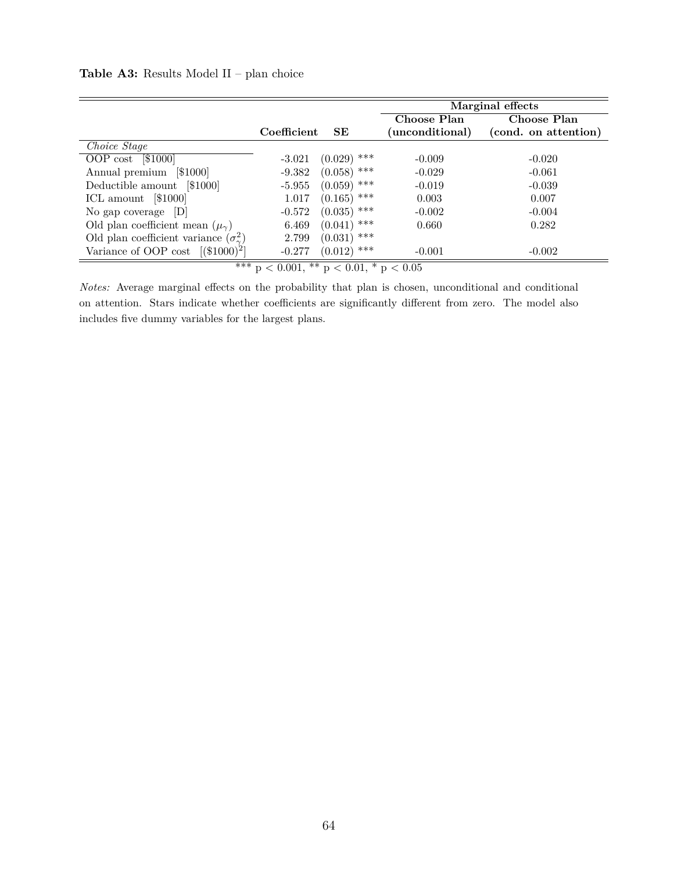#### **Table A3:** Results Model II – plan choice

|                                                     |             |                | Marginal effects |                      |
|-----------------------------------------------------|-------------|----------------|------------------|----------------------|
|                                                     |             |                | Choose Plan      | Choose Plan          |
|                                                     | Coefficient | SE             | (unconditional)  | (cond. on attention) |
| Choice Stage                                        |             |                |                  |                      |
| OOP cost $[$1000]$                                  | $-3.021$    | $(0.029)$ ***  | $-0.009$         | $-0.020$             |
| [\$1000]<br>Annual premium                          | $-9.382$    | ***<br>(0.058) | $-0.029$         | $-0.061$             |
| Deductible amount [\$1000]                          | $-5.955$    | $(0.059)$ ***  | $-0.019$         | $-0.039$             |
| ICL amount $[$1000]$                                | 1.017       | $(0.165)$ ***  | 0.003            | 0.007                |
| No gap coverage $ D $                               | $-0.572$    | $(0.035)$ ***  | $-0.002$         | $-0.004$             |
| Old plan coefficient mean $(\mu_{\gamma})$          | 6.469       | ***<br>(0.041) | 0.660            | 0.282                |
| Old plan coefficient variance $(\sigma_{\gamma}^2)$ | 2.799       | ***<br>(0.031) |                  |                      |
| Variance of OOP cost $[(\$1000)^2]$                 | $-0.277$    | $(0.012)$ ***  | $-0.001$         | $-0.002$             |
| *** $p < 0.001$ , ** $p < 0.01$ , * $p < 0.05$      |             |                |                  |                      |

*Notes:* Average marginal effects on the probability that plan is chosen, unconditional and conditional on attention. Stars indicate whether coefficients are significantly different from zero. The model also includes five dummy variables for the largest plans.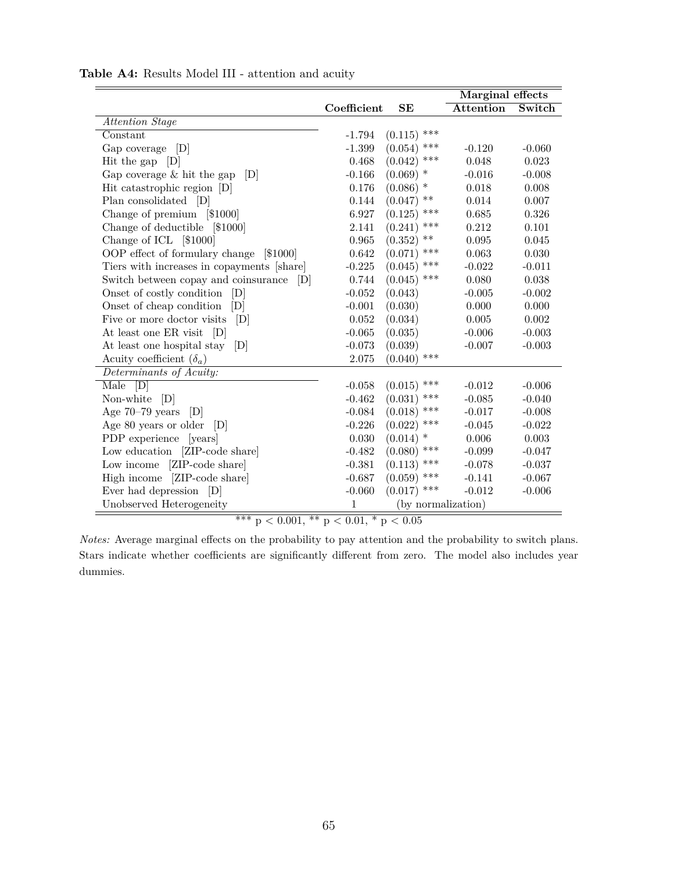|                                            |              |                    | Marginal effects |          |
|--------------------------------------------|--------------|--------------------|------------------|----------|
|                                            | Coefficient  | SE                 | <b>Attention</b> | Switch   |
| Attention Stage                            |              |                    |                  |          |
| Constant                                   | $-1.794$     | $***$<br>(0.115)   |                  |          |
| Gap coverage $[D]$                         | $-1.399$     | ***<br>(0.054)     | $-0.120$         | $-0.060$ |
| Hit the gap $[D]$                          | 0.468        | ***<br>(0.042)     | 0.048            | 0.023    |
| Gap coverage $&$ hit the gap<br> D         | $-0.166$     | $\ast$<br>(0.069)  | $-0.016$         | $-0.008$ |
| Hit catastrophic region [D]                | 0.176        | $(0.086)$ *        | $0.018\,$        | 0.008    |
| Plan consolidated [D]                      | 0.144        | $***$<br>(0.047)   | 0.014            | 0.007    |
| Change of premium [\$1000]                 | 6.927        | ***<br>(0.125)     | 0.685            | 0.326    |
| Change of deductible [\$1000]              | 2.141        | ***<br>(0.241)     | 0.212            | 0.101    |
| Change of ICL [\$1000]                     | 0.965        | $***$<br>(0.352)   | 0.095            | 0.045    |
| OOP effect of formulary change [\$1000]    | 0.642        | ***<br>(0.071)     | 0.063            | 0.030    |
| Tiers with increases in copayments [share] | $-0.225$     | ***<br>(0.045)     | $-0.022$         | $-0.011$ |
| Switch between copay and coinsurance<br> D | 0.744        | ***<br>(0.045)     | 0.080            | 0.038    |
| Onset of costly condition<br>[D]           | $-0.052$     | (0.043)            | $-0.005$         | $-0.002$ |
| Onset of cheap condition<br>[D]            | $-0.001$     | (0.030)            | 0.000            | 0.000    |
| Five or more doctor visits<br>[D]          | 0.052        | (0.034)            | 0.005            | 0.002    |
| At least one ER visit [D]                  | $-0.065$     | (0.035)            | $-0.006$         | $-0.003$ |
| At least one hospital stay<br> D           | $-0.073$     | (0.039)            | $-0.007$         | $-0.003$ |
| Acuity coefficient $(\delta_a)$            | $2.075\,$    | ***<br>(0.040)     |                  |          |
| Determinants of Acuity:                    |              |                    |                  |          |
| Male<br>[D]                                | $-0.058$     | ***<br>(0.015)     | $-0.012$         | $-0.006$ |
| Non-white [D]                              | $-0.462$     | ***<br>(0.031)     | $-0.085$         | $-0.040$ |
| Age $70-79$ years<br>[D]                   | $-0.084$     | ***<br>(0.018)     | $-0.017$         | $-0.008$ |
| Age 80 years or older<br> D                | $-0.226$     | ***<br>(0.022)     | $-0.045$         | $-0.022$ |
| PDP experience [years]                     | 0.030        | $\ast$<br>(0.014)  | $0.006\,$        | 0.003    |
| Low education [ZIP-code share]             | $-0.482$     | ***<br>(0.080)     | $-0.099$         | $-0.047$ |
| [ZIP-code share]<br>Low income             | $-0.381$     | $(0.113)$ ***      | $-0.078$         | $-0.037$ |
| High income<br>[ZIP-code share]            | $-0.687$     | ***<br>(0.059)     | $-0.141$         | $-0.067$ |
| Ever had depression [D]                    | $-0.060$     | $(0.017)$ ***      | $-0.012$         | $-0.006$ |
| Unobserved Heterogeneity                   | $\mathbf{1}$ | (by normalization) |                  |          |

**Table A4:** Results Model III - attention and acuity

 $*** p < 0.001, ** p < 0.01, * p < 0.05$ 

*Notes:* Average marginal effects on the probability to pay attention and the probability to switch plans. Stars indicate whether coefficients are significantly different from zero. The model also includes year dummies.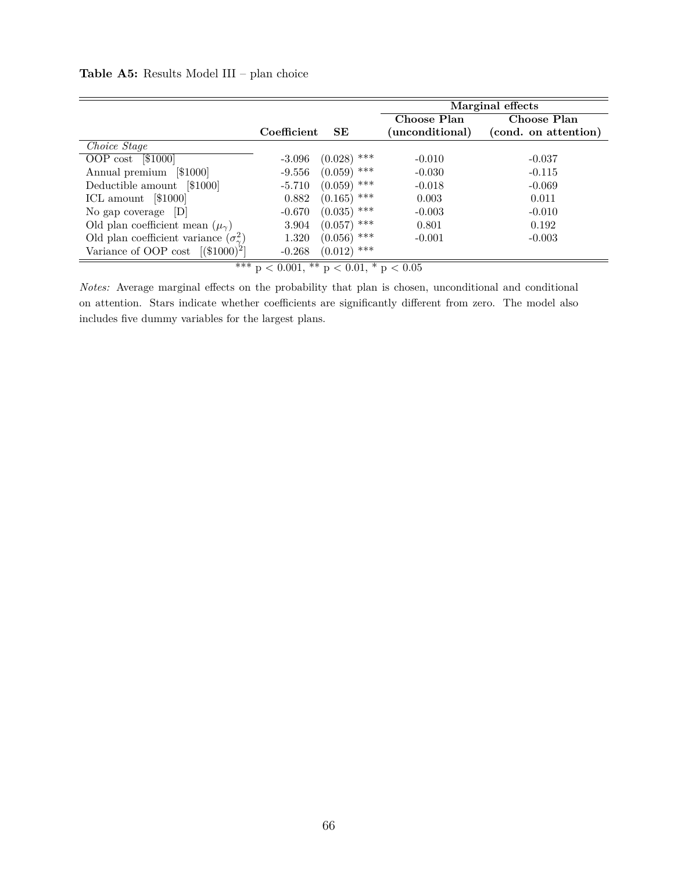| Table A5: Results Model III - plan choice |
|-------------------------------------------|
|-------------------------------------------|

|                                                     |             |                | Marginal effects |                      |  |
|-----------------------------------------------------|-------------|----------------|------------------|----------------------|--|
|                                                     |             |                | Choose Plan      | Choose Plan          |  |
|                                                     | Coefficient | SE             | (unconditional)  | (cond. on attention) |  |
| Choice Stage                                        |             |                |                  |                      |  |
| OOP cost $[$1000]$                                  | $-3.096$    | $(0.028)$ ***  | $-0.010$         | $-0.037$             |  |
| [\$1000]<br>Annual premium                          | $-9.556$    | ***<br>(0.059) | $-0.030$         | $-0.115$             |  |
| Deductible amount [\$1000]                          | $-5.710$    | $(0.059)$ ***  | $-0.018$         | $-0.069$             |  |
| ICL amount [\$1000]                                 | 0.882       | ***<br>(0.165) | 0.003            | 0.011                |  |
| No gap coverage $ D $                               | $-0.670$    | ***<br>(0.035) | $-0.003$         | $-0.010$             |  |
| Old plan coefficient mean $(\mu_{\gamma})$          | 3.904       | ***<br>(0.057) | 0.801            | 0.192                |  |
| Old plan coefficient variance $(\sigma_{\gamma}^2)$ | 1.320       | $(0.056)$ ***  | $-0.001$         | $-0.003$             |  |
| Variance of OOP cost $[(\$1000)^2]$                 | $-0.268$    | $(0.012)$ ***  |                  |                      |  |
| ***<br>$p < 0.001$ , ** $p < 0.01$ , * $p < 0.05$   |             |                |                  |                      |  |

*Notes:* Average marginal effects on the probability that plan is chosen, unconditional and conditional on attention. Stars indicate whether coefficients are significantly different from zero. The model also includes five dummy variables for the largest plans.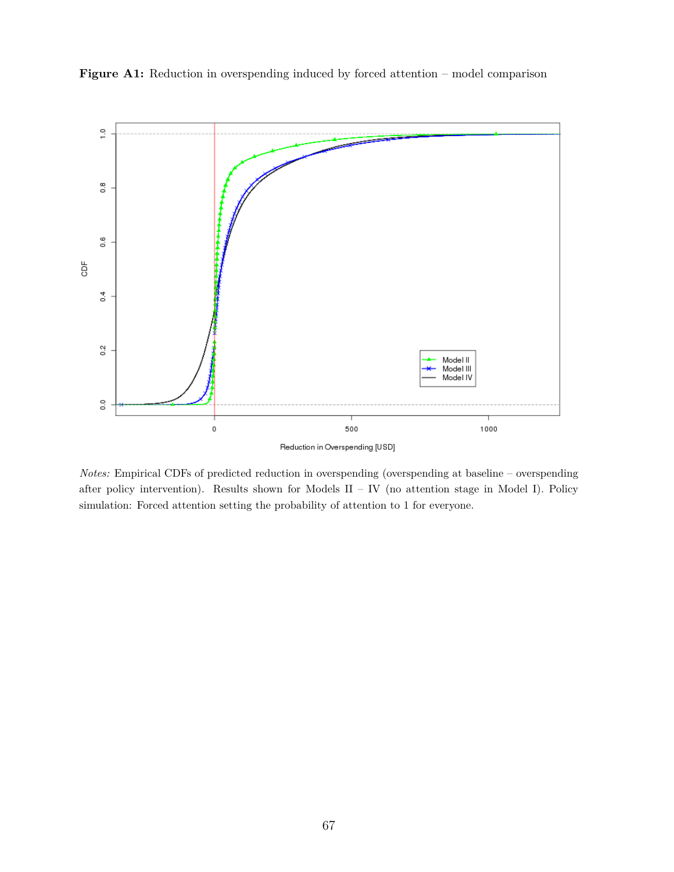

Figure A1: Reduction in overspending induced by forced attention – model comparison

*Notes:* Empirical CDFs of predicted reduction in overspending (overspending at baseline – overspending after policy intervention). Results shown for Models II – IV (no attention stage in Model I). Policy simulation: Forced attention setting the probability of attention to 1 for everyone.